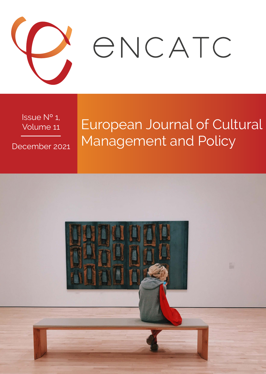

Issue Nº 1, Volume 11

December 2021

# European Journal of Cultural Management and Policy

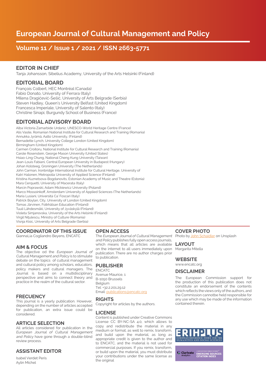## Volume 11 / Issue 1 / 2021 / ISSN 2663-5771

#### EDITOR IN CHIEF

Tanja Johansson, Sibelius Academy, University of the Arts Helsinki (Finland)

#### EDITORIAL BOARD

François Colbert, HEC Montréal (Canada) Fabio Donato, University of Ferrara (Italy) Milena Dragićević-Šešić, University of Arts Belgrade (Serbia) Steven Hadley, Queen's University Belfast (United Kingdom) Francesca Imperiale, University of Salento (Italy) Christine Sinapi, Burgundy School of Business (France)

### EDITORIAL ADVISORY BOARD

Alba Victoria Zamarbide Urdaniz, UNESCO-World Heritage Centre (France) Alis Vasile, Romanian National Institute for Cultural Research and Training (Romania) Annukka Jyrämä, Aalto University, (Finland) Bernadette Lynch, University College London (United Kingdom) Birmingham (United Kingdom) Carmen Croitoru, National Institute for Cultural Research and Training (Romania) Carole Rosenstein, George Mason University (United States) Hsiao-Ling Chung, National Cheng Kung University (Taiwan) Jean-Louis Fabiani, Central European University in Budapest (Hungary) Johan Kolsteeg, Groningen University (The Netherlands) John Carman, Ironbridge International Institute for Cultural Heritage, University of Katri Halonen, Metropolia University of Applied Science (Finland) Kristina Kuznetsova-Bogdanovits, Estonian Academy of Music and Theatre (Estonia) Mara Cerquetti, University of Macerata (Italy) Marcin Poprawski, Adam Mickiewicz University (Poland) Marco Mossoinkoff, Amsterdam University of Applied Sciences (The Netherlands) Maria Lusiani, Università Ca' Foscari (Italy) Patrick Boylan, City, University of London (United Kingdom) Tomas Järvinen, Folkhälsan Education (Finland) Tuuli Lähdesmäki, University of Jyväskylä (Finland) Violeta Simjanovska, University of the Arts Helsinki (Finland) Virgil Nitulescu, Ministry of Culture (Romania) Visnja Kisic, University of Arts Belgrade (Serbia)

#### COORDINATOR OF THIS ISSUE

GiannaLia Cogliandro Beyens, ENCATC

#### AIM & FOCUS

The objective od the European Journal of Cultural Management and Policy is to stimulate debate on the topics of cultural management and cultural policy among scholars, educators, policy makers and cultural managers. The Journal is based on a multidisciplinary perspective and aims to connect theory and practice in the realm of the cultural sector.

#### **FRECUENCY**

This journal is a yearly publication. However, depending on the number of articles accepted for publication, an extra issue could be considered.

#### ARTICLE SELECTION

All articles considered for publication in the European Journal of Cultural Management and Policy have gone through a double-blind review process.

#### ASSISTANT EDITOR

Isabel Verdet Peris Aylin Michel

#### OPEN ACCESS

The European Journal of Cultural Management and Policy publishes fully open access journals, which means that all articles are avaliable on the internet to all users immediately upon Margarita Mitella publication. There are no author charges prior to publication.

#### PUBLISHER

ENCATC Avenue Maurice, 1 B-1050 Brussels Belgium Tel: +32.2.201.29.12 Email: publications@encatc.org

#### RIGHTS

Copyright for articles by the authors.

#### LICENSE

Content is published under Creative Commons License CC BY-NC-SA 4.0, which allows to copy and redistribute the material in any medium or format, as well to remix, transform, and build upon the material, as long as appropriate credit is given to the author and to ENCATC, and the material is not used for commercial purposes. If you remix, transform, or build upon the material, you must distribute your contributions under the same license as the original

#### COVER PHOTO

Photo by [John Schaidler](https://unsplash.com/@schaidler?utm_source=unsplash&utm_medium=referral&utm_content=creditCopyText) on Unsplash

LAYOUT

#### **WEBSITE**

#### www.encatc.org

#### **DISCLAIMER**

The European Commission support for the production of this publication does not constitute an endorsement of the contents which reflects the views only of the authors, and the Commission cannotbe held responsible for any use which may be made of the information contained therein.



C Clarivate **EMERGING SOURCE**<br>CITATION INDEX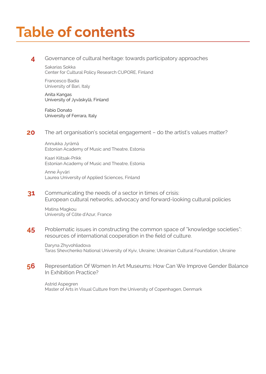# Table of contents

#### 4 Governance of cultural heritage: towards participatory approaches

Sakarias Sokka Center for Cultural Policy Research CUPORE, Finland

Francesco Badia University of Bari, Italy

Anita Kangas University of Jyväskylä, Finland

Fabio Donato University of Ferrara, Italy

#### 20 The art organisation's societal engagement – do the artist's values matter?

Annukka Jyrämä Estonian Academy of Music and Theatre, Estonia

Kaari Kiitsak-Prikk Estonian Academy of Music and Theatre, Estonia

Anne Äyväri Laurea University of Applied Sciences, Finland

31 Communicating the needs of a sector in times of crisis: European cultural networks, advocacy and forward-looking cultural policies

Matina Magkou University of Côte d'Azur, France

45 Problematic issues in constructing the common space of "knowledge societies": resources of international cooperation in the field of culture.

Daryna Zhyvohliadova Taras Shevchenko National University of Kyiv, Ukraine; Ukrainian Cultural Foundation, Ukraine

56 Representation Of Women In Art Museums: How Can We Improve Gender Balance In Exhibition Practice?

Astrid Aspegren Master of Arts in Visual Culture from the University of Copenhagen, Denmark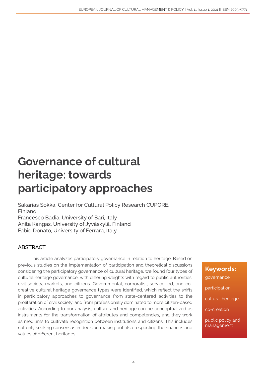## Governance of cultural heritage: towards participatory approaches

Sakarias Sokka, Center for Cultural Policy Research CUPORE, Finland Francesco Badia, University of Bari, Italy Anita Kangas, University of Jyväskylä, Finland Fabio Donato, University of Ferrara, Italy

## ABSTRACT

This article analyzes participatory governance in relation to heritage. Based on previous studies on the implementation of participation and theoretical discussions considering the participatory governance of cultural heritage, we found four types of cultural heritage governance, with differing weights with regard to public authorities, civil society, markets, and citizens. Governmental, corporatist, service-led, and cocreative cultural heritage governance types were identified, which reflect the shifts in participatory approaches to governance from state-centered activities to the proliferation of civil society, and from professionally dominated to more citizen-based activities. According to our analysis, culture and heritage can be conceptualized as instruments for the transformation of attributes and competencies, and they work as mediums to cultivate recognition between institutions and citizens. This includes not only seeking consensus in decision making but also respecting the nuances and values of different heritages.

Keywords: governance participation cultural heritage co-creation

public policy and management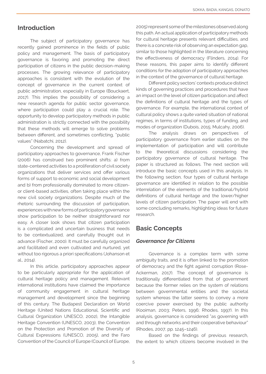## Introduction

The subject of participatory governance has recently gained prominence in the fields of public policy and management. The basis of participatory governance is favoring and promoting the direct participation of citizens in the public decision-making processes. The growing relevance of participatory approaches is consistent with the evolution of the concept of governance in the current context of public administration, especially in Europe (Bouckaert, 2017). This implies the possibility of considering a new research agenda for public sector governance, where participation could play a crucial role. The opportunity to develop participatory methods in public administration is strictly connected with the possibility that these methods will emerge to solve problems between different, and sometimes conflicting, "public values" (Nabatchi, 2012).

Concerning the development and spread of participatory approaches to governance, Frank Fischer (2006) has construed two prominent shifts: a) from state-centered activities to a proliferation of civil society organizations that deliver services and offer various forms of support to economic and social development and b) from professionally dominated to more citizenor client-based activities, often taking place within the new civil society organizations. Despite much of the rhetoric surrounding the discussion of participation, experiences with new forms of participatory governance show participation to be neither straightforward nor easy. A closer look shows that citizen participation is a complicated and uncertain business that needs to be contextualized, and carefully thought out in advance (Fischer, 2000). It must be carefully organized and facilitated and even cultivated and nurtured, yet without too rigorous a priori specifications (Johanson et al., 2014).

In this article, participatory approaches appear to be particularly appropriate for the application of cultural heritage policy and management. Relevant international institutions have claimed the importance of community engagement in cultural heritage management and development since the beginning of this century. The Budapest Declaration on World Heritage (United Nations Educational, Scientific and Cultural Organization UNESCO, 2002), the Intangible Heritage Convention (UNESCO, 2003), the Convention on the Protection and Promotion of the Diversity of Cultural Expressions (UNESCO, 2005), and the Faro Convention of the Council of Europe (Council of Europe,

2005) represent some of the milestones observed along this path. An actual application of participatory methods for cultural heritage presents relevant difficulties, and there is a concrete risk of observing an expectation gap, similar to those highlighted in the literature concerning the effectiveness of democracy (Flinders, 2014). For these reasons, this paper aims to identify different conditions for the adoption of participatory approaches in the context of the governance of cultural heritage.

Different policy sectors' contexts produce distinct kinds of governing practices and procedures that have an impact on the level of citizen participation and affect the definitions of cultural heritage and the types of governance. For example, the international context of cultural policy shows a quite varied situation of national regimes, in terms of institutions, types of funding, and modes of organization (Dubois, 2015; Mulcahy, 2006).

The analysis draws on perspectives participatory governance from earlier studies on the implementation of participation and will contribute to the theoretical discussions considering the participatory governance of cultural heritage. The paper is structured as follows. The next section will introduce the basic concepts used in this analysis. In the following section, four types of cultural heritage governance are identified in relation to the possible interrelation of the elements of the traditional/hybrid definitions of cultural heritage and the lower/higher levels of citizen participation. The paper will end with some concluding remarks, highlighting ideas for future research.

## Basic Concepts

#### *Governance for Citizens*

Governance is a complex term with some ambiguity traits, and it is often linked to the promotion of democracy and the fight against corruption (Rose-Ackerman, 2017). The concept of governance is traditionally differentiated from that of government because the former relies on the system of relations between governmental entities and the societal system whereas the latter seems to convey a more coercive power exercised by the public authority (Kooiman, 2003; Peters, 1996; Rhodes, 1997). In this analysis, governance is considered "as governing with and through networks and their cooperative behaviour" (Rhodes, 2007, pp. 1245–1246).

Based on the findings of previous research, the extent to which citizens become involved in the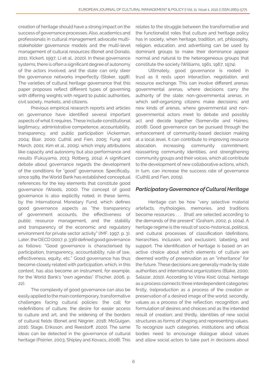creation of heritage should have a strong impact on the success of governance processes. Also, academics and professionals in cultural management advocate multistakeholder governance models and the multi-level management of cultural resources (Bonet and Donato, 2011; Kickert, 1997; Li et al., 2020). In these governance systems, there is often a significant degree of autonomy of the actors involved, and the state can only steer the governance networks imperfectly (Stoker, 1998). The varieties of cultural heritage governance that this paper proposes reflect different types of governing with differing weights with regard to public authorities, civil society, markets, and citizens.

Previous empirical research reports and articles on governance have identified several important aspects of what it requires. These include constitutional legitimacy, administrative competence, accountability, transparency, and public participation (Ackerman, 2004; Blair, 2000; Cuthill and Fien, 2005; Fung and March, 2001; Kim et al., 2005), which imply attributions like capacity and autonomy but also performance and results (Fukuyama, 2013; Rotberg, 2014). A significant debate about governance regards the development of the conditions for "good" governance. Specifically, since 1989, the World Bank has established conceptual references for the key elements that constitute good governance (Woods, 2000). The concept of good governance is also explicitly noted, in these terms, by the International Monetary Fund, which defines good governance aspects as "the transparency of government accounts, the effectiveness of public resource management, and the stability and transparency of the economic and regulatory environment for private sector activity" (IMF, 1997, p. 3). Later, the OECD (2007, p. 336) defined good governance as follows: "Good governance is characterised by participation, transparency, accountability, rule of law, effectiveness, equity, etc." Good governance has thus become closely related with participation, which, in this context, has also become an instrument, for example, for the World Bank's "own agendas" (Fischer, 2006, p. 22).

The complexity of good governance can also be easily applied to the main contemporary, transformative challenges facing cultural policies: the call for redefinitions of culture, the desire for easier access to culture and art, and the widening of the borders of cultural fields (Bonet and Négrier, 2018; McGuigan, 2016; Stage, Eriksson, and Reestorff, 2020). The same ideas can be detected in the governance of cultural heritage (Poirrier, 2003; Shipley and Kovacs, 2008). This

relates to the struggle between the transformative and the functionalist roles that culture and heritage policy has in society, when heritage, tradition, art, philosophy, religion, education, and advertising can be used by dominant groups to make their dominance appear normal and natural to the heterogeneous groups that constitute the society (Williams, 1961, 1967, 1974).

Ultimately, good governance is rooted in trust as it rests upon interaction, negotiation, and resource exchange. This can involve different arenas: governmental arenas, where decisions carry the authority of the state; non-governmental arenas, in which self-organizing citizens make decisions; and new kinds of arenas, where governmental and nongovernmental actors meet to debate and possibly act and decide together (Somerville and Haines, 2008). Good governance can be pursued through the enhancement of community-based decision making at a local level. It can contribute to improving resource allocation, increasing community commitment, reasserting community identities, and strengthening community groups and their voices, which all contribute to the development of new collaborative actions, which, in turn, can increase the success rate of governance (Cuthill and Fien, 2005).

#### *Participatory Governance of Cultural Heritage*

Heritage can be how "very selective material artefacts, mythologies, memories, and traditions become resources . . . [that] are selected according to the demands of the present" (Graham, 2002, p. 1004). A heritage regime is the result of socio-historical, political, and cultural processes of classification (definitions, hierarchies, inclusion, and exclusion), labelling, and support. The identification of heritage is based on an active choice about which elements of culture are deemed worthy of preservation as an "inheritance" for the future. These decisions are generally made by state authorities and international organizations (Blake, 2000; Salazar, 2010). According to Višna Kisić (2014), heritage as a process connects three interdependent categories: firstly, (re)production as a process of the creation or preservation of a desired image of the world; secondly, values as a process of the reflection, recognition, and formulation of desires and choices and as the intended result of creation; and thirdly, identities of new social structures as forms of shaping and representing values. To recognize such categories, institutions and official bodies need to encourage dialogue about values and allow social actors to take part in decisions about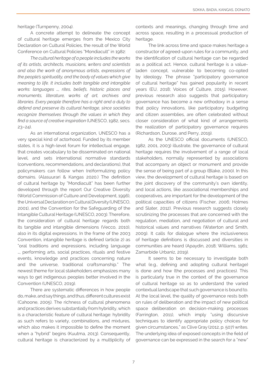heritage (Turnpenny, 2004).

A concrete attempt to delineate the concept of cultural heritage emerges from the Mexico City Declaration on Cultural Policies, the result of the World Conference on Cultural Policies "Mondiacult" in 1982:

*The cultural heritage of a people includes the works of its artists, architects, musicians, writers and scientists and also the work of anonymous artists, expressions of the people's spirituality, and the body of values which give meaning to life. It includes both tangible and intangible works: languages …, rites, beliefs, historic places and monuments, literature, works of art, archives and libraries. Every people therefore has a right and a duty to defend and preserve its cultural heritage, since societies recognize themselves through the values in which they find a source of creative inspiration* (UNESCO, 1982, secs.  $23 - 24$ ).

As an international organization, UNESCO has a very special kind of actorhood. Funded by its member states, it is a high-level forum for intellectual engage, that creates vocabulary to be disseminated on national level, and sets international normative standards (conventions, recommendations, and declarations), that policymakers can follow when (re)formulizing policy domains. (Alasuurari & Kangas 2020.) The definition of cultural heritage by "Mondiacult" has been further developed through the report Our Creative Diversity (World Commission of Culture and Development, 1996), the Universal Declaration on Cultural Diversity (UNESCO, 2001), and the Convention for the Safeguarding of the Intangible Cultural Heritage (UNESCO, 2003). Therefore, the consideration of cultural heritage regards both its tangible and intangible dimensions (Vecco, 2010), also in its digital expressions. In the frame of the 2003 Convention, intangible heritage is defined (article 2) as "oral traditions and expressions, including language …, performing arts, social practices, rituals and festive events, knowledge and practices concerning nature and the universe, traditional craftsmanship." The newest theme for local stakeholders emphasizes many ways to get indigenous peoples better involved in the Convention (UNESCO, 2019).

There are systematic differences in how people do, make, and say things, and thus, different cultures exist (Cahoone, 2005). The richness of cultural phenomena and practices derives substantially from hybridity, which is a characteristic feature of cultural heritage: hybridity as such refers to variety, combinations, and mixtures, which also makes it impossible to define the moment when a "hybrid" begins (Kuutma, 2013). Consequently, cultural heritage is characterized by a multiplicity of

contexts and meanings, changing through time and across space, resulting in a processual production of heritage.

The link across time and space makes heritage a constructor of agreed-upon rules for a community, and the identification of cultural heritage can be regarded as a political act. Hence, cultural heritage is a valueladen concept, vulnerable to becoming co-opted by ideology. The phrase "participatory governance of cultural heritage" has gained popularity in recent years (EU, 2018; Voices of Culture, 2015). However, previous research also suggests that participatory governance has become a new orthodoxy in a sense that policy innovations, like participatory budgeting and citizen assemblies, are often celebrated without closer consideration of what kind of arrangements the realization of participatory governance requires (Richardson, Durose, and Perry, 2019).

As the UNESCO official documents (UNESCO, 1982, 2001, 2003) illustrate, the governance of cultural heritage requires the involvement of a range of local stakeholders, normally represented by associations that accompany an object or monument and provide the sense of being part of a group (Blake, 2000). In this view, the development of cultural heritage is based on the joint discovery of the community's own identity, and local actions, like associational memberships and cooperatives, are important for the development of the political capacities of citizens (Fischer, 2006; Holmes and Slater, 2012). Previous research suggests closely scrutinizing the processes that are concerned with the regulation, mediation, and negotiation of cultural and historical values and narratives (Waterton and Smith, 2009). It calls for dialogue where the inclusiveness of heritage definitions is discussed and diversities in communities are heard (Apaydin, 2018; Williams, 1961; Zamarbide Urbaniz, 2019).

It seems to be necessary to investigate both what (e.g., defining and adopting cultural heritage) is done and how (the processes and practices). This is particularly true in the context of the governance of cultural heritage so as to understand the varied contextual landscape that such governance is bound to. At the local level, the quality of governance rests both on rules of deliberation and the impact of new political space deliberation on decision-making processes (Farrington, 2011), which imply "using discursive techniques to identify appropriate policy choices for given circumstances," as Clive Gray (2012, p. 507) writes. The underlying idea of exposed concepts in the field of governance can be expressed in the search for a "new"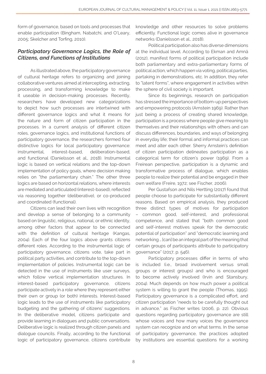form of governance, based on tools and processes that enable participation (Bingham, Nabatchi, and O'Leary, 2005; Skelcher and Torfing, 2010).

## *Participatory Governance Logics, the Role of Citizens, and Functions of Institutions*

As illustrated above, the participatory governance of cultural heritage refers to organizing and joining collaborative ventures aimed at intercepting, extracting, processing, and transforming knowledge to make it useable in decision-making processes. Recently, researchers have developed new categorizations to depict how such processes are intertwined with different governance logics and what it means for the nature and form of citizen participation in the processes. In a current analysis of different citizen roles, governance logics, and institutional functions of participatory governance, the researchers formed four distinctive logics for local participatory governance: instrumental, interest-based, deliberation-based, and functional (Danielsson et al., 2018). Instrumental logic is based on vertical relations and the top-down implementation of policy goals, where decision making relies on "the parliamentary chain." The other three logics are based on horizontal relations, where interests are mediated and articulated (interest-based), reflected via reasoning together (deliberative), or co-produced and coordinated (functional).

Citizens can lead their own lives with recognition and develop a sense of belonging to a community based on linguistic, religious, national, or ethnic identity, among other factors that appear to be connected with the definition of cultural heritage (Kangas, 2004). Each of the four logics above grants citizens different roles. According to the instrumental logic of participatory governance, citizens vote, take part in political party activities, and contribute to the top-down implementation of policies. Instrumental logic can be detected in the use of instruments like user surveys, which follow vertical implementation structures. In interest-based participatory governance, citizens participate actively in a role where they represent either their own or group (or both) interests. Interest-based logic leads to the use of instruments like participatory budgeting and the gathering of citizens' suggestions. In the deliberative model, citizens participate and provide learning in dialogues and public conversations. Deliberative logic is realized through citizen panels and dialogue councils. Finally, according to the functional logic of participatory governance, citizens contribute

knowledge and other resources to solve problems efficiently. Functional logic comes alive in governance networks (Danielsson et al., 2018).

Political participation also has diverse dimensions at the individual level. According to Ekman and Amnå (2012), manifest forms of political participation include both parliamentary and extra-parliamentary forms of political action, which happen via voting, political parties, partaking in demonstrations, etc. In addition, they refer to "latent forms", where engagement in activities within the sphere of civil society is important.

Since its beginnings, research on participation has stressed the importance of bottom-up perspectives and empowering protocols (Arnstein 1969). Rather than just being a process of creating shared knowledge, participation is a process where people give meaning to themselves and their relationships with others and can discuss differences, boundaries, and ways of belonging in everyday life; their formal and informal practices can meet and alter each other. Sherry Arnstein's definition of citizen participation delineates participation as a categorical term for citizen's power (1969). From a Freirean perspective, participation is a dynamic and transformative process of dialogue, which enables people to realize their potential and be engaged in their own welfare (Freire, 1972; see Fischer, 2006).

Per Gustafson and Nils Hertting (2017) found that people choose to participate for substantially different reasons. Based on empirical analysis, they produced three distinct types of motives for participation – common good, self-interest, and professional competence, and stated that "both common good and self-interest motives speak for the democratic potential of participation" and "democratic learning and networking … [can] be an integral part of the meaning that certain groups of participants attribute to participatory governance" (2017, p. 546).

Participatory processes differ in terms of who is included (i.e., broad involvement versus small groups or interest groups) and who is encouraged to become actively involved (Irvin and Stansbury, 2004). Much depends on how much power a political system is willing to grant the people (Thomas, 1995). Participatory governance is a complicated effort, and citizen participation "needs to be carefully thought out in advance," as Fischer writes (2006, p. 22). Obvious questions regarding participatory governance are still whose voices and how many voices the governance system can recognize and on what terms. In the sense of participatory governance, the practices adopted by institutions are essential questions for a working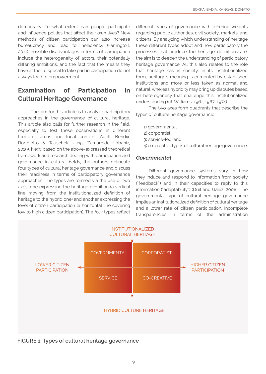democracy. To what extent can people participate and influence politics that affect their own lives? New methods of citizen participation can also increase bureaucracy and lead to inefficiency (Farrington, 2011). Possible disadvantages in terms of participation include the heterogeneity of actors, their potentially differing ambitions, and the fact that the means they have at their disposal to take part in participation do not always lead to empowerment.

## Examination of Participation in Cultural Heritage Governance

The aim for this article is to analyze participatory approaches in the governance of cultural heritage. This article also calls for further research in the field, especially to test these observations in different territorial areas and local context (Adell, Bendix, Bortolotto & Tauschek, 2015; Zamarbide Urbaniz, 2019). Next, based on the above-expressed theoretical framework and research dealing with participation and governance in cultural fields, the authors delineate four types of cultural heritage governance and discuss their readiness in terms of participatory governance approaches. The types are formed via the use of two axes, one expressing the heritage definition (a vertical line moving from the institutionalized definition of heritage to the hybrid one) and another expressing the level of citizen participation (a horizontal line covering low to high citizen participation). The four types reflect

different types of governance with differing weights regarding public authorities, civil society, markets, and citizens. By analyzing which understanding of heritage these different types adopt and how participatory the processes that produce the heritage definitions are, the aim is to deepen the understanding of participatory heritage governance. All this also relates to the role that heritage has in society: in its institutionalized form, heritage's meaning is cemented by established institutions and more or less taken as normal and natural, whereas hybridity may bring up disputes based on heterogeneity that challenge this institutionalized understanding (cf. Williams, 1961, 1967, 1974).

The two axes form quadrants that describe the types of cultural heritage governance:

- 1) governmental,
- 2) corporatist,
- 3) service-led, and
- 4) co-creative types of cultural heritage governance.

#### *Governmental*

Different governance systems vary in how they induce and respond to information from society ("feedback") and in their capacities to reply to this information ("adaptability") (Duit and Galaz, 2008). The governmental type of cultural heritage governance implies an institutionalized definition of cultural heritage and a lower rate of citizen participation. Incomplete transparencies in terms of the administration



FIGURE 1. Types of cultural heritage governance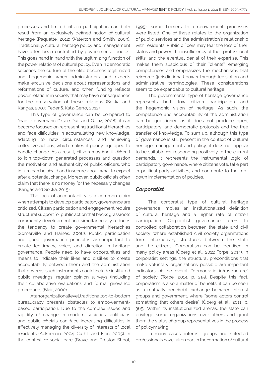processes and limited citizen participation can both result from an exclusively defined notion of cultural heritage (Paquette, 2012; Waterton and Smith, 2009). Traditionally, cultural heritage policy and management have often been controlled by governmental bodies. This goes hand in hand with the legitimizing function of the power relations of cultural policy. Even in democratic societies, the culture of the elite becomes legitimized and hegemonic when administrators and experts make exclusive decisions about representations and reformations of culture, and when funding reflects power relations in society that may have consequences for the preservation of these relations (Sokka and Kangas, 2007; Feder & Katz-Gerro, 2012).

This type of governance can be compared to "fragile governance" (see Duit and Galaz, 2008): it can become focused on representing traditional hierarchies and face difficulties in accumulating new knowledge, adapting to new circumstances, and achieving collective actions, which makes it poorly equipped to handle change. As a result, citizen may find it difficult to join top-down generated processes and question the motivation and authenticity of public officers, who in turn can be afraid and insecure about what to expect after a potential change. Moreover, public officials often claim that there is no money for the necessary changes (Kangas and Sokka, 2015).

The lack of accountability is a common claim when attempts to develop participatory governance are criticized. Citizen participation and engagement require structural support for public action that backs grassroots community development and simultaneously reduces the tendency to create governmental hierarchies (Somerville and Haines, 2008). Public participation and good governance principles are important to create legitimacy, voice, and direction in heritage governance. People need to have opportunities and means to indicate their likes and dislikes to create accountability between them and the administration that governs: such instruments could include instituted public meetings, regular opinion surveys (including their collaborative evaluation), and formal grievance procedures (Blair, 2000).

At an organizational level, traditional top-to-bottom bureaucracy presents obstacles to empowermentbased participation. Due to the complex issues and rapidity of change in modern societies, politicians and public officials can face increasing difficulties in effectively managing the diversity of interests of local residents (Ackerman, 2004; Cuthill and Fien, 2005). In the context of social care (Braye and Preston-Shoot,

1995), some barriers to empowerment processes were listed. One of these relates to the organization of public services and the administration's relationship with residents. Public officers may fear the loss of their status and power, the insufficiency of their professional skills, and the eventual denial of their expertise. This makes them suspicious of their "clients'" emerging competences and emphasizes the mechanisms that reinforce (jurisdictional) power through legislation and administrative terminologies. These considerations seem to be expandable to cultural heritage.

The governmental type of heritage governance represents both low citizen participation and the hegemonic vision of heritage. As such, the competence and accountability of the administration can be questioned as it does not produce open, participatory, and democratic protocols and the free transfer of knowledge. To sum up, although this type of governance is still present in the context of cultural heritage management and policy, it does not appear to be suitable for responding positively to the current demands. It represents the instrumental logic of participatory governance, where citizens vote, take part in political party activities, and contribute to the topdown implementation of policies.

## *Corporatist*

The corporatist type of cultural heritage governance implies an institutionalized definition of cultural heritage and a higher rate of citizen participation. Corporatist governance refers to controlled collaboration between the state and civil society, where established civil society organizations form intermediary structures between the state and the citizens. Corporatism can be identified in many policy areas (Öberg et al., 2011; Torpe, 2014). In corporatist settings, the structural preconditions that make voluntary organizations possible are important indicators of the overall "democratic infrastructure" of society (Torpe, 2014, p. 215). Despite this fact, corporatism is also a matter of benefits: it can be seen as a mutually beneficial exchange between interest groups and government, where "some actors control something that others desire" (Öberg et al., 2011, p. 365). Within its institutionalized arenas, the state can privilege some organizations over others and grant them the status of group representatives in the process of policymaking.

In many cases, interest groups and selected professionals have taken part in the formation of cultural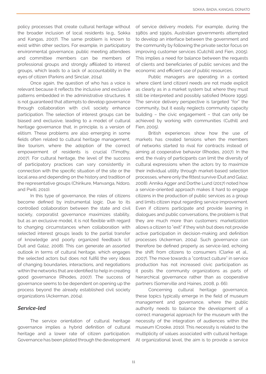policy processes that create cultural heritage without the broader inclusion of local residents (e.g., Sokka and Kangas, 2007). The same problem is known to exist within other sectors. For example, in participatory environmental governance, public meeting attendees and committee members can be members of professional groups and strongly affiliated to interest groups, which leads to a lack of accountability in the eyes of citizen (Parkins and Sinclair, 2014).

Once again, the question of who has a voice is relevant because it reflects the inclusive and exclusive patterns embedded in the administrative structures. It is not guaranteed that attempts to develop governance through collaboration with civil society enhance participation. The selection of interest groups can be biased and exclusive, leading to a model of cultural heritage governance that, in principle, is a version of elitism. These problems are also emerging in some fields often related to cultural heritage management, like tourism, where the adoption of the correct empowerment of residents is crucial (Timothy, 2007). For cultural heritage, the level of the success of participatory practices can vary consistently in connection with the specific situation of the site or the local area and depending on the history and tradition of the representative groups (Chirikure, Manvanga, Ndoro, and Pwiti, 2010).

In this type of governance, the roles of citizens become defined by instrumental logic. Due to its controlled collaboration between the state and civil society, corporatist governance maximizes stability, but as an exclusive model, it is not flexible with regard to changing circumstances when collaboration with selected interest groups leads to the partial transfer of knowledge and poorly organized feedback (cf. Duit and Galaz, 2008). This can generate an assorted outlook in terms of cultural heritage, which engages the selected actors but does not fulfill the very ideas of changing boundaries, interactions, and negotiations within the networks that are identified to help in creating good governance (Rhodes, 2007). The success of governance seems to be dependent on opening up the process beyond the already established civil society organizations (Ackerman, 2004).

#### *Service-led*

The service orientation of cultural heritage governance implies a hybrid definition of cultural heritage and a lower rate of citizen participation. Governance has been piloted through the development

of service delivery models. For example, during the 1980s and 1990s, Australian governments attempted to develop an interface between the government and the community by following the private sector focus on improving customer services (Cutchill and Fien, 2005). This implies a need for balance between the requests of clients and beneficiaries of public services and the economic and efficient use of public resources.

Public managers are operating in a context where client (and citizen) needs are not made explicit as clearly as in a market system but where they must still be interpreted and possibly satisfied (Moore 1995). The service delivery perspective is targeted "for" the community, but it easily neglects community capacity building – the civic engagement – that can only be achieved by working with communities (Cuthill and Fien, 2005).

British experiences show how the use of markets has created tensions when the members of networks started to rival for contracts instead of aiming at cooperative behavior (Rhodes, 2007). In the end, the rivalry of participants can limit the diversity of cultural expressions when the actors try to maximize their individual utility through market-based selection processes, where only the fittest survive (Duit and Galaz, 2008). Annika Agger and Dorthe Lund (2017) noted how a service-oriented approach makes it hard to engage citizens in the production of public services as a group and limits citizen input regarding service improvement. Even if citizens participate and provide learning in dialogues and public conversations, the problem is that they are much more than customers: marketization allows a citizen to "exit" if they wish but does not provide active participation in decision-making and definition processes (Ackerman, 2004). Such governance can therefore be defined properly as service-led, echoing the shift from citizens to consumers (Clarke et al., 2007). The move towards a "contract culture" in service production has not increased civic participation as it posits the community organizations as parts of hierarchical governance rather than as cooperative partners (Somerville and Haines, 2008, p. 66).

Concerning cultural heritage governance, these topics typically emerge in the field of museum management and governance, where the public authority needs to balance the development of a correct managerial approach for the museum with the necessity of the integration of audiences within the museum (Crooke, 2010). This necessity is related to the multiplicity of values associated with cultural heritage. At organizational level, the aim is to provide a service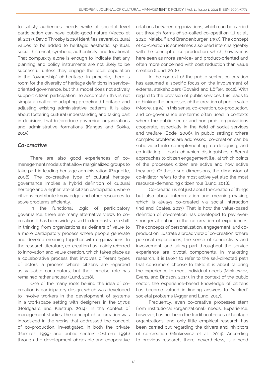to satisfy audiences´ needs while at societal level participation can have public-good nature (Vecco et al. 2017). David Throsby (2010) identifies several cultural values to be added to heritage: aesthetic, spiritual, social, historical, symbolic, authenticity, and locational. That complexity alone is enough to indicate that any planning and policy instruments are not likely to be successful unless they engage the local population in the "ownership" of heritage. In principle, there is room for the diversity of heritage definitions in serviceoriented governance, but this model does not actively support citizen participation. To accomplish this is not simply a matter of adapting predefined heritage and adjusting existing administrative patterns: it is also about fostering cultural understanding and taking part in decisions that (re)produce governing organizations and administrative formations (Kangas and Sokka, 2015).

### *Co-creative*

There are also good experiences of comanagement models that allow marginalized groups to take part in leading heritage administration (Paquette, 2008). The co-creative type of cultural heritage governance implies a hybrid definition of cultural heritage and a higher rate of citizen participation, where citizens contribute knowledge and other resources to solve problems efficiently.

In the functional logic of participatory governance, there are many alternative views to cocreation. It has been widely used to demonstrate a shift in thinking from organizations as definers of value to a more participatory process where people generate and develop meaning together with organizations. In the research literature, co-creation has mainly referred to innovation and value creation, which takes place as a collaborative process that involves different types of actors: a process where citizens are regarded as valuable contributors, but their precise role has remained rather unclear (Lund, 2018).

One of the many roots behind the idea of cocreation is participatory design, which was developed to involve workers in the development of systems in a workspace setting with designers in the 1970s (Holdgaard and Klastrup, 2014). In the context of management studies, the concept of co-creation was introduced in the works that addressed the concept of co-production, investigated in both the private (Ramírez, 1999) and public sectors (Ostrom, 1996) through the development of flexible and cooperative

relations between organizations, which can be carried out through forms of so-called co-opetition (Li et al., 2020; Nalebuff and Brandenburger, 1997). The concept of co-creation is sometimes also used interchangeably with the concept of co-production, which, however, is here seen as more service- and product-oriented and often more concerned with cost reduction than value creation (Lund, 2018).

In the context of the public sector, co-creation has assumed a specific focus on the involvement of external stakeholders (Bovaird and Löffler, 2012). With regard to the provision of public services, this leads to rethinking the processes of the creation of public value (Moore, 1995). In this sense, co-creation, co-production, and co-governance are terms often used in contexts where the public sector and non-profit organizations cooperate, especially in the field of social services and welfare (Bode, 2006). In public settings where complex problems are addressed, co-creation can be subdivided into co-implementing, co-designing, and co-initiating – each of which distinguishes different approaches to citizen engagement (i.e., at which points of the processes citizen are active and how active they are). Of these sub-dimensions, the dimension of co-initiator refers to the most active yet also the most resource-demanding citizen role (Lund, 2018).

Co-creation is not just about the creation of things but also about interpretation and meaning-making, which is always co-created via social interaction (Ind and Coates, 2013). That is how the value-based definition of co-creation has developed to pay everstronger attention to the co-creation of experiences. The concepts of personalization, engagement, and coproduction illustrate a broad view of co-creation, where personal experiences, the sense of connectivity and involvement, and taking part throughout the service experience are pivotal components. In marketing research, it is taken to refer to the self-directed path that consumers choose to take: it is about tailoring the experience to meet individual needs (Minkiewicz, Evans, and Bridson, 2014). In the context of the public sector, the experience-based knowledge of citizens has become valued in finding answers to "wicked" societal problems (Agger and Lund, 2017).

Frequently, even co-creative processes stem from institutional (organizational) needs. Experience, however, has not been the traditional focus of heritage organizations, and only little empirical research has been carried out regarding the drivers and inhibitors of co-creation (Minkiewicz et al., 2014). According to previous research, there, nevertheless, is a need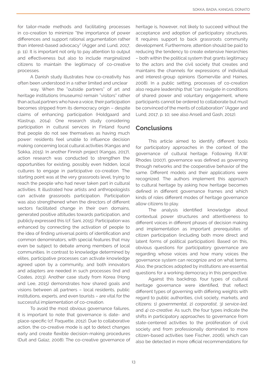for tailor-made methods and facilitating processes in co-creation to minimize "the importance of power differences and support rational argumentation rather than interest-based advocacy" (Agger and Lund, 2017, p. 11). It is important not only to pay attention to output and effectiveness but also to include marginalized citizens to maintain the legitimacy of co-creative processes.

A Danish study illustrates how co-creativity has often been understood in a rather limited and unclear

way. When the "outside partners" of art and heritage institutions (museums) remain "visitors" rather than actual partners who have a voice, their participation becomes stripped from its democracy origin – despite claims of enhancing participation (Holdgaard and Klastrup, 2014). One research study considering participation in cultural services in Finland found that people do not see themselves as having much power: residents feel unable to influence decision making concerning local cultural activities (Kangas and Sokka, 2015). In another Finnish project (Kangas, 2017), action research was conducted to strengthen the opportunities for existing, possibly even hidden, local cultures to engage in participative co-creation. The starting point was at the very grassroots level, trying to reach the people who had never taken part in cultural activities. It illustrated how artists and anthropologists can activate grassroots participation. Participation was also strengthened when the directors of different sectors facilitated change in their own domains, generated positive attitudes towards participation, and publicly expressed this (cf. Sani, 2015). Participation was enhanced by connecting the activation of people to the idea of finding universal points of identification and common denominators, with special features that may even be subject to debate among members of local communities. In contrast to knowledge determined by elites, participative processes can activate knowledge agreed upon by a community, and both innovators and adapters are needed in such processes (Ind and Coates, 2013). Another case study from Korea (Hong and Lee, 2015) demonstrates how shared goals and visions between all partners – local residents, public institutions, experts, and even tourists – are vital for the successful implementation of co-creation.

To avoid the most obvious governance failures, it is important to note that governance is date- and place-specific (cf. Paquette, 2012). Due to collaborative action, the co-creative mode is apt to detect changes early and create flexible decision-making procedures (Duit and Galaz, 2008). The co-creative governance of heritage is, however, not likely to succeed without the acceptance and adoption of participatory structures. It requires support to back grassroots community development. Furthermore, attention should be paid to reducing the tendency to create extensive hierarchies – both within the political system that grants legitimacy to the actors and the civil society that creates and maintains the channels for expressions of individual and interest-group opinions (Somerville and Haines, 2008). In a public setting, processes of co-creation also require leadership that "can navigate in conditions of shared power and voluntary engagement, where participants cannot be ordered to collaborate but must be convinced of the merits of collaboration" (Agger and Lund, 2017, p. 10; see also Ansell and Gash, 2012).

### **Conclusions**

This article aimed to identify different tools for participatory approaches in the context of the governance of cultural heritage. Following R.A.W. Rhodes (2007), governance was defined as governing through networks and the cooperative behavior of the same. Different models and their applications were recognized. The authors implement this approach to cultural heritage by asking how heritage becomes defined in different governance frames and which kinds of roles different modes of heritage governance allow citizens to play.

The analysis identified knowledge about contextual power structures and attentiveness to different voices in different phases of decision making and implementation as important prerequisites of citizen participation (including both more direct and latent forms of political participation). Based on this, obvious questions for participatory governance are regarding whose voices and how many voices the governance system can recognize and on what terms. Also, the practices adopted by institutions are essential questions for a working democracy in this perspective.

Against this backdrop, four types of cultural heritage governance were identified, that reflect different types of governing with differing weights with regard to public authorities, civil society, markets, and citizens: 1) *governmental*, 2) *corporatist*, 3) *service-led,*  and 4) *co-creative.* As such, the four types indicate the shifts in participatory approaches to governance from state-centered activities to the proliferation of civil society and from professionally dominated to more citizen-based activities (see Fischer, 2006), which can also be detected in more official recommendations for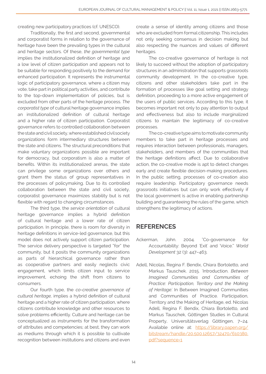creating new participatory practices (cf. UNESCO).

Traditionally, the first and second, governmental and corporatist forms in relation to the governance of heritage have been the prevailing types in the cultural and heritage sectors. Of these, *the governmental type* implies the institutionalized definition of heritage and a low level of citizen participation and appears not to be suitable for responding positively to the demand for enhanced participation. It represents the instrumental logic of participatory governance, where a citizen may vote, take part in political party activities, and contribute to the top-down implementation of policies, but is excluded from other parts of the heritage process. *The corporatist type* of cultural heritage governance implies an institutionalized definition of cultural heritage and a higher rate of citizen participation. Corporatist governance refers to controlled collaboration between the state and civil society, where established civil society organizations form intermediary structures between the state and citizens. The structural preconditions that make voluntary organizations possible are important for democracy, but corporatism is also a matter of benefits. Within its institutionalized arenas, the state can privilege some organizations over others and grant them the status of group representatives in the processes of policymaking. Due to its controlled collaboration between the state and civil society, corporatist governance maximizes stability but is not flexible with regard to changing circumstances.

The third type, the *service orientation* of cultural heritage governance implies a hybrid definition of cultural heritage and a lower rate of citizen participation. In principle, there is room for diversity in heritage definitions in service-led governance, but this model does not actively support citizen participation. The service delivery perspective is targeted "for" the community, but it posits the community organizations as parts of hierarchical governance rather than as cooperative partners and easily neglects civic engagement, which limits citizen input to service improvement, echoing the shift from citizens to consumers.

Our fourth type, the *co-creative governance of cultural heritage,* implies a hybrid definition of cultural heritage and a higher rate of citizen participation, where citizens contribute knowledge and other resources to solve problems efficiently. Culture and heritage can be conceptualized as instruments for the transformation of attributes and competencies; at best, they can work as mediums through which it is possible to cultivate recognition between institutions and citizens and even

create a sense of identity among citizens and those who are excluded from formal citizenship. This includes not only seeking consensus in decision making but also respecting the nuances and values of different heritages.

The co-creative governance of heritage is not likely to succeed without the adoption of participatory structures in an administration that supports grassroots community development. In the co-creative type, citizens and other stakeholders take part in the formation of processes like goal setting and strategy definition, proceeding to a more active engagement of the users of public services. According to this type, it becomes important not only to pay attention to output and effectiveness but also to include marginalized citizens to maintain the legitimacy of co-creative processes.

The co-creative type aims to motivate community members to take part in heritage processes and requires interaction between professionals, managers, stakeholders, and members of the communities that the heritage definitions affect. Due to collaborative action, the co-creative mode is apt to detect changes early and create flexible decision-making procedures. In the public setting, processes of co-creation also require leadership. Participatory governance needs grassroots initiatives but can only work effectively if the local government is active in enabling partnership building and guaranteeing the rules of the game, which strengthens the legitimacy of actions.

## REFERENCES

- Ackerman, John. 2004. "Co-governance for Accountability: Beyond 'Exit' and 'Voice.'" *World Development* 32 (3): 447–463.
- Adell, Nicolas, Regina F. Bendix, Chiara Bortoletto, and Markus Tauschek. 2015. 'Introduction. *Between Imagined Communities and Communities of Practice: Participation, Territory and the Making of Heritage*.' In Between Imagined Communities and Communities of Practice. Participation, Territory and the Making of Heritage, ed. Nicolas Adell, Regina F. Bendix, Chiara Bortoletto, and Markus Tauschek, Göttingen Studies in Cultural Property, Universitätsverlag Göttingen, 7–24. Available online at: [https://library.oapen.org/](https://library.oapen.org/bitstream/handle/20.500.12657/32470/610380.pdf?sequence=1 ) [bitstream/handle/20.500.12657/32470/610380.](https://library.oapen.org/bitstream/handle/20.500.12657/32470/610380.pdf?sequence=1 ) [pdf?sequence=1](https://library.oapen.org/bitstream/handle/20.500.12657/32470/610380.pdf?sequence=1 )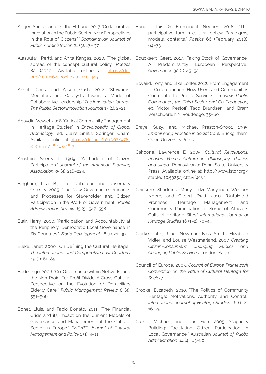- Agger, Annika, and Dorthe H. Lund. 2017. "Collaborative Innovation in the Public Sector. New Perspectives in the Role of Citizens?" *Scandinavian Journal of Public Administration* 21 (3), 17– 37.
- Alasuutari, Pertti, and Anita Kangas. 2020. "The global spread of the concept cultural policy." *Poetics* 82 (2020). Available online at: [https://doi.](https://doi.org/10.1016/j.poetic.2020.101445 ) [org/10.1016/j.poetic.2020.101445](https://doi.org/10.1016/j.poetic.2020.101445 )
- Ansell, Chris, and Alison Gash. 2012. "Stewards, Mediators, and Catalysts: Toward a Model of Collaborative Leadership." *The Innovation Journal: The Public Sector Innovation Journal* 17 (1), 2–21.
- Apaydin, Veysel. 2018. 'Critical Community Engagement in Heritage Studies.' In *Encyclopedia of Global Archeology,* ed. Claire Smith. Springer, Cham. Available online at: [https://doi.org/10.1007/978-](https://doi.org/10.1007/978-3-319-51726-1_3348-1 ) [3-319-51726-1\\_3348-1](https://doi.org/10.1007/978-3-319-51726-1_3348-1 )
- Arnstein, Sherry R. 1969. "A Ladder of Citizen Participation." *Journal of the American Planning Association* 35 (4): 216–224.
- Bingham, Lisa B., Tina Nabatchi, and Rosemary O'Leary. 2005. "The New Governance: Practices and Processes for Stakeholder and Citizen Participation in the Work of Government." *Public Administration Review* 65 (5): 547–558.
- Blair, Harry. 2000. "Participation and Accountability at the Periphery: Democratic Local Governance in Six Countries." *World Development* 28 (1): 21–39.
- Blake, Janet. 2000. "On Defining the Cultural Heritage." *The International and Comparative Law Quarterly*  49 (1): 61–85.
- Bode, Ingo. 2006. "Co-Governance within Networks and the Non-Profit-For-Profit Divide. A Cross-Cultural Perspective on the Evolution of Domiciliary Elderly Care." *Public Management Review* 8 (4): 551–566.
- Bonet, Lluis, and Fabio Donato. 2011. "The Financial Crisis and its Impact on the Current Models of Governance and Management of the Cultural Sector in Europe." *ENCATC Journal of Cultural Management and Policy* 1 (1): 4–11.
- Bonet, Lluis & Emmanuel Négrier. 2018. "The participative turn in cultural policy: Paradigms, models, contexts." *Poetics* 66 (February 2018), 64–73.
- Bouckaert, Geert. 2017. "Taking Stock of 'Governance': A Predominantly European Perspective." *Governance* 30 (1): 45–52.
- Bovaird, Tony, and Elke Löffler. 2012. 'From Engagement to Co-production: How Users and Communities Contribute to Public Services.' In *New Public Governance, the Third Sector and Co-Production,*  ed. Victor Pestoff, Taco Brandsen, and Bram Verschuere. NY: Routledge, 35–60.
- Braye, Suzy, and Michael Preston-Shoot. 1995. *Empowering Practice in Social Care.* Buckginham: Open University Press.
- Cahoone, Lawrence E. 2005. *Cultural Revolutions: Reason Versus Culture in Philosophy, Politics and Jihad.* Pennsylvania: Penn State University Press. Available online at: http://www.jstor.org/ stable/10.5325/j.ctt1wf4csh
- Chirikure, Shadreck, Munyaradzi Manyanga, Webber Ndoro, and Gilbert Pwiti. 2010. "Unfulfilled Promises? Heritage Management and Community Participation at Some of Africa' s Cultural Heritage Sites." *International Journal of Heritage Studies* 16 (1–2): 30–44.
- Clarke, John, Janet Newman, Nick Smith, Elizabeth Vidler, and Louise Westmarland. 2007. *Creating Citizen-Consumers: Changing Publics and Changing Public Services.* London: Sage.
- Council of Europe. 2005. *Council of Europe Framework Convention on the Value of Cultural Heritage for Society.*
- Crooke, Elizabeth. 2010. "The Politics of Community Heritage: Motivations, Authority and Control." *International Journal of Heritage Studies* 16 (1–2): 16–29.
- Cuthill, Michael, and John Fien. 2005. "Capacity Building: Facilitating Citizen Participation in Local Governance." Australian *Journal of Public Administration* 64 (4): 63–80.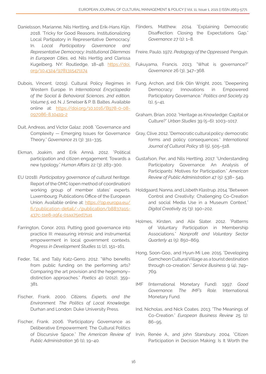- Danielsson, Marianne, Nils Hertting, and Erik-Hans Klijn. 2018. 'Tricky for Good Reasons. Institutionalizing Local Partipatory in Representative Democracy.' In. *Local Participatory Governance and Representative Democracy: Institutional Dilemmas in European Cities*, ed. Nils Herttig and Clarissa Kugelberg. NY: Routledge, 18–48. [https://doi.](https://doi.org/10.4324/9781315471174 ) [org/10.4324/9781315471174](https://doi.org/10.4324/9781315471174 )
- Dubois, Vincent. (2015). Cultural Policy Regimes in Western Europe. In *International Encyclopedia of the Social & Behavioral Sciences, 2nd edition, Volume 5,* ed. N. J. Smelser & P. B. Baltes. Available online at: [https://doi.org/10.1016/B978-0-08-](https://doi.org/10.1016/B978-0-08-097086-8.10419-2 ) [097086-8.10419-2](https://doi.org/10.1016/B978-0-08-097086-8.10419-2 )
- Duit, Andreas, and Victor Galaz. 2008. "Governance and Complexity — Emerging Issues for Governance Theory." *Governance* 21 (3): 311–335.
- Ekman, Joakim, and Erik Amnå. 2012. "Political participation and citizen engagement: Towards a new typology." *Human Affairs* 22 (3): 283–300.
- EU (2018). *Participatory governance of cultural heritage.*  Report of the OMC (open method of coordination) working group of member states' experts. Luxembourg: Publications Office of the European Union. Available online at: [https://op.europa.eu/](https://op.europa.eu/fi/publication-detail/-/publication/b8837a15-437c-11e8-a9f4-01aa75ed71a1 ) [fi/publication-detail/-/publication/b8837a15-](https://op.europa.eu/fi/publication-detail/-/publication/b8837a15-437c-11e8-a9f4-01aa75ed71a1 ) [437c-11e8-a9f4-01aa75ed71a1](https://op.europa.eu/fi/publication-detail/-/publication/b8837a15-437c-11e8-a9f4-01aa75ed71a1 )
- Farrington, Conor. 2011. Putting good governance into practice III: measuring intrinsic and instrumental empowerment in local government contexts. *Progress in Development Studies* 11 (2), 151–161.
- Feder, Tal, and Tally Katz-Gerro. 2012. "Who benefits from public funding on the performing arts? Comparing the art provision and the hegemony– distinction approaches." *Poetics* 40 (2012), 359– 381.
- Fischer, Frank. 2000. *Citizens, Experts, and the Environment. The Politics of Local Knowledge.*  Durhan and London: Duke University Press.
- Fischer, Frank. 2006. "Participatory Governance as Deliberative Empowerment: The Cultural Politics of Discursive Space." *The American Review of Public Administration* 36 (1), 19–40.

Flinders, Matthew. 2014. "Explaining Democratic Disaffection: Closing the Expectations Gap." *Governance* 27 (1): 1–8.

Freire, Paulo. 1972. *Pedagogy of the Oppressed.* Penguin.

- Fukuyama, Francis. 2013. "What is governance?" *Governance* 26 (3), 347–368.
- Fung, Archon, and Erik Olin Wright. 2001. "Deepening Democracy: Innovations in Empowered Participatory Governance." *Politics and Society* 29  $(1), 5-41.$
- Graham, Brian. 2002. "Heritage as Knowledge: Capital or Culture?" *Urban Studies* 39 (5–6): 1003–1017.
- Gray, Clive. 2012. "Democratic cultural policy: democratic forms and policy consequences." *International Journal of Cultural Policy* 18 (5), 505–518.
- Gustafson, Per, and Nils Hertting. 2017. "Understanding Participatory Governance: An Analysis of Participants' Motives for Participation." *American Review of Public Administration* 47 (5): 538– 549.
- Holdgaard, Nanna, and Lisbeth Klastrup. 2014. "Between Control and Creativity: Challenging Co-Creation and social Media Use in a Museum Context." *Digital Creativity* 25 (3): 190–202.
- Holmes, Kirsten, and Alix Slater. 2012. "Patterns of Voluntary Participation in Membership Associations." *Nonprofit and Voluntary Sector Quarterly* 41 (5): 850–869.
- Hong, Soon-Goo., and Hyun-Mi Lee. 2015. "Developing Gamcheon Cultural Village as a tourist destination through co-creation." *Service Business* 9 (4), 749– 769.
- IMF (International Monetary Fund). 1997. *Good Governance. The IMF's Role.* International Monetary Fund.
- Ind, Nicholas, and Nick Coates. 2013. "The Meanings of Co-Creation." *European Business Review* 25 (1): 86–95.
- Irvin, Renée A., and john Stansbury. 2004. "Citizen Participation in Decision Making: Is It Worth the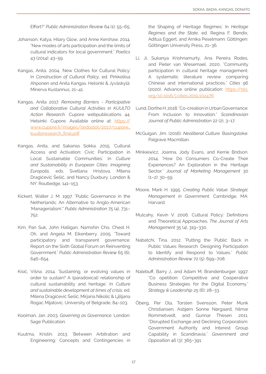Effort?" *Public Administration Review* 64 (1): 55–65.

- Johanson, Katya, Hilary Glow, and Anne Kershaw. 2014. "New modes of arts participation and the limits of cultural indicators for local government." *Poetics* 43 (2014): 43–59.
- Kangas, Anita. 2004. 'New Clothes for Cultural Policy.' In *Construction of Cultural Policy*, ed. Pirkkoliisa Ahponen and Anita Kangas. Helsinki & Jyväskylä: Minerva Kustannus, 21–41.
- Kangas, Anita 2017. *Removing Barriers Participative and Collaborative Cultural Activities in KUULTO Action Research.* Cupore webpublications 44. Helsinki: Cupore. Available online at: [https://](https://www.cupore.fi/images/tiedostot/2017/cupore_kuultoresearch_final.pdf ) [www.cupore.fi/images/tiedostot/2017/cupore\\_](https://www.cupore.fi/images/tiedostot/2017/cupore_kuultoresearch_final.pdf ) [kuultoresearch\\_final.pdf](https://www.cupore.fi/images/tiedostot/2017/cupore_kuultoresearch_final.pdf )
- Kangas, Anita, and Sakarias Sokka. 2015. 'Cultural Access and Activation: Civic Participation in Local Sustainable Communities.' In *Culture and Sustainability in European Cities: Imagining Europolis,* eds. Svetlana Hristova, Milena Dragićević Šešić, and Nancy Duxbury. London & NY: Routledge, 141–153.
- Kickert, Walter J. M. 1997. "Public Governance in the Netherlands: An Alternative to Anglo-American 'Managerialism'." *Public Administration* 75 (4), 731– 752.
- Kim, Pan Suk, John Halligan, Namshin Cho, Cheol H. Oh, and Angela M. Eikenberry. 2005. "Toward participatory and transparent governance: Report on the Sixth Global Forum on Reinventing Government." *Public Administration Review* 65 (6), 646–654.
- Kisić, Višna. 2014. 'Sustaining, or evolving values in order to sustain? A (paradoxical) relationship of cultural sustainability and heritage.' In *Culture and sustainable development at times of crisis,* ed. Milena Dragićević Šešić, Mirjana Nikolic & Ljliljana Rogac Mijatovic. University of Belgrade, 84–103.
- Kooiman, Jan. 2003. *Governing as Governance.* London: Sage Publication.
- Kuutma, Kristin. 2013. 'Between Arbitration and Engineering: Concepts and Contingencies in

the Shaping of Heritage Regimes.' In *Heritage Regimes and the State,* ed. Regina F. Bendix, Aditua Eggert, and Arnika Peselmann. Göttingen: Göttingen University Press, 21–36.

- Li, Ji, Sukanya Krishnamurty, Ana Pereira Rodes, and Pieter van Wesemael. 2020. "Community participation in cultural heritage management: A systematic literature review comparing Chinese and international practices." *Cities* 96 (2020). Advance online publication: [https://doi.](https://doi.org/10.1016/j.cities.2019.102476 ) [org/10.1016/j.cities.2019.102476](https://doi.org/10.1016/j.cities.2019.102476 )
- Lund, Dorthe H. 2018. "Co-creation in Urban Governance: From Inclusion to Innovation." *Scandinavian Journal of Public Administration* 22 (2), 3–17.
- McGuigan, Jim. (2016). *Neoliberal Culture.* Basingstoke: Palgrave Macmillan.
- Minkiewicz, Joanna, Jody Evans, and Kerrie Bridson. 2014. "How Do Consumers Co-Create Their Experiences? An Exploration in the Heritage Sector." *Journal of Marketing Management* 30 (1–2): 30–59.
- Moore, Mark H. 1995. *Creating Public Value: Strategic Management in Government.* Cambridge, MA: Harvard.
- Mulcahy, Kevin V. 2006. Cultural Policy: Definitions and Theoretical Approaches. *The Journal of Arts Management* 35 (4), 319–330.
- Nabatchi, Tina. 2012. "Putting the 'Public' Back in Public Values Research: Designing Participation to Identify and Respond to Values." *Public Administration Review* 72 (5): 699–708.
- Nalebuff, Barry J., and Adam M. Brandenburger. 1997. "Co opetition: Competitive and Cooperative Business Strategies for the Digital Economy." *Strategy & Leadership* 25 (6): 28–33.
- Öberg, Per Ola, Torsten Svensson, Peter Munk Christiansen, Asbjørn Sonne Nørgaard, hilmar Rommetvedt, and Gunnar Thesen. 2011. "Disrupted Exchange and Declining Corporatism: Government Authority and Interest Group Capability in Scandinavia." *Government and Opposition* 46 (3): 365–391.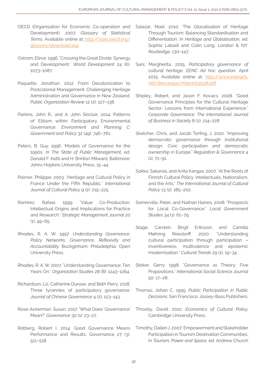- OECD (Organisation for Economic Co-operation and Development). 2007. *Glossary of Statistical Terms.* Available online at: [http://stats.oecd.org/]( http://stats.oecd.org/glossary/download.asp ) [glossary/download.asp]( http://stats.oecd.org/glossary/download.asp )
- Ostrom, Elinor. 1996. "Crossing the Great Divide: Synergy and Development." *World Development* 24 (6): 1073–1087.
- Paquette, Jonathan. 2012. From Decolonization to Postcolonial Management: Challenging Heritage Administration and Governance in New Zealand. *Public Organization Review* 12 (2): 127–138.
- Parkins, John R., and A. John Sinclair. 2014. Patterns of Elitism within Participatory Environmental Governance. *Environment and Planning C: Government and Policy* 32 (49), 746–761.
- Peters, B. Guy. 1996. 'Models of Governance for the 1990s.' In *The State of Public Management,* ed. Donald F. Kettl and H. Brinton Milward. Baltimore: Johns Hopkins University Press, 15–44.
- Poirrier, Philippe. 2003. "Heritage and Cultural Policy in France Under the Fifth Republic." *International*  Journal of Cultural Policy 9 (2): 215-225.
- Ramírez, Rafael. 1999. "Value Co-Production: Intellectual Origins and Implications for Practice and Research." *Strategic Management Journal* 20  $(1)$ : 49-65.
- Rhodes, R. A. W. 1997. *Understanding Governance: Policy Networks, Governance, Reflexivity and Accountability.* Buckginham: Philadelphia: Open University Press.
- Rhodes, R. A. W. 2007. "Understanding Governance: Ten Years On." *Organization Studies* 28 (8): 1243–1264.
- Richardson, Liz, Catherine Durose, and Beth Perry. 2018. Three tyrannies of participatory governance. *Journal of Chinese Governance* 4 (2), 123–143.
- Rose-Ackerman, Susan. 2017. "What Does 'Governance' Mean?" *Governance* 30 (1): 23–27.
- Rotberg, Robert I. 2014. Good Governance Means Performance and Results. Governance 27 (3), 511–518.
- Salazar, Noel. 2010. 'The Glocalisation of Heritage Through Tourism: Balancing Standardisation and Differentiation.' In *Heritage and Globalisation,* ed. Sophia Labadi and Colin Long. London & NY: Routledge, 130–147.
- Sani, Margherita. 2015. *Participatory governance of cultural heritage. EENC Ad hoc question.* April 2015. Available online at: [http://www.interarts.](http://www.interarts.net/descargas/interarts2538.pdf ) [net/descargas/interarts2538.pdf](http://www.interarts.net/descargas/interarts2538.pdf )
- Shipley, Robert, and Jason F. Kovacs. 2008. "Good Governance Principles for the Cultural Heritage Sector: Lessons from International Experience." *Corporate Governance: The International Journal of Business in Society* 8 (2): 214–228.
- Skelcher, Chris, and Jacob Torfing, J. 2010. "Improving democratic governance through institutional design: Civic participation and democratic ownership in Europe." *Regulation & Governance* 4 (1), 71–91.
- Sokka, Sakarias, and Anita Kangas. 2007. "At the Roots of Finnish Cultural Policy: Intellectuals, Nationalism, and the Arts." *The International Journal of Cultural Policy* 13 (2): 185–202.
- Somerville, Peter, and Nathan Haines. 2008. "Prospects for Local Co-Governance." *Local Government Studies* 34 (1): 61–79.
- Stage, Carsten, Birgit Eriksson, and Camilla Møhring Reestorff. 2020. "Understanding cultural participation through participation – inventiveness, multivalence and epistemic modernisation." *Cultural Trends* 29 (1), 19–34.
- Stoker, Gerry. 1998. "Governance as Theory: Five Propositions." *International Social Science Journal*  50: 17–28.
- Thomas, Johan C. 1995. *Public Participation in Public Decisions.* San Francisco: Jossey-Bass Publishers.
- Throsby, David. 2010. *Economics of Cultural Policy.* Cambridge University Press.
- Timothy, Dallen J. 2007. 'Empowerment and Stakeholder Participation in Tourism Destination Communities.' In *Tourism, Power and Space,* ed. Andrew Church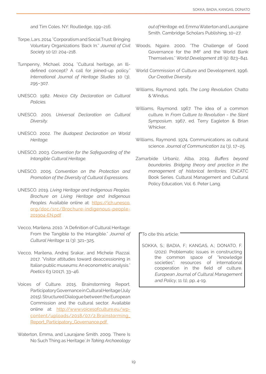and Tim Coles. NY: Routledge, 199–216.

- Torpe, Lars. 2014. "Corporatism and Social Trust: Bringing Voluntary Organizations 'Back In.'" *Journal of Civil Society* 10 (2): 204–218.
- Turnpenny, Michael. 2004. "Cultural heritage, an Illdefined concept? A call for joined-up policy." *International Journal of Heritage Studies* 10 (3), 295–307.
- UNESCO. 1982. *Mexico City Declaration on Cultural Policies.*
- UNESCO. 2001. *Universal Declaration on Cultural Diversity.*
- UNESCO. 2002. *The Budapest Declaration on World Heritage.*
- UNESCO. 2003. *Convention for the Safeguarding of the Intangible Cultural Heritage.*
- UNESCO. 2005. *Convention on the Protection and Promotion of the Diversity of Cultural Expressions.*
- UNESCO. 2019. *Living Heritage and Indigenous Peoples. Brochure on Living Heritage and Indigenous*  Peoples. Available online at: [https://ich.unesco.](https://ich.unesco.org/doc/src/Brochure-indigenous-people-201904-EN.pdf ) [org/doc/src/Brochure-indigenous-people-](https://ich.unesco.org/doc/src/Brochure-indigenous-people-201904-EN.pdf )[201904-EN.pdf](https://ich.unesco.org/doc/src/Brochure-indigenous-people-201904-EN.pdf )
- Vecco, Marilena. 2010. "A Definition of Cultural Heritage: From the Tangible to the Intangible." *Journal of Cultural Heritage* 11 (3): 321–325.
- Vecco, Marilena, Andrej Srakar, and Michele Piazzai. 2017. "Visitor attitudes toward deaccessioning in Italian public museums: An econometric analysis." *Poetics* 63 (2017), 33–46.
- Voices of Culture. 2015. Brainstorming Report. Participatory Governance in Cultural Heritage (July 2015). Structured Dialogue between the European Commission and the cultural sector. Available online at: [http://www.voicesofculture.eu/wp](http://www.voicesofculture.eu/wp-content/uploads/2018/07/2.Brainstorming_Report_Participatory_Govern)[content/uploads/2018/07/2.Brainstorming\\_](http://www.voicesofculture.eu/wp-content/uploads/2018/07/2.Brainstorming_Report_Participatory_Govern) [Report\\_Participatory\\_Governance.pdf](http://www.voicesofculture.eu/wp-content/uploads/2018/07/2.Brainstorming_Report_Participatory_Govern)
- Waterton, Emma, and Laurajane Smith. 2009. 'There Is No Such Thing as Heritage.' *In Taking Archaeology*

*out of Heritage.* ed. Emma Waterton and Laurajane Smith. Cambridge Scholars Publishing, 10–27.

- Woods, Ngaire. 2000. "The Challenge of Good Governance for the IMF and the World Bank Themselves." *World Development* 28 (5): 823–841.
- World Commission of Culture and Development. 1996. *Our Creative Diversity.*
- Williams, Raymond. 1961. *The Long Revolution.* Chatto & Windus.
- Williams, Raymond. 1967. The idea of a common culture. In *From Culture to Revolution ‒ the Slant Symposium,* 1967, ed. Terry Eagleton & Brian Whicker.
- Williams, Raymond. 1974. Communications as cultural science. *Journal of Communication* 24 (3), 17–25.
- Zamarbide Urbaniz, Alba. 2019. *Buffers beyond boundaries. Bridging theory and practice in the management of historical territories.* ENCATC Book Series. Cultural Management and Cultural Policy Education, Vol. 6. Peter Lang.

#### To cite this article:

SOKKA, S.; BADIA, F.; KANGAS, A.; DONATO, F. (2021). Problematic issues in constructing the common space of "knowledge societies": resources of international cooperation in the field of culture. European Journal of Cultural Management and Policy, 11 (1), pp. 4-19.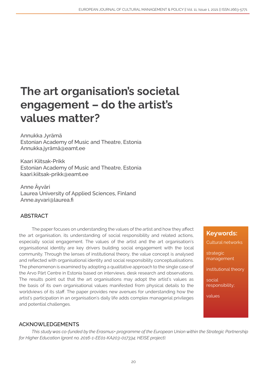## The art organisation's societal engagement – do the artist's values matter?

Annukka Jyrämä Estonian Academy of Music and Theatre, Estonia Annukka.jyrämä@eamt.ee

Kaari Kiitsak-Prikk Estonian Academy of Music and Theatre, Estonia kaari.kiitsak-prikk@eamt.ee

Anne Äyväri Laurea University of Applied Sciences, Finland Anne.ayvari@laurea.fi

## ABSTRACT

The paper focuses on understanding the values of the artist and how they affect the art organisation, its understanding of social responsibility and related actions, especially social engagement. The values of the artist and the art organisation's organisational identity are key drivers building social engagement with the local community. Through the lenses of institutional theory, the value concept is analysed and reflected with organisational identity and social responsibility conceptualisations. The phenomenon is examined by adopting a qualitative approach to the single case of the Arvo Pärt Centre in Estonia based on interviews, desk research and observations. The results point out that the art organisations may adopt the artist's values as the basis of its own organisational values manifested from physical details to the worldviews of its staff. The paper provides new avenues for understanding how the artist's participation in an organisation's daily life adds complex managerial privileges and potential challenges.

## ACKNOWLEDGEMENTS

*This study was co-funded by the Erasmus+ programme of the European Union within the Strategic Partnership for Higher Education (grant no. 2016-1-EE01-KA203-017334; HEISE project).* 

## Keywords:

Cultural networks

strategic management

institutional theory

social responsibility;

values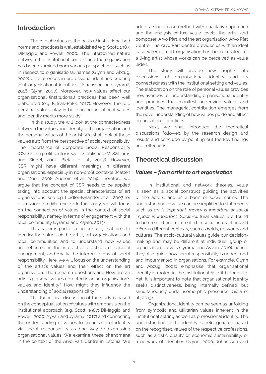## Introduction

The role of values as the basis of institutionalised norms and practices is well established (e.g. Scott, 1987; DiMaggio and Powell, 2000). The intertwined nature between the institutional context and the organisation has been examined from various perspectives, such as in respect to organisational names (Glynn and Abzug, 2002) or differences in professional identities creating joint organisational identities (Johansson and Jyrämä, 2016; Glynn, 2000). Moreover, how values affect our organisational (institutional) practices has been well elaborated (e.g. Kiitsak-Prikk, 2017). However, the role personal values play in building organisational values and identity merits more study.

In this study, we will look at the connectedness between the values and identity of the organisation and the personal values of the artist. We shall look at these values also from the perspective of social responsibility. The importance of Corporate Social Responsibility (CSR) in the profit sector is well established (McWilliams and Siegel, 2001; Bielak et al., 2007). However, CSR might have different meanings in different organisations, especially in non-profit contexts (Matten and Moon, 2008; Andreini et al., 2014). Therefore, we argue that the concept of CSR needs to be applied taking into account the special characteristics of art organisations (see e.g. Leidler-Kylander et al., 2007 for discussions on differences). In this study, we will focus on the connection of values in the context of social responsibility, namely in terms of engagement with the local community (Jyrämä and Kajalo, 2013).

This paper is part of a larger study that aims to identify the values of the artist, art organisations and local communities and to understand how values are reflected in the interactive practices of societal engagement, and finally the interpretations of social responsibility. Here, we will focus on the understanding of the artist's values and their effect on the art organisation. The research questions are: How are an artist's personal values reflected in an art organisation's values and identity? How might they influence the understanding of social responsibility?

The theoretical discussion of the study is based on the conceptualisation of values with emphasis on the institutional approach (e.g. Scott, 1987; DiMaggio and Powell, 2000, Äyväri and Jyrämä, 2017) and connecting the understanding of values to organisational identity via social responsibility as one way of expressing organisational values. We examine these phenomena in the context of the Arvo Pärt Centre in Estonia. We

adopt a single case method with qualitative approach and the analysis of two value levels: the artist and composer, Arvo Pärt, and the art organisation, Arvo Pärt Centre. The Arvo Pärt Centre provides us with an ideal case where an art organisation has been created for a living artist whose works can be perceived as value laden.

The study will provide new insights into discussions of organisational identity and its connectedness with the institutional setting and values. The elaboration on the role of personal values provides new avenues for understanding organisational identity and practices that manifest underlying values and identities. The managerial contribution emerges from the novel understanding of how values guide and affect organisational practices.

Next, we shall introduce the theoretical discussions followed by the research design and results and conclude by pointing out the key findings and reflections.

## Theoretical discussion

#### *Values – from artist to art organisation*

In institutional and network theories, value is seen as a social construct guiding the activities of the actors, and as a basis of social norms. The understanding of value can be simplified to statements such as *art is important, money is important or social impact is important.* Socio-cultural values are found to be created and re-created in social interaction and differ in different contexts, such as fields, networks and cultures. The socio-cultural values guide our decisionmaking and may be different at individual, group or organisational levels (Jyrämä and Äyväri, 2010); hence, they also guide how social responsibility is understood and implemented in organisations. For example, Glynn and Abzug (2002) emphasise that organisational identity is rooted in the institutional field it belongs to. Yet, it is important to note that organisational identity seeks distinctiveness, being internally defined, but simultaneously under isomorphic pressures (Gioia et al., 2013).

Organizational identity can be seen as unfolding from symbolic and utilitarian values inherent in the institutional setting as well as professional identity. The understanding of the identity is (re)negotiated based on the recognised values of the respective professions, such as artistic quality or economic sustainability, or a network of identities (Glynn, 2000; Johansson and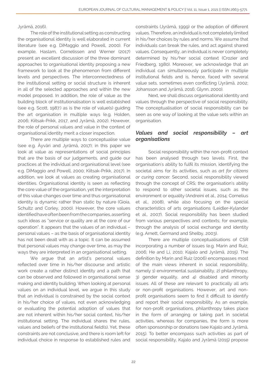Jyrämä, 2016).

The role of the institutional setting as constructing the organisational identity is well elaborated in current literature (see e.g. DiMaggio and Powell, 2000). For example, Haslam, Cornelissen and Werner (2017) present an excellent discussion of the three dominant approaches to organisational identity proposing a new framework to look at the phenomenon from different levels and perspectives. The interconnectedness of the institutional setting or social structure is inherent in all of the selected approaches and within the new model proposed. In addition, the role of value as the building block of institutionalisation is well established (see e.g. Scott, 1987.) as is the role of value(s) guiding the art organisation in multiple ways (e.g. Holden, 2006; Kiitsak-Prikk, 2017, and Jyrämä, 2002). However, the role of personal values and value in the context of organisational identity merit a closer inspection.

There are multiple ways to conceptualise value (see e.g. Äyväri and Jyrämä, 2017); in this paper we look at value as representations of social principles that are the basis of our judgements, and guide our practices at the individual and organisational level (see e.g. DiMaggio and Powell, 2000; Kiitsak-Prikk, 2017). In addition, we look at values as creating organisational identities. Organisational identity is seen as reflecting the core value of the organisation, yet the interpretation of this value changes over time and thus organisational identity is dynamic rather than static by nature (Gioia, Schultz and Corley, 2000). However, the core values identified have often been from the companies, asserting such ideas as "service or quality are at the core of our operation". It appears that the values of an individual – personal values – as the basis of organisational identity has not been dealt with as a topic. It can be assumed that personal values may change over time, as may the ways they are interpreted in an organisational setting.

We argue that an artist's personal values reflected over time in his/her discourse and artistic work create a rather distinct identity and a path that can be observed and followed in organisational sense making and identity building. When looking at personal values on an individual level, we argue in this study that an individual is constrained by the social context in his/her choice of values, not even acknowledging or evaluating the potential adoption of values that are not inherent within his/her social context, his/her institutional setting. The individual shares the rules, values and beliefs of the institutional field(s). Yet, these constraints are not conclusive, and there is room left for individual choice in response to established rules and

constraints (Jyrämä, 1999) or the adoption of different values. Therefore, an individual is not completely limited in his/her choices by rules and norms. We assume that individuals can break the rules, and act against shared values. Consequently, an individual is never completely determined by his/her social context (Crozier and Friedberg, 1980). Moreover, we acknowledge that an individual can simultaneously participate in multiple institutional fields and is, hence, faced with several value sets, sometimes even conflicting (Jyrämä, 2002; Johansson and Jyrämä, 2016; Glynn, 2000).

Next, we shall discuss organisational identity and values through the perspective of social responsibility. The conceptualisation of social responsibility can be seen as one way of looking at the value sets within an organisation.

#### *Values and social responsibility – art organisations*

Social responsibility within the non-profit context has been analysed through two levels. First, the organisation's ability to fulfil its mission, identifying the societal aims for its activities, such as *art for citizens or curing cancer.* Second, social responsibility viewed through the concept of CRS; the organisation's ability to respond to other societal issues, such as the environment or equality (Andreini et al., 2014; Cornelius et al., 2008), while also focusing on the special characteristics of arts organisations (Leidler-Kylander et al., 2007). Social responsibility has been studied from various perspectives and contexts; for example, through the analysis of social exchange and identity (e.g. Arnett, Germand and Shelby, 2003).

There are multiple conceptualisations of CSR incorporating a number of issues (e.g. Marin and Ruiz, 2006; He and Li, 2010; Kajalo and Jyrämä, 2015). The definition by Marin and Ruiz (2006) encompasses most of the main views inherent in social responsibility, namely 1) environmental sustainability, 2) philanthropy, 3) gender equality, and 4) disabled and minority issues. All of these are relevant to practically all arts or non-profit organisations. However, art and nonprofit organisations seem to find it difficult to identify and report their social responsibility. As an example, for non-profit organisations, philanthropy takes place in the form of arranging or taking part in societal activities, whereas for companies, the form is more often sponsorship or donations (see Kajalo and Jyrämä, 2015). To better encompass such activities as part of social responsibility, Kajalo and Jyrämä (2015) propose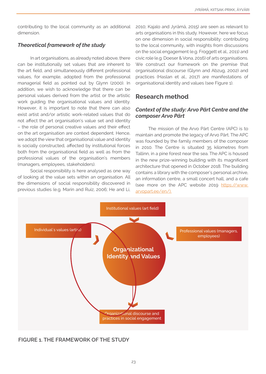contributing to the local community as an additional dimension.

## *Theoretical framework of the study*

In art organisations, as already noted above, there can be institutionally set values that are inherent to the art field, and simultaneously different professional values, for example, adopted from the professional managerial field as pointed out by Glynn (2000). In addition, we wish to acknowledge that there can be personal values derived from the artist or the artistic work guiding the organisational values and identity. However, it is important to note that there can also exist artist and/or artistic work-related values that do not affect the art organisation's value set and identity – the role of personal creative values and their effect on the art organisation are context dependent. Hence, we adopt the view that organisational value and identity is socially constructed, affected by institutional forces both from the organisational field as well as from the professional values of the organisation's members (managers, employees, stakeholders).

Social responsibility is here analysed as one way of looking at the value sets within an organisation. All the dimensions of social responsibility discovered in previous studies (e.g. Marin and Ruiz, 2006; He and Li,

2010; Kajalo and Jyrämä, 2015) are seen as relevant to arts organisations in this study. However, here we focus on one dimension in social responsibility: contributing to the local community, with insights from discussions on the social engagement (e.g. Froggett et al., 2011) and civic role (e.g. Doeser & Vona, 2016) of arts organisations. We construct our framework on the premise that organisational discourse (Glynn and Abzug, 2002) and practices (Haslan et al., 2017) are manifestations of organisational identity and values (see Figure 1).

## Research method

## *Context of the study: Arvo Pärt Centre and the composer Arvo Pärt*

The mission of the Arvo Pärt Centre (APC) is to maintain and promote the legacy of Arvo Pärt. The APC was founded by the family members of the composer in 2010. The Centre is situated 35 kilometres from Tallinn, in a pine forest near the sea. The APC is housed in the new prize-winning building with its magnificent architecture that opened in October 2018. The building contains a library with the composer's personal archive, an information centre, a small concert hall, and a cafe (see more on the APC website 2019 [https://www.](https://www.arvopart.ee/en/). ) [arvopart.ee/en/\).](https://www.arvopart.ee/en/). )



FIGURE 1. THE FRAMEWORK OF THE STUDY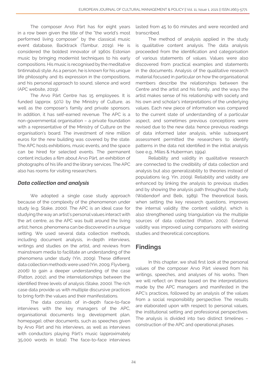The composer Arvo Pärt has for eight years in a row been given the title of the "the world's most performed living composer" by the classical music event database, Backtrack (Tambur, 2019). He is considered the boldest innovator of 1960s Estonian music by bringing modernist techniques to his early compositions. His music is recognised by the meditative tintinnabuli style. As a person, he is known for his unique life philosophy and its expression in the compositions, and his personal approach to sound, silence and word (APC website, 2019).

The Arvo Pärt Centre has 15 employees. It is funded (approx. 50%) by the Ministry of Culture, as well as the composer's family and private sponsors. In addition, it has self-earned revenue. The APC is a non-governmental organisation – a private foundation with a representative of the Ministry of Culture on the organisation's board. The investment of nine million euros for the new building was covered by the state. The APC hosts exhibitions, music events, and the space can be hired for selected events. The permanent content includes a film about Arvo Pärt, an exhibition of photographs of his life and the library services. The APC also has rooms for visiting researchers.

#### *Data collection and analysis*

We adopted a single case study approach because of the complexity of the phenomenon under study (e.g. Stake, 2000). The APC is an ideal case for studying the way an artist's personal values interact with the art centre, as the APC was built around the living artist; hence, phenomena can be discovered in a unique setting. We used several data collection methods, including document analysis, in-depth interviews, writings and studies on the artist, and reviews from mainstream media to facilitate an understanding of the phenomena under study (Yin, 2009). These different data collection methods were used (Yin, 2009; Flyvberg, 2006) to gain a deeper understanding of the case (Patton, 2002), and the interrelationships between the identified three levels of analysis (Stake, 2000). The rich case data provide us with multiple discursive practices to bring forth the values and their manifestations.

The data consists of in-depth face-to-face interviews with the key managers of the APC, organisational documents (e.g. development plan, homepage), other documents, such as speeches given by Arvo Pärt and his interviews, as well as interviews with conductors playing Pärt's music (approximately 35,000 words in total). The face-to-face interviews

lasted from 45 to 60 minutes and were recorded and transcribed.

The method of analysis applied in the study is qualitative content analysis. The data analysis proceeded from the identification and categorisation of various statements of values. Values were also discovered from practical examples and statements in the documents. Analysis of the qualitative research material focused in particular on how the organisational members describe the relationships between the Centre and the artist and his family, and the ways the artist makes sense of his relationship with society and his own and scholar's interpretations of the underlying values. Each new piece of information was compared to the current state of understanding of a particular aspect, and sometimes previous conceptions were revised due to the new data: hence previous readings of data informed later analysis, while subsequent assessment permitted the researchers to identify patterns in the data not identified in the initial analysis (see e.g., Miles & Huberman, 1994).

Reliability and validity in qualitative research are connected to the credibility of data collection and analysis but also generalizability to theories instead of populations (e.g. Yin, 2009). Reliability and validity are enhanced by linking the analysis to previous studies and by showing the analysis path throughout the study (Wallendorf and Belk, 1989). The theoretical basis, when setting the key research questions, improves the internal validity (the content validity), which is also strengthened using triangulation via the multiple sources of data collected (Patton, 2002). External validity was improved using comparisons with existing studies and theoretical conceptions.

## Findings

In this chapter, we shall first look at the personal values of the composer Arvo Pärt viewed from his writings, speeches, and analyses of his works. Then we will reflect on these based on the interpretations made by the APC managers and manifested in the APC's practices, followed by an analysis of the values from a social responsibility perspective. The results are elaborated upon with respect to personal values, the institutional setting and professional perspectives. The analysis is divided into two distinct timelines – construction of the APC and operational phases.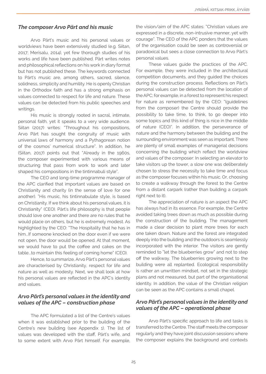#### *The composer Arvo Pärt and his music*

Arvo Pärt's music and his personal values or worldviews have been extensively studied (e.g. Siitan, 2017; Merisalu, 2014), yet few thorough studies of his works and life have been published. Pärt writes notes and philosophical reflections on his work in diary format but has not published these. The keywords connected to Pärt's music are, among others, sacred, silence, solidness, simplicity and humility. He is openly Christian in the Orthodox faith and has a strong emphasis on values connected to respect for life and nature. These values can be detected from his public speeches and writings.

His music is strongly rooted in sacral, intimate, personal faith, yet it speaks to a very wide audience. Siitan (2017) writes: "Throughout his compositions, Arvo Pärt has sought the congruity of music with universal laws of harmony and a Pythagorean notion of the cosmos' numerical structure". In addition, he (Siitan, 2017) points out that "Already in the 1960s, the composer experimented with various means of structuring that pass from work to work and later shaped his compositions in the tintinnabuli style".

The CEO and long-time programme manager of the APC clarified that important values are based on Christianity and charity (in the sense of love for one another). "His music, his tintinnabulate style, is based on Christianity. If we think about his personal values, it is Christianity" (CEO). Pärt's life philosophy is that people should love one another and there are no rules that he would place on others, but he is extremely modest. As highlighted by the CEO: "The Hospitality that he has in him...If someone knocked on the door even if we were not open, the door would be opened. At that moment, we would have to put the coffee and cakes on the table...to maintain this feeling of coming home" (CEO).

Hence, to summarize, Arvo Pärt's personal values are characterised by Christianity, respect for life and nature as well as modesty. Next, we shall look at how his personal values are reflected in the APC's identity and values.

#### *Arvo Pärt's personal values in the identity and values of the APC – construction phase*

The APC formulated a list of the Centre's values when it was established prior to the building of the Centre's new building (see Appendix 1). The list of values was developed with the staff, Pärt's wife, and to some extent with Arvo Pärt himself. For example, the vision/aim of the APC states: "Christian values are expressed in a discrete, non-intrusive manner, yet with courage". The CEO of the APC ponders that the values of the organisation could be seen as controversial or paradoxical but sees a close connection to Arvo Pärt's personal values.

These values guide the practices of the APC. For example, they were included in the architectural competition documents, and they guided the choices during the construction process. Reflections on Pärt's personal values can be detected from the location of the APC; for example, in a forest to represent his respect for nature as remembered by the CEO: "(guidelines from the composer) the Centre should provide the possibility to take time, to think, to go deeper into some topics and this kind of thing is nice in the middle of nature (CEO)". In addition, the perseverance of nature and the harmony between the building and the surrounding environment was seen as important. There are plenty of small examples of managerial decisions concerning the building which reflect the worldview and values of the composer: In selecting an elevator to take visitors up the tower, a slow one was deliberately chosen to stress the necessity to take time and focus as the composer focuses within his music. Or, choosing to create a walkway through the forest to the Centre from a distant carpark (rather than building a carpark right next to it).

The appreciation of nature is an aspect the APC has always had in its essence. For example, the Centre avoided taking trees down as much as possible during the construction of the building. The management made a clear decision to plant more trees for each one taken down. Nature and the forest are integrated deeply into the building and the outdoors is seamlessly incorporated with the interior. The visitors are gently reminded to "let the blueberries grow" and not to step off the walkway. The blueberries growing next to the building were all replanted. Ecological responsibility is rather an unwritten mindset, not set in the strategic plans and not measured, but part of the organisational identity. In addition, the value of the Christian religion can be seen as the APC contains a small chapel.

#### *Arvo Pärt's personal values in the identity and values of the APC – operational phase*

Arvo Pärt's specific approach to life and tasks is transferred to the Centre. The staff meets the composer regularly and they have joint discussion sessions where the composer explains the background and contexts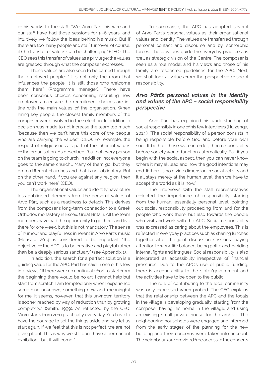of his works to the staff. "We, Arvo Pärt, his wife and our staff have had those sessions for 5–6 years, and intuitively we follow the ideas behind his music. But if there are too many people and staff turnover, of course, it (the transfer of values) can be challenging" (CEO). The CEO sees this transfer of values as a privilege; the values are grasped through what the composer expresses.

These values are also seen to be carried through the employed people: "It is not only the room that influences the people; it is still those who welcome them here" (Programme manager). There have been conscious choices concerning recruiting new employees to ensure the recruitment choices are inline with the main values of the organisation. When hiring key people, the closest family members of the composer were involved in the selection. In addition, a decision was made to not increase the team too much "because then we can't have this core of the people who are carrying the values" (CEO). For example, the respect of religiousness is part of the inherent values of the organisation. As described, "but not every person on the team is going to church. In addition, not everyone goes to the same church... Many of them go, but they go to different churches and that is not obligatory. But on the other hand, if you are against any religion, then you can't work here" (CEO).

The organisational values and identity have other less publicised elements from the personal values of Arvo Pärt, such as a readiness to detach. This derives from the composer's long-term connection to a Greek Orthodox monastery in Essex, Great Britain. All the team members have had the opportunity to go there and live there for one week, but this is not mandatory. The sense of humour and playfulness inherent in Arvo Pärt's music (Merisalu, 2014) is considered to be important: "the objective of the APC is to be creative and playful rather than be a deeply serious sanctuary" (see Appendix 1).

In addition, the search for a perfect solution is a guiding value for the APC. Pärt has said in one of his few interviews: "If there were no continual effort to start from the beginning there would be no art. I cannot help but start from scratch. I am tempted only when I experience something unknown, something new and meaningful for me. It seems, however, that this unknown territory is sooner reached by way of reduction than by growing complexity." (Smith, 1999). As reflected by the CEO: "Arvo starts from zero practically every day. You have to have the courage to set the things aside and say let us start again. If we feel that this is not perfect, we are not giving it out. This is why we still don't have a permanent exhibition... but it will come!"

To summarise, the APC has adopted several of Arvo Pärt's personal values as their organisational values and identity. The values are transferred through personal contact and discourse and by isomorphic forces. These values guide the everyday practices as well as strategic vision of the Centre. The composer is seen as a role model and his views and those of his family are respected guidelines for the APC. Next, we shall look at values from the perspective of social responsibility.

#### *Arvo Pärt's personal values in the identity and values of the APC – social responsibility perspective*

Arvo Pärt has explained his understanding of social responsibly in one of his few interviews (Huizenga, 2014.): "The social responsibility of a person consists in being responsible before God and before your own soul. If both of these were in order, then responsibility before society would function automatically. But if you begin with the social aspect, then you can never know where it may all lead and how the good intentions may end. If there is no divine dimension in social activity and it all stays merely at the human level, then we have to accept the world as it is now."

The interviews with the staff representatives reflected the importance of responsibility starting from the human, essentially personal level, pointing out social responsibility proceeding from and for the people who work there, but also towards the people who visit and work with the APC. Social responsibility was expressed as caring about the employees. This is reflected in everyday practices such as sharing lunches together after the joint discussion sessions; paying attention to work-life balance; being polite and avoiding internal fights and intrigues. Social responsibility is also interpreted as accessibility irrespective of financial pressures. Due to the APC's use of public funding, there is accountability to the state/government and the activities have to be open to the public.

The role of contributing to the local community was only expressed when probed. The CEO explains that the relationship between the APC and the locals in the village is developing gradually, starting from the composer having his home in the village, and using an existing small private house for the archive. The neighbouring households were engaged and informed from the early stages of the planning for the new building and their concerns were taken into account. The neighbours are provided free access to the concerts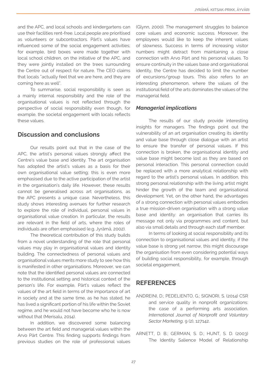and the APC, and local schools and kindergartens can use their facilities rent-free. Local people are prioritised as volunteers or subcontractors. Pärt's values have influenced some of the social engagement activities; for example, bird boxes were made together with local school children, on the initiative of the APC, and they were jointly installed on the trees surrounding the Centre out of respect for nature. The CEO claims that locals "actually feel that we are here, and they are coming here as well".

To summarise, social responsibility is seen as a mainly internal responsibility and the role of the organisational values is not reflected through the perspective of social responsibility even though, for example, the societal engagement with locals reflects these values.

## Discussion and conclusions

Our results point out that in the case of the APC, the artist's personal values strongly affect the Centre's value base and identity. The art organisation has adopted the artist's values as a basis for their own organisational value setting; this is even more emphasised due to the active participation of the artist in the organisation's daily life. However, these results cannot be generalised across art organisations, as the APC presents a unique case. Nevertheless, this study shows interesting avenues for further research to explore the role of individual, personal values in organisational value creation. In particular, the results are relevant in the field of arts, where the roles of individuals are often emphasised (e.g. Jyrämä, 2002).

The theoretical contribution of this study builds from a novel understanding of the role that personal values may play in organisational values and identity building. The connectedness of personal values and organisational values merits more study to see how this is manifested in other organisations. Moreover, we can note that the identified personal values are connected to the institutional setting and historical context of the person's life. For example, Pärt's values reflect the values of the art field in terms of the importance of art in society and at the same time, as he has stated, he has lived a significant portion of his life within the Soviet regime, and he would not have become who he is now without that (Merisalu, 2014).

In addition, we discovered some balancing between the art field and managerial values within the Arvo Pärt Centre. This finding supports findings from previous studies on the role of professional values (Glynn, 2000). The management struggles to balance core values and economic success. Moreover, the employees would like to keep the inherent values of slowness. Success in terms of increasing visitor numbers might detract from maintaining a close connection with Arvo Pärt and his personal values. To ensure continuity in the values base and organisational identity, the Centre has decided to limit the number of excursions/group tours. This also refers to an interesting phenomenon, where the values of the institutional field of the arts dominates the values of the managerial field.

#### *Managerial implications*

The results of our study provide interesting insights for managers. The findings point out the vulnerability of an art organisation creating its identity and value base through close dialogue with an artist to ensure the transfer of personal values. If this connection is broken, the organisational identity and value base might become lost as they are based on personal interaction. This personal connection could be replaced with a more analytical relationship with regard to the artist's personal values. In addition, this strong personal relationship with the living artist might hinder the growth of the team and organisational development. Yet, on the other hand, the advantages of a strong connection with personal values embodies a true mission-driven organisation with a strong value base and identity: an organisation that carries its message not only via programmes and content, but also via small details and through each staff member.

In terms of looking at social responsibility and its connection to organisational values and identity, if the value base is strong yet narrow, this might discourage the organisation from even considering potential ways of building social responsibility, for example, through societal engagement.

## **REFERENCES**

- ANDREINI, D.; PEDELIENTO, G.; SIGNORI, S. (2014) CSR and service quality in nonprofit organizations: the case of a performing arts association. *International Journal of Nonprofit and Voluntary Sector Marketing,* 9 (2), 127142.
- ARNETT, D. B.; GERMAN, S. D.; HUNT, S. D. (2003) The Identity Salience Model of Relationship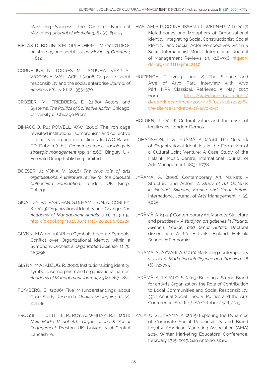Marketing Success: The Case of Nonprofit Marketing. *Journal of Marketing,* 67 (2), 89105.

- BIELAK, D.; BONINI, S.M.; OPPENHEIM, J.M. (2007) CEOs on strategy and social issues. *McKinsey Quarterly,* 4, 812.
- CORNELIUS, N.; TODRES, M.; JANJUHA-JIVRAJ, S.; WOODS, A.; WALLACE, J. (2008) Corporate social responsibility and the social enterprise. *Journal of Business Ethics,* 81 (2), 355–370.
- CROZIER, M.; FRIEDBERG, E. (1980) Actors and Systems. *The Politics of Collective Action.* Chicago: University of Chicago Press.
- DIMAGGIO, P.J.; POWELL, W.W. (2000) The iron cage revisited institutional isomorphism and collective rationality in organizational fields. In J.A.C. Baum; F.D. Dobbin (eds.), *Economics meets sociology in strategic management* (pp. 143166). Bingley, UK: Emerald Group Publishing Limited.
- DOESER, J.; VONA, V. (2016) *The civic role of arts organisations: A literature review for the Calouste Culbenkian Foundation.* London, UK: King's College.
- GIOAI, D.A; PATVARDHAN, S.D; HAMILTON, A.; CORLEY, K. (2013) Organizational Identity and Change. *The Academy of Management Annals,* 7 (1), 123–192. [http://dx.doi.org/10.1080/19416520.2013.762225](http://dx.doi.org/10.1080/19416520.2013.762225 )
- GLYNN, M.A. (2000) When Cymbals become Symbols: Conflict over Organizational Identity within a Symphony Orchestra. *Organization Science,* 11 (3), 285298.
- GLYNN, M.A.; ABZUG, R. (2002) Institutionalizing identity: symbolic isomorphism and organizational names. *Academy of Management Journal,* 45 (4), 267–280.
- FLYVBERG, B. (2006) Five Misunderstandings about Case-Study Research. *Qualitative Inquiry,* 12 (2), 219245.
- FROGGETT, L.; LITTLE, R.; ROY, A.; WHITAKER, L. (2011) *New Model Visual Arts Organisations & Social Engagement.* Preston, UK: University of Central Lancashire.
- HASLAM, A. P.; CORNELISSEN, J. P.; WERNER, M. D. (2017) Metatheories and Metaphors of Organizational Identity: Integrating Social Constructionist, Social Identity, and Social Actor Perspectives within a Social Interactionist Model. International Journal of Management Reviews, 19, 318-336. [https://](https://doi.org/10.1111/ijmr.12150 ) [doi.org/10.1111/ijmr.12150](https://doi.org/10.1111/ijmr.12150 )
- HUIZENGA, T. (2014 June 2) The Silence and Awe of Arvo Pärt. Interview with Arvo Pärt. NPR Classical. Retrieved 5 May 2019 from [https://www.npr.org/sections/](https://www.npr.org/sections/deceptivecadence/2014/06/02/316322238/the-silence-and-awe-of-arvo-p-rt ) [deceptivecadence/2014/06/02/316322238/](https://www.npr.org/sections/deceptivecadence/2014/06/02/316322238/the-silence-and-awe-of-arvo-p-rt ) [the-silence-and-awe-of-arvo-p-rt](https://www.npr.org/sections/deceptivecadence/2014/06/02/316322238/the-silence-and-awe-of-arvo-p-rt )
- HOLDEN, J. (2006) Cultural value and the crisis of legitimacy. London: Demos.
- JOHANSSON, T. & JYRÄMÄ, A. (2016). The Network of Organizational Identities in the Formation of a Cultural Joint Venture: A Case Study of the Helsinki Music Centre. International Journal of Arts Management, 18(3), 6778.
- JYRÄMÄ, A. (2002) Contemporary Art Markets Structure and Actors: *A Study of Art Galleries in Finland, Sweden, France and Great Britain.* International Journal of Arts Management, 4 (2), 5065.
- JYRÄMÄ, A. (1999) Contemporary Art Markets: Structure and practises – *A study on art galleries in Finland, Sweden, France, and Great Britain.* Doctoral dissertation. A-160. Helsinki, Finland: Helsinki School of Economics.
- JYRÄMÄ, A.; ÄYVÄRI, A. (2010) Marketing contemporary visual art. *Marketing Intelligence and Planning,* 28 (6), 723735.
- JYRÄMÄ, A.; KAJALO, S. (2013) Building a Strong Brand for an Arts Organization: the Role of Contribution to Local Communities and Social Responsibility. 39th Annual Social Theory, Politics and the Arts Conference, Seattle, USA October 2426, 2013.
- KAJALO, S.; JYRÄMÄ, A. (2015) Exploring the Dynamics of Corporate Social Responsibility and Brand Loyalty. American Marketing Association (AMA) 2015 Winter Marketing Educators' Conference, February 1315, 2015, San Antonio, USA.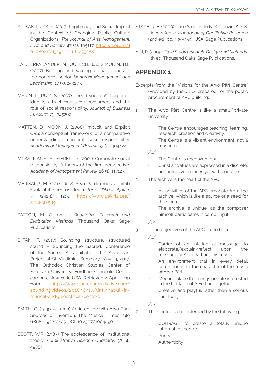- KIITSAK-PRIKK, K. (2017) Legitimacy and Social Impact in the Context of Changing Public Cultural Organizations. *The Journal of Arts Management, Law, and Society,* 47 (2), 105117. [https://doi.org/1](https://doi.org/10.1080/10632921.2016.1255288 ) [0.1080/10632921.2016.1255288](https://doi.org/10.1080/10632921.2016.1255288 )
- LAIDLERKYLANDER, N.; QUELCH, J.A.; SIMONIN, B.L. (2007) Building and valuing global brands in the nonprofit sector. *Nonprofit Management and Leadership,* 17 (3), 253277.
- MARIN, L.; RUIZ, S. (2007) I need you too!" Corporate identity attractiveness for consumers and the role of social responsibility. *Journal of Business Ethics,* 71 (3), 245260.
- MATTEN, D.; MOON, J. (2008) Implicit and Explicit CRS: a conceptual framework for a comparative understanding of corporate social responsibility. *Academy of Management Review,* 33 (2), 404424.
- MCWILLIAMS, A.; SIEGEL, D. (2001) Corporate social responsibility: A theory of the firm perspective. *Academy of Management Review,* 26 (1), 117127.
- MERISALU, M. (2014, July) Arvo Pärdi muusika aitab kuulajatel iseennast leida. *Tarto Ulikooli Ajakiri,*  7 (2429), 1215. [https://www.ajakiri.ut.ee/](https://www.ajakiri.ut.ee/artikkel/589 ) [artikkel/589](https://www.ajakiri.ut.ee/artikkel/589 )
- PATTON, M. Q. (2002) *Qualitative Research and Evaluation Methods.* Thousand Oaks: Sage Publications.
- SIITAN, T. (2017) Sounding structure, structured sound – Sounding the Sacred. Conference of the Sacred Arts Initiative, the Arvo Pärt Project at St. Vladimir's Seminary, May 14, 2017. The Orthodox Christian Studies Center of Fordham University, Fordham's Lincoln Center campus, New York, USA. Retrieved 4 April 2019 from [https://www.sacredartsinitiative.com/](https://www.sacredartsinitiative.com/soundingvideos/2018/6/17/tintinnabuli-in-musical-and-geopolitic) [soundingvideos/2018/6/17/tintinnabuli-in](https://www.sacredartsinitiative.com/soundingvideos/2018/6/17/tintinnabuli-in-musical-and-geopolitic)[musical-and-geopolitical-context.](https://www.sacredartsinitiative.com/soundingvideos/2018/6/17/tintinnabuli-in-musical-and-geopolitic)
- SMITH, G. (1999, autumn) An interview with Arvo Pärt: Sources of Invention. The Musical Times, 140 (1868), 1922, 2425. DOI: 10.2307/1004490
- SCOTT, W.R. (1987) The adolescence of institutional theory. *Administrative Science Quarterly*, 32 (4), 493511.
- STAKE, R. E. (2000) Case Studies. In N. K. Denzin, & Y. S. Lincoln (eds.), *Handbook of Qualitative Research*  (2nd ed., pp. 435–454). USA: Sage Publications.
- YIN, R. (2009) *Case Study research: Design and Methods*. 4th ed. Thousand Oaks: Sage Publications.

## APPENDIX 1

- Excerpts from the "Visions for the Arvo Pärt Centre" (Provided by the CEO, prepared for the public procurement of APC building).
- 1. The Arvo Pärt Centre is like a small "private university".
	- The Centre encourages teaching, learning, research, creation and creativity.
	- The Centre is a vibrant environment, not a museum.

/…/

- The Centre is unconventional.
- · Christian values are expressed in a discrete, non-intrusive manner, yet with courage.
- 2. The archive is the heart of the APC.
	- All activities of the APC emanate from the archive, which is like a source or a seed for the Centre.
	- The archive is unique, as the composer himself participates in compiling it.

/../

3. The objectives of the APC are to be a

/…/

- Carrier of an intellectual message; to elaborate/explain/reflect upon the message of Arvo Pärt and his music
- An environment that in every detail corresponds to the character of the music of Arvo Pärt
- Meeting place that brings people interested in the heritage of Arvo Pärt together
- Creative and playful, rather than a serious sanctuary

/.../

- 7. The Centre is characterised by the following:
	- COURAGE to create a totally unique (alternative) centre
	- **Purity** 
		- **Authenticity**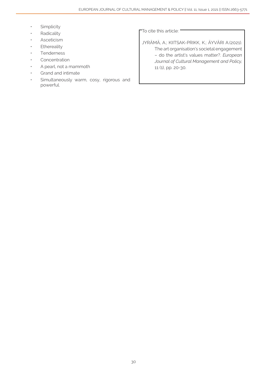- Simplicity
- **Radicality**
- **Asceticism**
- **Ethereality**
- **Tenderness**
- **Concentration**
- A pearl, not a mammoth
- Grand and intimate
- Simultaneously warm, cosy, rigorous and powerful.

To cite this article:

JYRÄMÄ, A.; KIITSAK-PRIKK, K.; ÄYVÄRI A.(2021). The art organisation's societal engagement – do the artist's values matter?. *European Journal of Cultural Management and Policy,* 11 (1), pp. 20-30.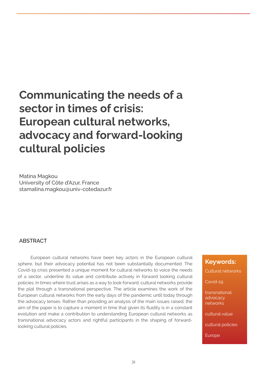## Communicating the needs of a sector in times of crisis: European cultural networks, advocacy and forward-looking cultural policies

Matina Magkou University of Côte d'Azur, France stamatina.magkou@univ-cotedazur.fr

#### **ABSTRACT**

European cultural networks have been key actors in the European cultural sphere, but their advocacy potential has not been substantially documented. The Covid-19 crisis presented a unique moment for cultural networks to voice the needs of a sector, underline its value and contribute actively in forward looking cultural policies. In times where trust arises as a way to look forward, cultural networks provide the plat through a transnational perspective. The article examines the work of the European cultural networks from the early days of the pandemic until today through the advocacy lenses. Rather than providing an analysis of the main issues raised, the aim of the paper is to capture a moment in time that given its fluidity is in a constant evolution and make a contribution to understanding European cultural networks as transnational advocacy actors and rightful participants in the shaping of forwardlooking cultural policies.

#### Keywords:

Cultural networks

Covid-19

transnational advocacy networks

cultural value

cultural policies

Europe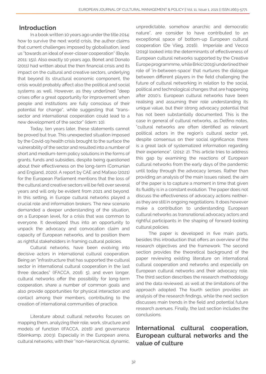## Introduction

In a book written 10 years ago under the title 2014: how to survive the next world crisis, the author claims that current challenges imposed by globalisation, lead us "towards an ideal of ever-closer cooperation" (Boyle, 2011: 151). Also exactly 10 years ago, Bonet and Donato (2011) had written about the then financial crisis and its impact on the cultural and creative sectors, underlying that beyond its structural economic component, the crisis would probably affect also the political and social systems as well. However, as they underlined "deep crises offer a great opportunity for improvement when people and institutions are fully conscious of their potential for change", while suggesting that "transsector and international cooperation could lead to a new development of the sector" (idem: 10).

Today, ten years later, these statements cannot be proved but true. This unexpected situation imposed by the Covid-19 health crisis brought to the surface the vulnerability of the sector and resulted into a number of short and medium-term policy solutions in the forms of grants, funds and subsidies, despite being questioned about their effectiveness on the long-term (Comunian and England, 2020). A report by CAE and Mafaso (2021) for the European Parliament mentions that the loss of the cultural and creative sectors will be felt over several years and will only be evident from 2021 and beyond. In this setting, in Europe cultural networks played a crucial role and information brokers. The new scenario demanded a deeper understanding of the situation, on a European level, for a crisis that was common to everyone. It developed thus into an opportunity to unpack the advocacy and convocation claim and capacity of European networks, and to position them as rightful stakeholders in framing cultural policies.

Cultural networks, have been evolving into decisive actors in international cultural cooperation. Being an "infrastructure that has supported the cultural sector in international cultural cooperation in the last three decades" (IFACCA, 2016: 5), and even longer, cultural networks offer the possibility for long-term cooperation, share a number of common goals and also provide opportunities for physical interaction and contact among their members, contributing to the creation of international communities of practice.

Literature about cultural networks focuses on mapping them, analyzing their role, work, structure and models of function (IFACCA, 2016) and governance (Steinkamp, 2003). Especially in the European arena, cultural networks, with their "non-hierarchical, dynamic,

unpredictable, somehow anarchic and democratic nature", are consider to have contributed to an exceptional space of bottom-up European cultural cooperation (De Vlieg, 2016). Imperiale and Vecco (2019) looked into the determinants of effectiveness of European cultural networks supported by the Creative Europe programmme, while Brkic (2019) underlined their role of 'in-between-space' that nurtures the dialogue between different players in the field challenging the future of cultural networking in relation to the social, political and technological changes that are happening after 2010's. European cultural networks have been realising and assuming their role understanding its unique value, but their strong advocacy potential that has not been substantially documented. This is the case in general of cultural networks, as Delfino notes, "cultural networks are often identified as relevant political actors in the region's cultural sector yet, despite consensus on their social significance, there is a great lack of systematized information regarding their experience". (2012: 2). This article tries to address this gap by examining the reactions of European cultural networks from the early days of the pandemic until today through the advocacy lenses. Rather than providing an analysis of the main issues raised, the aim of the paper is to capture a moment in time that given its fluidity is in a constant evolution. The paper does not discuss the effectiveness of advocacy actions neitheras they are still in ongoing negotiations. It does however make a contribution to understanding European cultural networks as transnational advocacy actors and rightful participants in the shaping of forward-looking cultural policies.

The paper is developed in five main parts, besides this introduction that offers an overview of the research objectives and the framework. The second section provides the theoretical background of the paper reviewing existing literature on international cultural cooperation and networks and especially on European cultural networks and their advocacy role. The third section describes the research methodology and the data reviewed, as well at the limitations of the approach adopted. The fourth section provides an analysis of the research findings, while the next section discusses main trends in the field and potential future research avenues. Finally, the last section includes the conclusions.

## International cultural cooperation, European cultural networks and the value of culture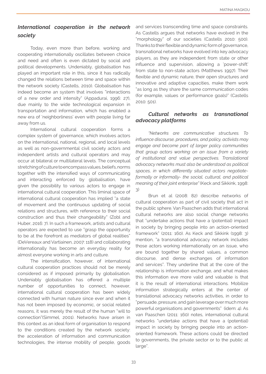## *International cooperation in the network society*

Today, even more than before, working and cooperating internationally oscillates between choice and need and often is even dictated by social and political developments. Undeniably, globalisation has played an important role in this, since it has radically changed the relations between time and space within the network society (Castells, 2010). Globalisation has indeed become an system that involves "interactions of a new order and intensity" (Appadurai, 1996: 27), due mainly to the wide technological expansion in transportation and information, which has enabled a new era of 'neighborliness' even with people living far away from us.

International cultural cooperation forms a complex system of governance, which involves actors on the international, national, regional, and local levels as well as non-governmental civil society actors and independent artists and cultural operators and may occur at bilateral or multilateral levels. The conceptual stretching of culture to encompass values, beliefs, norms together with the intensified ways of communicating and interacting enforced by globalisation, have given the possibility to various actors to engage in international cultural cooperation. This liminal space of international cultural cooperation has implied "a state of movement and the continuous updating of social relations and structures, with reference to their social construction and thus their changeability" (Zobl and Huber, 2016: 7). In such a framework, artists and cultural operators are expected to use "grasp the opportunity to be at the forefront as mediators of global realities" (DeVereaux and Vartiainen, 2007: 118) and collaborating internationally has become an everyday reality for almost everyone working in arts and culture.

The intensification, however, of international cultural cooperation practices should not be merely considered as if imposed primarily by globalisation. Undeniably globalisation has offered a multiple number of opportunities to connect, however, international cultural cooperation has been widely connected with human nature since ever and when it has not been imposed by economic, or social related reasons, it was merely the result of the human "will to connection"(Simmel, 2001). Networks have arisen in this context as an ideal form of organisation to respond to the conditions created by the network society: the acceleration of information and communication technologies, the intense mobility of people, goods

and services transcending time and space constraints. As Castells argues that networks have evolved in the "morphology" of our societies (Castells 2010: 500). Thanks to their flexible and dynamic form of governance, transnational networks have evolved into key advocacy players, as they are independent from state or other influence and supervision, allowing a 'power-shift' from state to non-state actors (Matthews 1997). Their flexible and dynamic nature, their open structures and innovative and adaptive capacities, make them work "as long as they share the same communication codes (for example, values or performance goals)" (Castells 2010: 501).

#### *Cultural networks as transnational advocacy platforms*

*"Networks are communicative structures. To influence discourse, procedures, and policy, activists may engage and become part of larger policy communities that group actors working on an issue from a variety of institutional and value perspectives. Translational advocacy networks must also be understood as political spaces, in which differently situated actors negotiateformally or informally- the social, cultural, and political meaning of their joint enterprise"* (Keck and Sikkink, 1998: 3)

Brun et al (2008: 82) describe networks of cultural cooperation as part of civil society that act in the public sphere. Van Paaschen adds that international cultural networks are also social change networks that "undertake actions that have a (potential) impact in society by bringing people into an action-oriented framework" (2011: 160). As Keck and Sikkink (1998: 3) mention, "a transnational advocacy network includes those actors working internationally on an issue, who are bound together by shared values, a common discourse, and dense exchanges of information and services". They underline that at the core of the relationship is information exchange, and what makes this information eve more valid and valuable is that it is the result of international interactions. Mobilize information strategically enters at the center of translational advocacy networks activities, in order to "persuade, pressure, and gain leverage over much more powerful organisations and governments" (idem: 4). As van Paaschen (2011: 160) notes, international cultural networks "undertake actions that have a (potential) impact in society by bringing people into an actionoriented framework. These actions could be directed to governments, the private sector or to the public at large".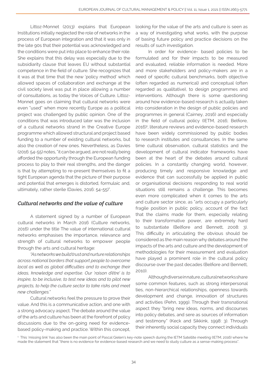Littoz-Monnet (2013) explains that European Institutions initially neglected the role of networks in the process of European integration and that it was only in the late 90s that their potential was acknowledged and the conditions were put into place to enhance their role. She explains that this delay was especially due to the subsidiarity clause that leaves EU without substantial competence in the field of culture. She recognizes that it was at that time that the new 'policy method' which allowed spaces of collaboration and exchange at the civil society level was put in place allowing a number of consultations, as today the Voices of Culture. Littoz-Monnet goes on claiming that cultural networks were even "used" when more recently Europe as a political project was challenged by public opinion. One of the conditions that was introduced later was the inclusion of a cultural networks strand in the Creative Europe programme which allowed structural and project based funding to a number of existing cultural networks, but also the creation of new ones. Nevertheless, as Davies (2016: 54-55) notes, "it can be argued, are not really being afforded the opportunity through the European funding process to play to their real strengths, and the danger is that by attempting to re-present themselves to fit a tight European agenda that the picture of their purpose and potential that emerges is distorted, formulaic and, ultimately, rather sterile (Davies, 2016: 54-55)".

## *Cultural networks and the value of culture*

A statement signed by a number of European cultural networks in March 2016 (Culture networks, 2016) under the title The value of international cultural networks emphasises the importance, relevance and strength of cultural networks to empower people through the arts and cultural heritage:

*"As networks we build trust and nurture relationships across national borders that support people to overcome local as well as global difficulties and to exchange their ideas, knowledge and expertise. Our 'raison d'être' is to inspire, to be inclusive, to test new ideas and to pilot new projects, to help the culture sector to take risks and meet new challenges."*

Cultural networks feel the pressure to prove their value. And this is a communicative action, and one with a strong advocacy aspect. The debate around the value of the arts and culture has been at the forefront of policy discussions due to the on-going need for evidencebased policy-making and practice. Within this concept, looking for the value of the arts and culture is seen as a way of investigating what works, with the purpose of basing future policy and practice decisions on the results of such investigation.

In order for evidence- based policies to be formulated and for their impacts to be measured and evaluated, reliable information is needed. More and more stakeholders and policy-makers are in a need of specific cultural benchmarks, both objective (often regarded as numerical) and conceptual (often regarded as qualitative), to design programmes and interventions. Although there is some questioning around how evidence-based research is actually taken into consideration in the design of public policies and programmes in general (Cairney, 2016) and especially in the field of cultural policy (IETM, 2016; Belfiore, 2016)1 , literature reviews and evidence-based research have been widely commissioned by public bodies to research institutes and consultancies. In the same time cultural observation, cultural statistics and the development of cultural indicator frameworks have been at the heart of the debates around cultural policies. In a constantly changing world, however, producing timely and responsive knowledge and evidence that can successfully be applied in public or organisational decisions responding to real world situations still remains a challenge. This becomes even more complicated when it comes to the arts and culture sector since, as "arts occupy a particularly fragile position in public policy, account of the fact that the claims made for them, especially relating to their transformative power, are extremely hard to substantiate (Belfiore and Bennett, 2008: 3). This difficulty in articulating the obvious should be considered as the main reason why debates around the impacts of the arts and culture and the development of methodologies for their measurement and evaluation have played a prominent role in the cultural policy discourse over the past decades (Belfiore and Bennett, 2010).

Although diverse in nature, cultural networks share some common features, such as strong interpersonal ties, non-hierarchical relationships, openness towards development and change, innovation of structures and activities (Pehn, 1999). Through their transnational aspect they "bring new ideas, norms, and discourses into policy debates, and sere as sources of information and testimony" (Keck and Sikkink, 1998: 3). Through their inherently social capacity they connect individuals

<sup>1</sup> This 'missing link' has also been the main point of Pascal Gielen's key-note speech during the IETM Satellite meeting (IETM, 2016) where he made the statement that "there is no evidence for evidence-based research and we need to study culture as a sense-making process".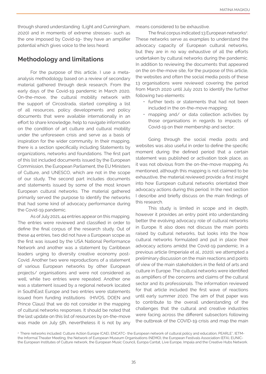through shared understanding (Light and Cunningham, 2020) and in moments of extreme stresses- such as the one imposed by Covid-19- they have an amplifier potential which gives voice to the less heard.

## Methodology and limitations

For the purpose of this article, I use a metaanalysis methodology based on a review of secondary material gathered through desk research. From the early days of the Covid-19 pandemic in March 2020, On-the-move, the cultural mobility network with the support of Circostrada, started compiling a list of all resources, policy developments and policy documents that were available internationally in an effort to share knowledge, help to navigate information on the condition of art culture and cultural mobility under the unforeseen crisis and serve as a basis of inspiration for the wider community. In their mapping, there is a section specifically including Statements by organizations, networks and foundations. The first part of this list included documents issued by the European Commission, the European Parliament, the EU Ministers of Culture, and UNESCO, which are not in the scope of our study. The second part includes documents and statements issued by some of the most known European cultural networks. The material gathered primarily served the purpose to identify the networks that had some kind of advocacy performance during the Covid-19 pandemic.

As of July 2021, 44 entries appear on this mapping. The entries were reviewed and classified in order to define the final corpus of the research study. Out of these 44 entries, two did not have a European scope as the first was issued by the USA National Performance Network and another was a statement by Caribbean leaders urging to diversity creative economy post-Covid. Another two were reproductions of a statement of various European networks by other European projects/ organisations and were not considered as well, while two entries were repeated. Another one was a statement issued by a regional network located in SouthEast Europe and two entries were statements issued from funding institutions (HIVOS, DOEN and Prince Claus) that we do not consider in the mapping of cultural networks responses. It should be noted that the last update on this list of resources by on-the-move was made on July 5th, nevertheless it is not by any means considered to be exhaustive.

The final corpus indicated 13 European networks<sup>2</sup>. These networks serve as examples to understand the advocacy capacity of European cultural networks, but they are in no way exhaustive of all the efforts undertaken by cultural networks during the pandemic. In addition to reviewing the documents that appeared on the on-the-move site, for the purpose of this article, the websites and often the social media posts of these 13 organisations were reviewed covering the period from March 2020 until July 2021 to identify the further following two elements:

- further texts or statements that had not been included in the on-the-move mapping;
- mapping and/ or data collection activities by those organisations in regards to impacts of Covid-19 on their membership and sector;

Going through the social media posts and websites was also useful in order to define the specific moment during the defined period that a certain statement was published or activation took place, as it was not obvious from the on-the-move mapping. As mentioned, although this mapping is not claimed to be exhaustive, the material reviewed provide a first insight into how European cultural networks orientated their advocacy actions during this period. In the next section I describe and briefly discuss on the main findings of this research.

This study is limited in scope and in depth, however it provides an entry point into understanding better the evolving advocacy role of cultural networks in Europe. It also does not discuss the main points raised by cultural networks, but looks into the how cultural networks formulated and put in place their advocacy actions amidst the Covid-19 pandemic. In a previous article (Imperiale et al., 2020), we attempted a preliminary discussion on the main reactions and points of view of the main stakeholders in the field of arts and culture in Europe. The cultural networks were identified as amplifiers of the concerns and claims of the cultural sector and its professionals. The information reviewed for that article included the first wave of reactions until early summer 2020. The aim of that paper was to contribute to the overall understanding of the challenges that the cultural and creative industries were facing across the different subsectors following the outbreak of the COVID-19 crisis and map the main

<sup>&</sup>lt;sup>2</sup> There networks included: Culture Action Europe (CAE), ENCATC- the European network of cultural policy and education, PEARLE\*, IETMthe Informal Theater Meeting, the Network of European Museum Organisations (NEMO), the European Festivals Association (EFA), EUNICthe European Institutes of Culture network, the European Music Council, Europa Cantat, Live Europe, Impala and the Creative Hubs Network.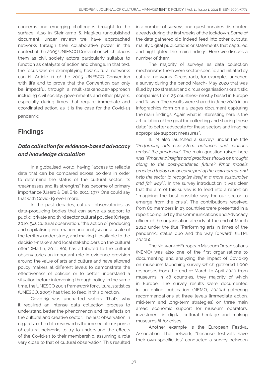concerns and emerging challenges brought to the surface. Also in Steinkamp & Magkou (unpublished document, under review) we have approached networks through their collaborative power in the context of the 2005 UNIESCO Convention which places them as civil society actors particularly suitable to function as catalysts of action and change. In that text, the focus was on exemplifying how cultural networks can fill Article 11 of the 2005 UNESCO Convention with life and to prove that the Convention can only be impactful through a multi-stakeholder-approach including civil society, governments and other players, especially during times that require immediate and coordinated action, as it is the case for the Covid-19 pandemic.

## Findings

## *Data collection for evidence-based advocacy and knowledge circulation*

In a globalised world, having "access to reliable data that can be compared across borders in order to determine the status of the cultural sector, its weaknesses and its strengths" has become of primary importance (Usero & Del Brío, 2011: 197). One could say that with Covid-19 even more.

In the past decades, cultural observatories, as data-producing bodies that can serve as support to public, private and third sector cultural policies (Ortega, 2010: 54). Cultural observation, "the action of producing and capitalising information and analysis on a scale of the territory under study, and making it available to the decision-makers and local stakeholders on the cultural offer" (Martin, 2011: 80), has attributed to the cultural observatories an important role in evidence provision around the value of arts and culture and have allowed policy makers at different levels to demonstrate the effectiveness of policies or to better understand a situation before intervening through policy. In the same time, the UNESCO 2009 framework for cultural statistics (UNESCO, 2009) has tried to feed in this direction.

Covid-19 was uncharted waters. That's why it required an intense data collection process to understand better the phenomenon and its effects on the cultural and creative sector. The first observation in regards to the data reviewed is the immediate response of cultural networks to try to understand the effects of the Covid-19 to their membership, assuming a role very close to that of cultural observation. This resulted in a number of surveys and questionnaires distributed already during the first weeks of the lockdown. Some of the data gathered did indeed feed into other outputs, mainly digital publications or statements that captured and highlighted the main findings. Here we discuss a number of them.

The majority of surveys as data collection mechanisms them were sector-specific and initiated by cultural networks. Circostrada, for example, launched a survey during the period March- May 2020 that was filled by 100 street art and circus organisations or artistic companies from 25 countries- mostly based in Europe and Taiwan. The results were shared in June 2020 in an infographics form on a 2 pages document capturing the main findings. Again what is interesting here is the articulation of the goal for collecting and sharing these data: "to better advocate for these sectors and imagine appropriate support measures".

IETM also launched a survey<sup>3</sup> under the title *"Performing arts ecosystem: balances and relations amidst the pandemic".* The main question raised here was *"What new insights and practices should be brought along to the post-pandemic future? What models practiced today can become part of the 'new normal' and help the sector to recognize itself in a more sustainable and fair way"?.* In the survey introduction it was clear that the aim of this survey is to feed into a report on "imagining the best possible way for our sector to emerge from the crisis". The contributions received from 80 members in 23 countries were presented in a report compiled by the Communications and Advocacy officer of the organisation already at the end of March 2020 under the title "Performing arts in times of the pandemic: status quo and the way forward" (IETM, 2020b).

The Network of European Museum Organisations (NEMO) was also one of the first organisations to documenting and analyzing the impact of Covid-19 on museums launching survey which gathered 1,000 responses from the end of March to April 2020 from museums in 48 countries, they majority of which in Europe. The survey results were documented in an online publication (NEMO, 2020a) gathering recommendations at three levels (immediate action, mid-term and long-term strategies) on three main areas: economic support for museum operators, investment in digital cultural heritage and making museums fit for crises.

Another example is the European Festival Association. The network, "because festivals have their own specificities" conducted a survey between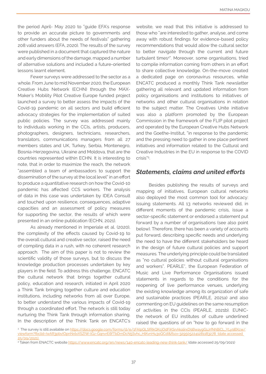the period April- May 2020 to "guide EFA's response to provide an accurate picture to governments and other funders about the needs of festivals" gathering 208 valid answers (EFA, 2020). The results of the survey were published in a document that captured the nature and early dimensions of the damage, mapped a number of alternative solutions and included a future-oriented lessons learnt element.

Fewer surveys were addressed to the sector as a whole. From June to mid November 2020, the European Creative Hubs Network (ECHN) through the MAX-Maker's Mobility Pilot Creative Europe funded project launched a survey to better assess the impacts of the Covid-19 pandemic on all sectors and build efficient advocacy strategies for the implementation of suited public policies. The survey was addressed mainly to individuals working in the CCIs, artists, producers, photographers, designers, technicians, researchers, translators, communications managers from all 27 members states and UK, Turkey, Serbia, Montenegro, Bosnia-Herzegovina, Ukraine and Moldova, that are the countries represented within ECHN. It is interesting to note, that in order to maximize the reach, the network "assembled a team of ambassadors to support the dissemination of the survey at the local level" in an effort to produce a quantitative research on how the Covid-10 pandemic has affected CCS workers. The analysis of data in this case was undertaken by IDEA Consult and touched upon resilience, consequences, adaptive capacities and an assessment of policy measures for supporting the sector, the results of which were presented in an online publication (ECHN, 2021).

As already mentioned in Imperiale et al. (2020), the complexity of the effects caused by Covid-19 to the overall cultural and creative sector, raised the need of compiling data in a rush, with no coherent research approach. The aim of this paper is not to review the scientific validity of those surveys, but to discuss the knowledge production processes undertaken by key players in the field. To address this challenge, ENCATC the cultural network that brings together cultural policy, education and research, initiated in April 2020 a Think Tank bringing together culture and education institutions, including networks from all over Europe, to better understand the various impacts of Covid-19 through a coordinated effort. The network is still today nurturing the Think Tank through information sharing. In the description of the Think Tank on ENCATC's

website, we read that this initiative is addressed to those who "are interested to gather, analyse, and come away with robust findings for evidence-based policy recommendations that would allow the cultural sector to better navigate through the current and future turbulent times<sup>4</sup> ". Moreover, some organisations, tried to compile information coming from others in an effort to share collective knowledge. On-the-move created a dedicated page on coronavirus resources, while ENCATC produced a monthly Think Tank newsletter gathering all relevant and updated information from policy organisations and institutions to initiatives of networks and other cultural organisations in relation to the subject matter. The Creatives Unite initiative was also a platform promoted by the European Commission in the framework of the FLIP pilot project and operated by the European Creative Hubs Network and the Goethe-Institut, "in response to the pandemic and the pressing need to gather in one place pertinent initiatives and information related to the Cultural and Creative Industries in the EU in response to the COVID crisis"5 .

#### *Statements, claims and united efforts*

Besides publishing the results of surveys and mapping of initiatives, European cultural networks also deployed the most common tool for advocacy: issuing statements. All 13 networks reviewed did, in different moments of the pandemic crisis, issue a sector-specific statement or endorsed a statement put forward by a number of organisations (see also point below). Therefore, there has been a variety of accounts put forward, describing specific needs and underlying the need to have the different stakeholders be heard in the design of future cultural policies and support measures. The underlying principle could be translated as "no cultural policies without cultural organisations and workers". PEARLE\*, the European Federation of Music and Live Performance Organisations issued statements in regards to the conditions for the reopening of live performance venues, underlying the existing knowledge among its organization of safe and sustainable practices (PEARLE, 2021a) and also commenting on EU guidelines on the same resumption of activities in the CCIs (PEARLE, 2021b). EUNICthe network of EU institutes of culture underlined raised the questions of on "how to go forward in the

<sup>&</sup>lt;sup>3</sup> The survey is still available on <u>[https://docs.google.com/forms/d/e/1FAIpQLSfRkQKcjOdFiKSnAkalirxD9BwaygG1JrfNhBiCL\\_YLy9BXcw/](https://docs.google.com/forms/d/e/1FAIpQLSfRkQKcjOdFiKSnAkalirxD9BwaygG1JrfNhBiCL_YLy9BXcw/viewform?)</u> viewform?fbclid=IwAR3pbvIOpnNxtxXSZIW-IGz-GanvrE6fTbDrnDcN5Svhc\_HlKvnHu3oQCdI&fbzx=3295052241281183278 (date access [25/09/2021\)](https://docs.google.com/forms/d/e/1FAIpQLSfRkQKcjOdFiKSnAkalirxD9BwaygG1JrfNhBiCL_YLy9BXcw/viewform?) 

<sup>4</sup> Taken from ENACTC website<https://www.encatc.org/en/news/140-encatc-leading-new-think-tank/>(date accessed 25/09/2021)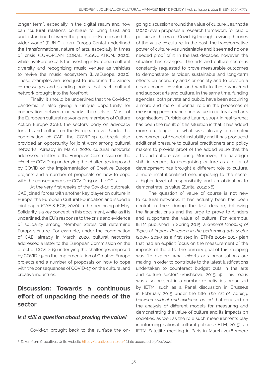longer term", especially in the digital realm and how can "cultural relations continue to bring trust and understanding between the people of Europe and the wider world" (EUNIC, 2021). Europa Cantat underlined the transformational nature of arts, especially in times of crisis (EUROPEAN CORAL ASSOCIATION, 2020), while LiveEurope calls for investing in European cultural diversity and recognizing music venues as vehicles to revive the music ecosystem (LiveEurope, 2020). These examples are used just to underline the variety of messages and standing points that each cultural network brought into the forefront.

Finally, it should be underlined that the Covid-19 pandemic is also giving a unique opportunity for cooperation between networks themselves. Most of the European cultural networks are members of Culture Action Europe (CAE), the sectors' body on advocacy for arts and culture on the European level. Under the coordination of CAE, the COVID-19 outbreak also provided an opportunity for joint work among cultural networks. Already in March 2020, cultural networks addressed a letter to the European Commission on the effect of COVID-19 underlying the challenges imposed by COVID on the implementation of Creative Europe projects and a number of proposals on how to cope with the consequences of COVID-19 on the CCIs.

At the very first weeks of the Covid-19 outbreak, CAE joined forces with another key player on culture in Europe, the European Cultural Foundation and issued a joint paper (CAE & ECF, 2020) in the beginning of May. Solidarity is a key concept in this document, while, as it is underlined, the EU's response to the crisis and evidence of solidarity among Member States will determine Europe's future. For example, under the coordination of CAE, already in March 2020, cultural networks addressed a letter to the European Commission on the effect of COVID-19 underlying the challenges imposed by COVID-19 on the implementation of Creative Europe projects and a number of proposals on how to cope with the consequences of COVID-19 on the cultural and creative industries.

## Discussion: Towards a continuous effort of unpacking the needs of the sector

#### *Is it still a question about proving the value?*

Covid-19 brought back to the surface the on-

going discussion around the value of culture. Jeannotte (2020) even proposes a research framework for public policies in the era of Covid-19 through revising theories of the value of culture. In the past, the transformative power of culture was undeniable and it seemed no one needed proof of it. In the last decades, however, the situation has changed. The arts and culture sector is constantly requested to prove measurable outcomes to demonstrate its wider, sustainable and long-term effects on economy and/ or society and to provide a clear account of value and worth to those who fund and support arts and culture. In the same time, funding agencies, both private and public, have been acquiring a more and more influential role in the processes of measuring performance and value in cultural and arts organisations (Turbide and Laurin, 2009). In reality what has been the result of this situation is that it has added more challenges to what was already a complex environment of financial instability and it has produced additional pressure to cultural practitioners and policy makers to provide proof of the added value that the arts and culture can bring. Moreover, the paradigm shift in regards to recognising culture as a pillar of development has brought a different role to culture, a more institutionalised one, imposing to the sector a higher level of responsibility and an obligation to demonstrate its value (Zurita, 2012: 36).

The question of value of course is not new to cultural networks. It has actually been has been central in their during the last decade, following the financial crisis and the urge to prove to funders and supporters the value of culture. For example, IETM published in Spring 2015, a *General Mapping of Types of Impact Research in the performing arts sector*  (2005- 2015) as a first step in IETM's 2014- 2017 plan that had an explicit focus on the measurement of the impacts of the arts. The primary goal of this mapping was "to explore what efforts arts organisations are making in order to contribute to the latest justifications undertaken to counteract budget cuts in the arts and culture sector" (Shishkova, 2015: 4). This focus was also present in a number of activities organised by IETM, such as a Panel discussion in Brussels in February 2015 under the title *The Art of Valuing: between evident and evidence-based* that focused on the analysis of different models for measuring and demonstrating the value of culture and its impacts on societies, as well as the role such measurements play in informing national cultural policies (IETM, 2015), an IETM Satellite meeting in Paris in March 2016 where

<sup>5</sup> Taken from Creeatives Unite website <u><https://creativesunite.eu/></u> (date accessed 25/09/2021)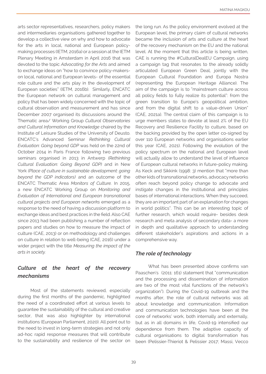arts sector representatives, researchers, policy makers and intermediaries organisations gathered together to develop a collective view on why and how to advocate for the arts in local, national and European policymaking processes (IETM, 2016a) or a session at the IETM Plenary Meeting in Amsterdam in April 2016 that was devoted to the topic *Advocating for the Arts* and aimed to exchange ideas on "how to convince policy-makerson local, national and European levels- of the essential role culture and the arts play in the development of European societies" (IETM, 2016b). Similarly, ENCATC the European network on cultural management and policy that has been widely concerned with the topic of cultural observation and measurement and has since December 2007 organised its discussions around the Thematic area/ Working Group *Cultural Observatories and Cultural Information and Knowledge* chaired by the Institute of Leisure Studies of the University of Deusto. ENCATC's Advanced Seminar *Rethinking Cultural Evaluation: Going beyond GDP* was held on the 22nd of October 2014 in Paris France following two previous seminars organised in 2013 in Antwerp *(Rethinking Cultural Evaluation: Going Beyond GDP)* and in New York *(Place of culture in sustainable development: going beyond the GDP indicators)* and an outcome of the ENCATC Thematic Area *Monitors of Culture.* In 2015, a new ENCATC Working Group on *Monitoring and Evaluation of International and European transnational cultural projects and European networks* emerged as a response to the need of having a discussion platform to exchange ideas and best practices in the field. Also CAE since 2013 had been publishing a number of reflection papers and studies on how to measure the impact of culture (CAE, 2013) or on methodology and challenges on culture in relation to well-being (CAE, 2016) under a wider project with the title *Measuring the impact of the arts in society.*

## *Culture at the heart of the recovery mechanisms*

Most of the statements reviewed, especially during the first months of the pandemic, highlighted the need of a coordinated effort at various levels to guarantee the sustainability of the cultural and creative sector, that was also highlighter by international institutions (European Parliament, 2020). All point out to the need to invest in long-term strategies and not only ad-hoc rapid response measures that will contribute to the sustainability and resilience of the sector on the long run. As the policy environment evolved at the European level, the primary claim of cultural networks became the inclusion of arts and culture at the heart of the recovery mechanism on the EU and the national level. At the moment that this article is being written, CAE is running the #CulturalDealEU Campaign, using a campaign tag that resonates to the already solidly articulated European Green Deal, jointly with the European Cultural Foundation and Europa Nostra (representing the European Heritage Alliance). The aim of the campaign is to "mainstream culture across all policy fields to fully realize its potential": from the green transition to Europe's geopolitical ambition, and from the digital shift to a value-driven Union" (CAE, 2021a). The central claim of this campaign is to urge members states to devote at least 2% of the EU Recovery and Resilience Facility to culture, based on the backing provided by the open letter co-signed by over 110 European networks and organisations earlier this year (CAE, 2021). Following the evolution of the policy spectrum on the national and European level will actually allow to understand the level of influence of European cultural networks in future-policy making. As Keck and Sikkink (1998: 3) mention that "more than other kids of transnational networks, advocacy networks often reach beyond policy change to advocate and instigate changes in the institutional and principles bases of international interactions. When they succeed, they are an important part of an explanation for changes in world politics". This can be an interesting topic of further research, which would require- besides desk research and meta analysis of secondary data- a more in depth and qualitative approach to understanding different stakeholder's aspirations and actions in a comprehensive way.

#### *The role of technology*

What has been presented above confirms van Paaschen's (2011: 161) statement that "communication and the processing and dissemination of information are two of the most vital functions of the network's organization"). During the Covid-19 outbreak and the months after, the role of cultural networks was all about knowledge and communication. Information and communication technologies have been at the core of networks' work, both internally and externally, but as in all domains in life, Covid-19 intensified our dependence from them. The adaptive capacity of cultural organisations to digital transformation has been (Pelissier-Thieriot & Pelissier 2017; Massi, Vecco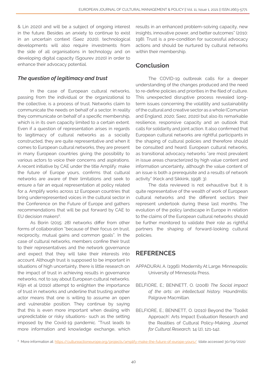& Lin 2020) and will be a subject of ongoing interest in the future. Besides an anxiety to continue to exist in an uncertain context (Saez 2020), technological developments will also require investments from the side of all organisations in technology and on developing digital capacity (Sgourev 2020) in order to enhance their advocacy potential.

#### *The question of legitimacy and trust*

In the case of European cultural networks, passing from the individual or the organizational to the collective, is a process of trust. Networks claim to communicate the needs on behalf of a sector. In reality they communicate on behalf of a specific membership, which is in its own capacity limited to a certain extent. Even if a question of representation arises in regards to legitimacy of cultural networks as a socially constructed, they are quite representative and when it comes to European cultural networks, they are present in many European countries giving the possibility to various actors to voice their concerns and aspirations. A recent initiative by CAE under the title Amplify: make the future of Europe yours, confirms that cultural networks are aware of their limitations and seek to ensure a fair an equal representation at policy related for a. Amplify works across 12 European countries that bring underrepresented voices in the cultural sector in the Conference on the Future of Europe and gathers recommendations that will be put forward by CAE to EU decision makers<sup>6</sup>.

As Borin (2015: 28) networks differ from other forms of collaboration "because of their focus on trust, reciprocity, mutual gains and common goals". In the case of cultural networks, members confine their trust to their representatives and the network governance and expect that they will take their interests into account. Although trust is supposed to be important in situations of high uncertainty, there is little research on the impact of trust in achieving results in governance networks, not to say about European cultural networks. Klijn et al (2010) attempt to enlighten the importance of trust in networks and underline that trusting another actor means that one is willing to assume an open and vulnerable position. They continue by saying that this is even more important when dealing with unpredictable or risky situations- such as the setting imposed by the Covid-19 pandemic. "Trust leads to more information and knowledge exchange, which results in an enhanced problem-solving capacity, new insights, innovative power, and better outcomes" (2010: 198). Trust is a pre-condition for successful advocacy actions and should be nurtured by cultural networks within their membership.

## Conclusion

The COVID-19 outbreak calls for a deeper understanding of the changes produced and the need to re-define policies and priorities in the filed of culture. This unexpected disruptive process revealed longterm issues concerning the volatility and sustainability of the cultural and creative sector as a whole (Comunian and England, 2020; Saez, 2020) but also its remarkable resilience, responsive capacity and an outlook that calls for solidarity and joint action. It also confirmed that European cultural networks are rightful participants in the shaping of cultural policies and therefore should be consulted and heard. European cultural networks, as transitional advocacy networks "are most prevalent in issue areas characterized by high value content and information uncertainty, although the value content of an issue is both a prerequisite and a results of network activity" (Keck and Sikkink, 1998: 3).

The data reviewed is not exhaustive but it is quite representative of the wealth of work of European cultural networks and the different sectors their represent undertook during these last months. The evolution of the policy landscape in Europe in relation to the claims of the European cultural networks should be further monitored to validate their role as rightful partners the shaping of forward-looking cultural policies.

## **REFERENCES**

- APPADURAI, A. (1996). Modernity At Large. Minneapolis: University of Minnesota Press.
- BELFIORE, E.; BENNETT, O. (2008) *The Social impact of the arts: an intellectual history.* Houndmills: Palgrave Macmillan.
- BELFIORE, E.; BENNETT, O. (2010) Beyond the 'Toolkit Approach': Arts Impact Evaluation Research and the Realities of Cultural Policy-Making. *Journal for Cultural Research,* 14 (2), 121-142.

<sup>&</sup>lt;sup>6</sup> More information at: <https://cultureactioneurope.org/projects/amplify-make-the-future-of-europe-yours/> (date accessed 30/09/2021)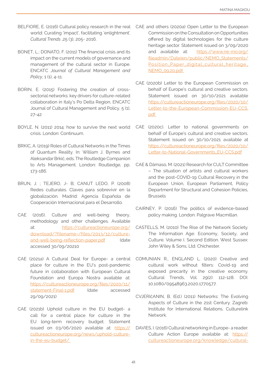- BELFIORE, E. (2016) Cultural policy research in the real world: Curating 'impact', facilitating 'enlightment'. *Cultural Trends* ,25 (3), 205- 2016.
- BONET, L.; DONATO, F. (2011) The financial crisis and its impact on the current models of governance and management of the cultural sector in Europe. ENCATC *Journal of Cultural Management and Policy*, 1 (1), 4-11.
- BORIN, E. (2015) Fostering the creation of crosssectorial networks: key drivers for culture-related collaboration in Italy's Po Delta Region, ENCATC Journal of Cultural Management and Policy, 5 (1), 27-42
- BOYLE, N. (2011) 2014: how to survive the next world CAE (2020c). Letter to national governments on crisis. London: Continuum.
- BRKIC, A. (2019) Roles of Cultural Networks in the Times of Quantum Reality. In: William J. Byrnes and Aleksandar Brkić, eds. The Routledge Companion to Arts Management. London: Routledge, pp. 173-186.
- BRUN, J. ; TEJERO, J- B; CANUT LEDO, P. (2008) Redes culturales. Claves para sobrevivir en la globalización. Madrid: Agencia Española de Cooperación Internacional para el Desarrollo.
- CAE (2016). Culture and well-being: theory, methodology and other challenges. Available at: [https://cultureactioneurope.org/](https://cultureactioneurope.org/download/?filename=/files/2013/12/culture-and-well-being-reflection-) [download/?filename=/files/2013/12/culture](https://cultureactioneurope.org/download/?filename=/files/2013/12/culture-and-well-being-reflection-)[and-well-being-reflection-paper.pdf](https://cultureactioneurope.org/download/?filename=/files/2013/12/culture-and-well-being-reflection-) (date accessed 30/09/20210
- CAE (2021a) A Cultural Deal for Europe- a central place for culture in the EU's post-pandemic future in collaboration with European Cultural Foundation and Europa Nostra available at: [https://cultureactioneurope.org/files/2020/11/](https://cultureactioneurope.org/files/2020/11/statement-Final-1.pdf) [statement-Final-1.pdf](https://cultureactioneurope.org/files/2020/11/statement-Final-1.pdf) (date accessed 29/09/2021)
- CAE (2021b) Uphold culture in the EU budget- a call for a central place for culture in the EU long-term recovery budget. Statement issued on 03/06/2020 available at: [https://](https://cultureactioneurope.org/news/uphold-culture-in-the-eu-budget/  ) [cultureactioneurope.org/news/uphold-culture](https://cultureactioneurope.org/news/uphold-culture-in-the-eu-budget/  )[in-the-eu-budget/](https://cultureactioneurope.org/news/uphold-culture-in-the-eu-budget/  )
- CAE and others (2020a) Open Letter to the European Commission on the Consultation on Opportunities offered by digital technologies for the culture heritage sector. Statement issued on 3/09/2020 and available at: [https://www.ne-mo.org/](https://www.ne-mo.org/fileadmin/Dateien/public/NEMO_Statements/Position_Paper_digital_cultural_herit) [fileadmin/Dateien/public/NEMO\\_Statements/](https://www.ne-mo.org/fileadmin/Dateien/public/NEMO_Statements/Position_Paper_digital_cultural_herit) [Position\\_Paper\\_digital\\_cultural\\_heritage\\_](https://www.ne-mo.org/fileadmin/Dateien/public/NEMO_Statements/Position_Paper_digital_cultural_herit) [NEMO\\_09.20.pdf](https://www.ne-mo.org/fileadmin/Dateien/public/NEMO_Statements/Position_Paper_digital_cultural_herit)
- CAE (2020b) Letter to the European Commission on behalf of Europe's cultural and creative sectors. Statement issued on 30/10/2021 available [https://cultureactioneurope.org/files/2020/10/](https://cultureactioneurope.org/files/2020/10/Letter-to-the-European-Commission-EU-CCS.pdf  ) [Letter-to-the-European-Commission-EU-CCS.](https://cultureactioneurope.org/files/2020/10/Letter-to-the-European-Commission-EU-CCS.pdf  ) [pdf](https://cultureactioneurope.org/files/2020/10/Letter-to-the-European-Commission-EU-CCS.pdf  )
- behalf of Europe's cultural and creative sectors. Statement issued on 30/10/2021 available at [https://cultureactioneurope.org/files/2020/10/](https://cultureactioneurope.org/files/2020/10/Letter-to-National-Governments_EU-CCS.pdf) [Letter-to-National-Governments\\_EU-CCS.pdf](https://cultureactioneurope.org/files/2020/10/Letter-to-National-Governments_EU-CCS.pdf)
- CAE & Dâmaso, M. (2021) Research for CULT Committee – The situation of artists and cultural workers and the post-COVID-19 Cultural Recovery in the European Union, European Parliament, Policy Department for Structural and Cohesion Policies, Brussels
- CAIRNEY, P. (2016) The politics of evidence-based policy making. London: Palgrave Macmillan.
- CASTELLS, M. (2010) The Rise of the Network Society. The Information Age: Economy, Society, and Culture. Volume I. Second Edition. West Sussex: John Wiley & Sons, Ltd. Chichester.
- COMUNIAN R., ENGLAND L. (2020) Creative and cultural work without filters: Covid-19 and exposed precarity in the creative economy. Cultural Trends, Vol. 29(2): 112-128. DOI: 10.1080/09548963.2020.1770577.
- CVJERIčANIN, B. (Ed.) (2011) Networks: The Evolving Aspects of Culture in the 21st Century. Zagreb: Institute for International Relations. Culturelink Network.
- DAVIES, I. (2016) Cultural networking in Europe- a reader. Culture Action Europe available at: [https://](https://cultureactioneurope.org/knowledge/cultural-networking-in-europe-today-tomorrow/cae_cultural-) [cultureactioneurope.org/knowledge/cultural-](https://cultureactioneurope.org/knowledge/cultural-networking-in-europe-today-tomorrow/cae_cultural-)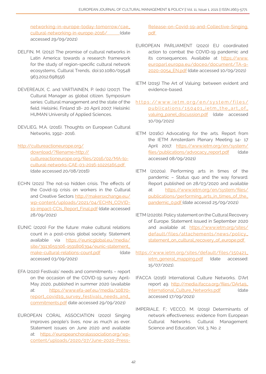[networking-in-europe-today-tomorrow/cae\\_](https://cultureactioneurope.org/knowledge/cultural-networking-in-europe-today-tomorrow/cae_cultural-) [cultural-networking-in-europe-2016/](https://cultureactioneurope.org/knowledge/cultural-networking-in-europe-today-tomorrow/cae_cultural-) (date accessed 29/09/2021)

- DELFIN, M. (2012) The promise of cultural networks in Latin America: towards a research framework for the study of region-specific cultural network ecosystems, Cultural Trends, doi:10.1080/09548 963.2012.698556
- DEVEREAUX, C. and VARTIAINEN, P. (eds) (2007). The Cultural Manager as global citizen. Symposium series: Cultural management and the state of the field. Helsinki, Finland 18- 20 April 2007. Helsinki: HUMAN University of Applied Sciences.
- DEVLIEG, M.A. (2016). Thoughts on European Cultural Networks, 1992- 2016.
- [http://cultureactioneurope.org/](http://cultureactioneurope.org/download/?filename=http://cultureactioneurope.org/files/2016/02/MA-to) [download/?filename=http://](http://cultureactioneurope.org/download/?filename=http://cultureactioneurope.org/files/2016/02/MA-to) [cultureactioneurope.org/files/2016/02/MA-to](http://cultureactioneurope.org/download/?filename=http://cultureactioneurope.org/files/2016/02/MA-to)[cultural-networks-CAE-03-2016-10225165.pdf](http://cultureactioneurope.org/download/?filename=http://cultureactioneurope.org/files/2016/02/MA-to)  (date accessed 20/08/2016)
- ECHN (2021) The not-so hidden crisis. The effects of the Covid-19 crisis on workers in the Cultural and Creative Sectors [http://makersxchange.eu/](http://makersxchange.eu/wp-content/uploads/2021/04/ECHN_COVID-19-impact-CCIs_Report_Final.pdf) [wp-content/uploads/2021/04/ECHN\\_COVID-](http://makersxchange.eu/wp-content/uploads/2021/04/ECHN_COVID-19-impact-CCIs_Report_Final.pdf)[19-impact-CCIs\\_Report\\_Final.pdf](http://makersxchange.eu/wp-content/uploads/2021/04/ECHN_COVID-19-impact-CCIs_Report_Final.pdf) (date accessed 28/09/2021)
- EUNIC (2020) For the future: make cultural relations count in a post-crisis global society. Statement available via [https://eunicglobal.eu/media/](https://eunicglobal.eu/media/site/3913659306-1591806394/eunic-statement_make-cultural-relations-coun) [site/3913659306-1591806394/eunic-statement\\_](https://eunicglobal.eu/media/site/3913659306-1591806394/eunic-statement_make-cultural-relations-coun) [make-cultural-relations-count.pdf](https://eunicglobal.eu/media/site/3913659306-1591806394/eunic-statement_make-cultural-relations-coun) (date accessed 03/09/2021)
- EFA (2020) Festivals' needs and commitments report on the occasion of the COVID-19 survey April-May 2020, published in summer 2020 (available at: [https://www.efa-aef.eu/media/10870](https://www.efa-aef.eu/media/10870-report_covid19_survey_festivals_needs_and_commitments.pdf) [report\\_covid19\\_survey\\_festivals\\_needs\\_and\\_](https://www.efa-aef.eu/media/10870-report_covid19_survey_festivals_needs_and_commitments.pdf) [commitments.pdf](https://www.efa-aef.eu/media/10870-report_covid19_survey_festivals_needs_and_commitments.pdf) date accessed 29/09/2021)
- EUROPEAN CORAL ASSOCIATION (2020) Singing improves people's lives, now as much as ever. Statement issues on June 2020 and available at: [https://europeanchoralassociation.org/wp](https://europeanchoralassociation.org/wp-content/uploads/2020/07/June-2020-Press-Release-on-Covid-19)[content/uploads/2020/07/June-2020-Press-](https://europeanchoralassociation.org/wp-content/uploads/2020/07/June-2020-Press-Release-on-Covid-19)

[Release-on-Covid-19-and-Collective-Singing.](https://europeanchoralassociation.org/wp-content/uploads/2020/07/June-2020-Press-Release-on-Covid-19) [pdf](https://europeanchoralassociation.org/wp-content/uploads/2020/07/June-2020-Press-Release-on-Covid-19) 

- EUROPEAN PARLIAMENT (2020) EU coordinated action to combat the COVID-19 pandemic and its consequences. Available at [https://www.](https://www.europarl.europa.eu/doceo/document/TA-9-2020-0054_EN.pdf) [europarl.europa.eu/doceo/document/TA-9-](https://www.europarl.europa.eu/doceo/document/TA-9-2020-0054_EN.pdf) [2020-0054\\_EN.pdf](https://www.europarl.europa.eu/doceo/document/TA-9-2020-0054_EN.pdf) (date accessed 10/09/2021)
- IETM (2015) The Art of Valuing: between evident and evidence-based.
- https://www.ietm.org/en/system/files/ [publications/150401\\_ietm\\_the\\_art\\_of\\_](https://www.ietm.org/en/system/files/publications/150401_ietm_the_art_of_valuing_panel_discussion.pd) [valuing\\_panel\\_discussion.pdf](https://www.ietm.org/en/system/files/publications/150401_ietm_the_art_of_valuing_panel_discussion.pd) (date accessed 10/09/2021)
- IETM (2016c) Advocating for the arts. Report from the IETM Amsterdam Plenary Meeting 14- 17 April 2017. [https://www.ietm.org/en/system/](https://www.ietm.org/en/system/files/publications/advocacy_report.pdf) [files/publications/advocacy\\_report.pdf](https://www.ietm.org/en/system/files/publications/advocacy_report.pdf) (date accessed 08/09/2021)
- IETM (2020a). Performing arts in times of the pandemic – Status quo and the way forward. Report published on 28/03/2020 and available at: [https://www.ietm.org/en/system/files/](https://www.ietm.org/en/system/files/publications/performing_arts_in_times_of_the_pandemic_0.pdf ) [publications/performing\\_arts\\_in\\_times\\_of\\_the\\_](https://www.ietm.org/en/system/files/publications/performing_arts_in_times_of_the_pandemic_0.pdf ) [pandemic\\_0.pdf \(](https://www.ietm.org/en/system/files/publications/performing_arts_in_times_of_the_pandemic_0.pdf )date accessd 25/09/2021)
- IETM (2020b). Policy statement on the Cultural Recovery of Europe. Statement issued in September 2020 and available at: [https://www.ietm.org/sites/](https://www.ietm.org/sites/default/files/attachements/news/policy_statement_on_cultural_recovery_of_) [default/files/attachements/news/policy\\_](https://www.ietm.org/sites/default/files/attachements/news/policy_statement_on_cultural_recovery_of_) [statement\\_on\\_cultural\\_recovery\\_of\\_europe.pdf](https://www.ietm.org/sites/default/files/attachements/news/policy_statement_on_cultural_recovery_of_)
- [https://www.ietm.org/sites/default/files/150421\\_](https://www.ietm.org/sites/default/files/150421_ietm_general_mapping.pdf) [ietm\\_general\\_mapping.pdf](https://www.ietm.org/sites/default/files/150421_ietm_general_mapping.pdf) (date accessed: 15/07/2021).
- IFACCA (2016) International Culture Networks. D'Art report 49. [http://media.ifacca.org/files/DArt49\\_](http://media.ifacca.org/files/DArt49_International_Culture_Networks.pdf) [International\\_Culture\\_Networks.pdf](http://media.ifacca.org/files/DArt49_International_Culture_Networks.pdf) (date accessed 17/09/2021)
- IMPERIALE, F.; VECCO, M. (2019) Determinants of network effectiveness: evidence from European Cultural Networks. Cultural Management: Science and Education, Vol. 3, No. 2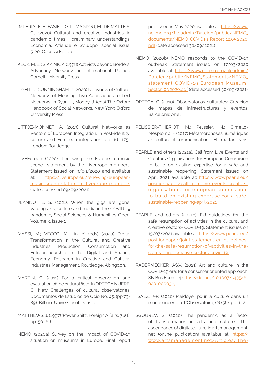- IMPERIALE, F.; FASIELLO, R.; MAGKOU, M.; DE MATTEIS, C.; (2020) Cultural and creative industries in pandemic times : preliminary understandings. Economia, Aziende e Sviluppo, special issue, 5-20, Cacussi Editore
- KECK, M. E. ; SIKKINK, K. (1998) Activists beyond Borders: Advocacy Networks in International Politics. Cornell University Press.
- LIGHT, R; CUNNINGHAM, J. (2020) Networks of Culture, Networks of Meaning: Two Approaches to Text Networks. In Ryan, L., Moody, J. (eds) The Oxford Handbook of Social Networks. New York: Oxford University Press
- LITTOZ-MONNET, A. (2013) Cultural Networks as Vectors of European Integration. In Post-identity: culture and European integration (pp. 161-175). London: Routledge.
- LIVEEurope (2020). Renewing the European music scene- statement by the Liveurope members. Statement issued on 3/09/2020 and available at: [https://liveurope.eu/renewing-european](https://liveurope.eu/renewing-european-music-scene-statement-liveurope-members)[music-scene-statement-liveurope-members](https://liveurope.eu/renewing-european-music-scene-statement-liveurope-members) (date accessed 09/09/2021)
- JEANNOTTE, S. (2021). When the gigs are gone: Valuing arts, culture and media in the COVID-19 pandemic, Social Sciences & Humanities Open, Volume 3, Issue 1
- MASSI, M.; VECCO, M; Lin, Y. (eds) (2020) Digital Transformation in the Cultural and Creative Industries. Production, Consumption and Entrepreneurship in the Digital and Sharing Economy. Research in Creative and Cultural Industries Management, Routledge, Abingdon.
- MARTIN, C. (2011) For a critical observation and evaluation of the cultural field. In ORTEGA NUERE, C., New Challenges of cultural observatories. Documentos de Estudios de Ocio No. 45. (pp.79- 89). Bilbao: University of Deusto
- MATTHEWS, J. (1997) 'Power Shift', Foreign Affairs, 76(1), pp. 50–66
- NEMO (2020a) Survey on the impact of COVID-19 situation on museums in Europe. Final report

published in May 2020 available at: [https://www.](https://www.ne-mo.org/fileadmin/Dateien/public/NEMO_documents/NEMO_COVID19_Report_12.05.2020.pdf) [ne-mo.org/fileadmin/Dateien/public/NEMO\\_](https://www.ne-mo.org/fileadmin/Dateien/public/NEMO_documents/NEMO_COVID19_Report_12.05.2020.pdf) [documents/NEMO\\_COVID19\\_Report\\_12.05.2020.](https://www.ne-mo.org/fileadmin/Dateien/public/NEMO_documents/NEMO_COVID19_Report_12.05.2020.pdf) [pdf](https://www.ne-mo.org/fileadmin/Dateien/public/NEMO_documents/NEMO_COVID19_Report_12.05.2020.pdf) (date accessed 30/09/2021)

- NEMO (2020b) NEMO responds to the COVID-19 outbreak. Statement issued on 17/03/2020 available at: [https://www.ne-mo.org/fileadmin/](https://www.ne-mo.org/fileadmin/Dateien/public/NEMO_Statements/NEMO_statement_COVID-19_European_Muse) [Dateien/public/NEMO\\_Statements/NEMO\\_](https://www.ne-mo.org/fileadmin/Dateien/public/NEMO_Statements/NEMO_statement_COVID-19_European_Muse) [statement\\_COVID-19\\_European\\_Museum\\_](https://www.ne-mo.org/fileadmin/Dateien/public/NEMO_Statements/NEMO_statement_COVID-19_European_Muse) [Sector\\_03.2020.pdf](https://www.ne-mo.org/fileadmin/Dateien/public/NEMO_Statements/NEMO_statement_COVID-19_European_Muse) (date accessed 30/09/2021)
- ORTEGA, C. (2010). Observatorios culturales: Creacion de mapas de infraestructuras y eventos. Barcelona: Ariel
- PELISSIER-THIERIOT, M.; Pelissier, N.; Gimello-Mesplomb, F. (2017) Métamorphoses numériques art, culture et communication, L'Harmattan, Paris.
- PEARLE and others (2021a). Call from Live Events and Creators Organisations for European Commision to build on existing expertise for a safe and sustainable reopening. Statement issued on April 2021 available at: [https://www.pearle.eu/](https://www.pearle.eu/positionpaper/call-from-live-events-creators-organisations-for-european-commis) [positionpaper/call-from-live-events-creators](https://www.pearle.eu/positionpaper/call-from-live-events-creators-organisations-for-european-commis)[organisations-for-european-commission](https://www.pearle.eu/positionpaper/call-from-live-events-creators-organisations-for-european-commis)[to-build-on-existing-expertise-for-a-safe](https://www.pearle.eu/positionpaper/call-from-live-events-creators-organisations-for-european-commis)[sustainable-reopening-april-2021](https://www.pearle.eu/positionpaper/call-from-live-events-creators-organisations-for-european-commis)
- PEARLE and others (2021b). EU guidelines for the safe resumption of activities in the cultural and creative sectors- COVID-19. Statement issues on 15/07/2021 available at: [https://www.pearle.eu/](https://www.pearle.eu/positionpaper/joint-statement-eu-guidelines-for-the-safe-resumption-of-activit) [positionpaper/joint-statement-eu-guidelines](https://www.pearle.eu/positionpaper/joint-statement-eu-guidelines-for-the-safe-resumption-of-activit)[for-the-safe-resumption-of-activities-in-the](https://www.pearle.eu/positionpaper/joint-statement-eu-guidelines-for-the-safe-resumption-of-activit)[cultural-and-creative-sectors-covid-19](https://www.pearle.eu/positionpaper/joint-statement-eu-guidelines-for-the-safe-resumption-of-activit)
- RADERMECKER, AS.V. (2021) Art and culture in the COVID-19 era: for a consumer oriented approach. SN Bus Econ 1, 4 [https://doi.org/10.1007/s43546-](https://doi.org/10.1007/s43546-020-00003-y ) [020-00003-y](https://doi.org/10.1007/s43546-020-00003-y )
- SAEZ, J-P. (2020) Plaidoyer pour la culture dans un monde incertain, L'Observatoire, (2) (56), pp. 1–2.
- SGOUREV, S. (2020) The pandemic as a factor of transformation in arts and culture- The ascendance of 'digital culture' in artsmanagement. net (online publication) (available at: [https://](https://www.artsmanagement.net/Articles/The-Pandemic-as-a-Factor-of-Transformation-in-Arts-and-Cultu) [www.artsmanagement.net/Articles/The-](https://www.artsmanagement.net/Articles/The-Pandemic-as-a-Factor-of-Transformation-in-Arts-and-Cultu)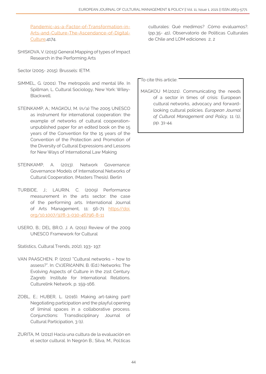[Pandemic-as-a-Factor-of-Transformation-in-](https://www.artsmanagement.net/Articles/The-Pandemic-as-a-Factor-of-Transformation-in-Arts-and-Cultu)[Arts-and-Culture-The-Ascendance-of-Digital-](https://www.artsmanagement.net/Articles/The-Pandemic-as-a-Factor-of-Transformation-in-Arts-and-Cultu)[Culture](https://www.artsmanagement.net/Articles/The-Pandemic-as-a-Factor-of-Transformation-in-Arts-and-Cultu),4174.

SHISKOVA, V. (2015) General Mapping of types of Impact Research in the Performing Arts

Sector (2005- 2015). Brussels: IETM.

- SIMMEL, G. (2001). The metropolis and mental life. In Spillman, L. Cultural Sociology, New York: Wiley-**Blackwell**
- STEINKAMP, A.; MAGKOU, M. (n/a) The 2005 UNESCO as instrument for international cooperation: the example of networks of cultural cooperationunpublished paper for an edited book on the 15 years of the Convention for the 15 years of the Convention of the Protection and Promotion of the Diversity of Cultural Expressions and Lessons for New Ways of International Law Making
- STEINKAMP, A. (2013). Network Governance: Governance Models of International Networks of Cultural Cooperation, (Masters Thesis). Berlin
- TURBIDE, J.; LAURIN, C. (2009) Performance measurement in the arts sector: the case of the performing arts. International Journal of Arts Management, 11: 56-71 [https//doi.](http://https//doi.org/10.1007/978-3-030-46796-8-11 ) [org/10.1007/978-3-030-46796-8-11](http://https//doi.org/10.1007/978-3-030-46796-8-11 )
- USERO, B.; DEL BR.O, J. A. (2011) Review of the 2009 UNESCO Framework for Cultural

Statistics, Cultural Trends, 20(2), 193- 197.

- VAN PAASCHEN, P. (2011) "Cultural networks how to assess?". In: CVJERIčANIN, B. (Ed.) Networks: The Evolving Aspects of Culture in the 21st Century. Zagreb: Institute for International Relations. Culturelink Network, p. 159-166.
- ZOBL, E.; HUBER, L. (2016). Making art-taking part! Negotiating participation and the playful opening of liminal spaces in a collaborative process. Conjunctions: Transdisciplinary Journal of Cultural Participation, 3 (1).
- ZURITA, M. (2012) Hacia una cultura de la evaluación en el sector cultural. In Negrón B.; Silva, M., Pol.ticas

culturales: Qué medimos? .Cómo evaluamos?. (pp.35- 41), Observatorio de Políticas Culturales de Chile and LOM ediciones 2, 2

To cite this article:

MAGKOU M.(2021). Communicating the needs of a sector in times of crisis: European cultural networks, advocacy and forwardlooking cultural policies. *European Journal of Cultural Management and Policy,* 11 (1), pp. 31-44.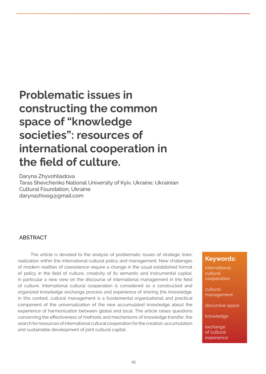## Problematic issues in constructing the common space of "knowledge societies": resources of international cooperation in the field of culture.

Daryna Zhyvohliadova Taras Shevchenko National University of Kyiv, Ukraine; Ukrainian Cultural Foundation, Ukraine darynazhivog@gmail.com

#### ABSTRACT

The article is devoted to the analysis of problematic issues of strategic lines' realization within the international cultural policy and management. New challenges of modern realities of coexistence require a change in the usual established format of policy in the field of culture, creativity of its semantic and instrumental capital, in particular a new view on the discourse of international management in the field of culture. International cultural cooperation is considered as a constructed and organized knowledge exchange process and experience of sharing this knowledge. In this context, cultural management is a fundamental organizational and practical component of the universalization of the new accumulated knowledge about the experience of harmonization between global and local. The article raises questions concerning the effectiveness of methods and mechanisms of knowledge transfer, the search for resources of international cultural cooperation for the creation, accumulation and sustainable development of joint cultural capital.

## Keywords:

International cultural cooperation

cultural management

discursive space

knowledge

exchange of cultural experience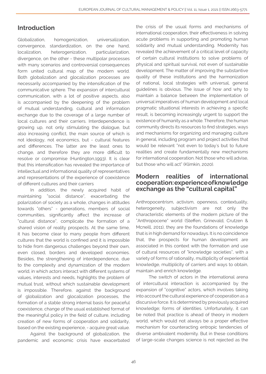## Introduction

Globalization, homogenization, universalization, convergence, standardization, on the one hand, localization, heterogenization, particularization, divergence, on the other - these multipolar processes with many scenarios and controversial consequences form united cultural map of the modern world. Both globalization and glocalization processes are necessarily accompanied by the intensification of the communicative sphere. The expansion of intercultural communication, with a lot of positive aspects, also is accompanied by the deepening of the problem of mutual understanding, cultural and information exchange due to the coverage of a large number of local cultures and their carriers. Interdependence is growing up, not only stimulating the dialogue, but also increasing conflict, the main source of which is not ideology, not economics, but - cultural features and differences. The latter are the least ones to change, and therefore they are more difficult to resolve or compromise (Huntington,1993). It is clear that this intensification has revealed the importance of intellectual and informational quality of representatives and representations of the experience of coexistence of different cultures and their carriers

In addition, the newly acquired habit of maintaining "social distance", exacerbating the polarization of society as a whole, changes in attitudes towards "others" - generations, members of social communities, significantly affect the increase of "cultural distance", complicate the formation of a shared vision of reality prospects. At the same time, it has become clear to many people from different cultures that the world is confined and it is impossible to hide from dangerous challenges beyond their own, even closed, borders and developed economies. Besides, the strengthening of interdependence, due to the complexity and dynamization of the modern world, in which actors interact with different systems of values, interests and needs, highlights the problem of mutual trust, without which sustainable development is impossible. Therefore, against the background of globalization and glocalization processes, the formation of a stable strong internal basis for peaceful coexistence, change of the usual established format of the meaningful policy in the field of culture, including creation of new forms of cooperation and solidarity, based on the existing experience, - acquire great value.

Against the background of globalization, the pandemic and economic crisis have exacerbated the crisis of the usual forms and mechanisms of international cooperation, their effectiveness in solving acute problems in supporting and promoting human solidarity and mutual understanding. Modernity has revealed the achievement of a critical level of capacity of certain cultural institutions to solve problems of physical and spiritual survival, not even of sustainable development. The matter of improving the substantive quality of these institutions and the harmonization of national, local strategies with universal, general guidelines is obvious. The issue of how and why to maintain a balance between the implementation of universal imperatives of human development and local pragmatic situational interests in achieving a specific result, is becoming increasingly urgent to support the existence of humanity as a whole. Therefore, the human community directs its resources to find strategies, ways and mechanisms for organizing and managing culture in general, including program and project activities that would be relevant "not even to today's but to future realities and create fundamentally new mechanisms for international cooperation. Not those who will advise, but those who will act" (Klimkin, 2020).

## Modern realities of international cooperation: experience of knowledge exchange as the "cultural capital"

Anthropocentrism, activism, openness, contextuality, heterogeneity, subjectivism are not only the characteristic elements of the modern picture of the "Anthropocene" world (Steffen, Grinevald, Crutzen & Mcneill, 2011), they are the foundations of knowledge that is in high demand for nowadays. It is no coincidence that, the prospects for human development are associated in this context with the formation and use of cultural resources of "knowledge societies", with a variety of forms of rationality, multiplicity of experiential knowledge, multiplicity of carriers and ways to obtain, maintain and enrich knowledge.

The switch of actors in the international arena of intercultural interaction is accompanied by the expansion of "cognitive" actors, which involves taking into account the cultural experience of cooperation as a discursive force. It is determined by previously acquired knowledge; forms of identities. Unfortunately, it can be noted that practice is ahead of theory in modern world, which would not always be a proper effective mechanism for counteracting entropic tendencies of diverse ambivalent modernity. But in these conditions of large-scale changes science is not rejected as the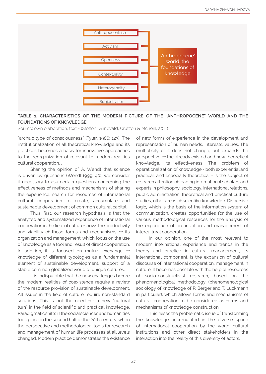

#### TABLE 1. CHARACTERISTICS OF THE MODERN PICTURE OF THE "ANTHROPOCENE" WORLD AND THE FOUNDATIONS OF KNOWLEDGE

Source: own elaboration, text - (Steffen, Grinevald, Crutzen & Mcneill, 2011)

"archaic type of consciousness" (Tyler, 1986: 123). The institutionalization of all theoretical knowledge and its practices becomes a basis for innovative approaches to the reorganization of relevant to modern realities cultural cooperation. .

Sharing the opinion of A. Wendt that science is driven by questions (Wendt,1999: 40), we consider it necessary to ask certain questions concerning the effectiveness of methods and mechanisms of sharing the experience, search for resources of international cultural cooperation to create, accumulate and sustainable development of common cultural capital.

Thus, first, our research hypothesis is that the analyzed and systematized experience of international cooperation in the field of culture shows the productivity and viability of those forms and mechanisms of its organization and management, which focus on the use of knowledge as a tool and result of direct cooperation. In addition, it is focused on mutual exchange of knowledge of different typologies as a fundamental element of sustainable development, support of a stable common globalized world of unique cultures.

It is indisputable that the new challenges before the modern realities of coexistence require a review of the resource provision of sustainable development. All issues in the field of culture require non-standard solutions. This is not the need for a new "cultural turn" in the field of scientific and practical knowledge. Paradigmatic shifts in the social sciences and humanities took place in the second half of the 20th century, when the perspective and methodological tools for research and management of human life processes at all levels changed. Modern practice demonstrates the existence

of new forms of experience in the development and representation of human needs, interests, values. The multiplicity of it does not change, but expands the perspective of the already existed and new theoretical knowledge, its effectiveness. The problem of operationalization of knowledge - both experiential and practical, and especially theoretical - is the subject of research attention of leading international scholars and experts in philosophy, sociology, international relations, public administration, theoretical and practical culture studies, other areas of scientific knowledge. Discursive logic, which is the basis of the information system of communication, creates opportunities for the use of various methodological resources for the analysis of the experience of organization and management of intercultural cooperation.

In our opinion, one of the most relevant to modern international experience and trends in the theory and practice in cultural management, its international component, is the expansion of cultural discourse of international cooperation, management in culture. It becomes possible with the help of resources of socio-constructivist research, based on the phenomenological methodology (phenomenological sociology of knowledge of P. Berger and T. Luckmann in particular), which allows forms and mechanisms of cultural cooperation to be considered as forms and mechanisms of knowledge construction.

This raises the problematic issue of transforming the knowledge accumulated in the diverse space of international cooperation by the world cultural institutions and other direct stakeholders in the interaction into the reality of this diversity of actors.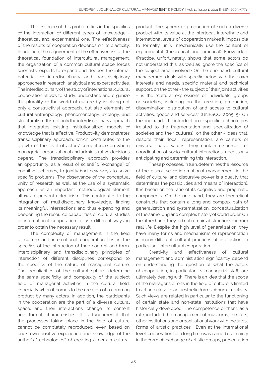The essence of this problem lies in the specifics of the interaction of different types of knowledge theoretical and experimental one. The effectiveness of the results of cooperation depends on its plasticity. In addition, the requirement of the effectiveness of the theoretical foundation of intercultural management, the organization of a common cultural space forces scientists, experts to expand and deepen the internal potential of interdisciplinary and transdisciplinary approaches in research, analytical and expert activities. The interdisciplinary of the study of international cultural cooperation allows to study, understand and organize the plurality of the world of culture by involving not only a constructivist approach, but also elements of cultural anthropology, phenomenology, axiology, and structuralism. It is not only the interdisciplinary approach that integrates existing institutionalized models of knowledge that is effective. Productivity demonstrates transdisciplinary approach, which contributes to the growth of the level of actors' competence on whom managerial, organizational and administrative decisions depend. The transdisciplinary approach provides an opportunity, as a result of scientific "exchange" of cognitive schemes, to jointly find new ways to solve specific problems. The observance of the conceptual unity of research as well as the use of a systematic approach as an important methodological element allows to prevent eclecticism. This contributes to the integration of multidisciplinary knowledge, finding its meaningful intersections and thus expanding and deepening the resource capabilities of cultural studies of international cooperation to use different ways in order to obtain the necessary result.

The complexity of management in the field of culture and international cooperation lies in the specifics of the interaction of their content and form. Interdisciplinary and transdisciplinary principles of interaction of different disciplines correspond to the specifics of the nature of managerial culture. The peculiarities of the cultural sphere determine the same specificity and complexity of the subject field of managerial activities in the cultural field, especially when it comes to the creation of a common product by many actors. In addition, the participants in the cooperation are the part of a diverse cultural space, and their interactions change its content and formal characteristics. It is fundamental that the processes taking place in the field of culture cannot be completely reproduced, even based on one's own positive experience and knowledge of the author's "technologies" of creating a certain cultural

product. The sphere of production of such a diverse product with its value at the interlocal, interethnic and international levels of cooperation makes it impossible to formally unify, mechanically use the content of experimental (theoretical and practical) knowledge. (Practice, unfortunately, shows that some actors do not understand this, as well as ignore the specifics of the subject area involved.) On the one hand, cultural management deals with specific actors with their own interests and needs, specific material and technical support, on the other - the subject of their joint activities – is the "cultural expressions of individuals, groups or societies, including on the creation, production, dissemination, distribution of and access to cultural activities, goods and services" (UNESCO, 2005: 5). On the one hand - the introduction of specific technologies (related to the fragmentation and specialization of societies and their cultures), on the other - ideas that, despite their "local" representation, are carriers of universal basic values. They contain resources for coordination of socio-cultural interactions, necessarily anticipating and determining this interaction.

These processes, in turn, determines the resource of the discourse of international management in the field of culture (and discursive power is a quality that determines the possibilities and means of interaction). It is based on the ratio of its cognitive and pragmatic components. On the one hand, they are theoretical constructs that contain a long and complex path of generalization and systematization, conceptualization of the same long and complex history of world order. On the other hand, they did not remain abstractions far from real life. Despite the high level of generalization, they have many forms and mechanisms of representation in many different cultural practices of interaction, in particular - intercultural cooperation.

Creativity and effectiveness of cultural management and administration significantly depend on understanding the question of what the actors of cooperation, in particular its managerial staff, are ultimately dealing with. There is an idea that the scope of the manager's efforts in the field of culture is limited to art and close to art aesthetic forms of human activity. Such views are related in particular to the functioning of certain state and non-state institutions that have historically developed. The competence of them, as a rule, included the management of museums, theaters, other institutions and organizational work with the latest forms of artistic practices. Even at the international level, cooperation for a long time was carried out mainly in the form of exchange of artistic groups, presentation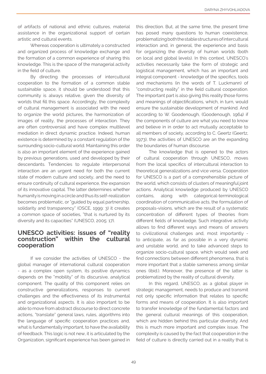of artifacts of national and ethnic cultures, material assistance in the organizational support of certain artistic and cultural events.

Whereas cooperation is ultimately a constructed and organized process of knowledge exchange and the formation of a common experience of sharing this knowledge. This is the space of the managerial activity in the field of culture.

By directing the processes of intercultural cooperation to the formation of a common stable sustainable space, it should be understood that this community is always relative, given the diversity of worlds that fill this space. Accordingly, the complexity of cultural management is associated with the need to organize the world pictures, the harmonization of images of reality, the processes of interaction. They are often controversial and have complex multilevel mediation in direct dynamic practice. Indeed, human existence is determined by a constant regulation of the surrounding socio-cultural world. Maintaining this order is also an important element of the experience gained by previous generations, used and developed by their descendants. Tendencies to regulate interpersonal interaction are an urgent need for both the current state of modern culture and society, and the need to ensure continuity of cultural experience, the expansion of its innovative capital. The latter determines whether humanity is moving in a circle and thus its self-realization becomes problematic, or "guided by equal partnership, solidarity and transparency" (OSCE, 1999: 3) it creates a common space of societies, "that is nurtured by its diversity and its capacities" (UNESCO, 2005: 17).

## UNESCO activities: issues of "reality construction" within the cultural cooperation

If we consider the activities of UNESCO - the global manager of international cultural cooperation - as a complex open system, its positive dynamics depends on the "mobility" of its discursive, analytical component. The quality of this component relies on constructive generalizations, responses to current challenges and the effectiveness of its instrumental and organizational aspects. It is also important to be able to move from abstract discourse to direct concrete actions, "translate" general laws, rules, algorithms into the language of specific cooperation practices and, what is fundamentally important, to have the availability of feedback. This logic is not new, it is articulated by the Organization, significant experience has been gained in

this direction. But, at the same time, the present time has posed many questions to human coexistence, problematizing both the stable structures of intercultural interaction and, in general, the experience and basis for organizing the diversity of human worlds (both on local and global levels). In this context, UNESCO's activities necessarily take the form of strategic and logistical management, which has an important and integral component - knowledge of the specifics, tools and mechanisms (in the words of T. Luckmann) of "constructing reality" in the field cultural cooperation. The important part is also giving this reality those forms and meanings of objectifications, which, in turn, would ensure the sustainable development of mankind. And according to W. Goodenough, (Goodenough, 1964) if the components of culture are what you need to know and believe in in order to act mutually acceptable to all members of society, according to C. Geertz (Geertz, 1973), the activities of UNESCO are an the expanding the boundaries of human discourse.

The knowledge that is opened to the actors of cultural cooperation through UNESCO, moves from the local specifics of intercultural interaction to theoretical generalizations and vice versa. Cooperation for UNESCO is a part of a comprehensible picture of the world, which consists of clusters of meaningful joint actions. Analytical knowledge produced by UNESCO contains, along with categorical-terminological coordination of communicative acts, the formulation of proposals-visions, which are the result of a systematic concentration of different types of theories from different fields of knowledge. Such integrative activity allows to find different ways and means of answers to civilizational challenges and, most importantly to anticipate, as far as possible in a very dynamic and unstable world, and to take advanced steps to organize socio-cultural space, which would seek and find connections between different phenomena, that is more important that a stable sameness among similar ones (ibid.). Moreover, the presence of the latter is problematized by the reality of cultural diversity.

In this regard, UNESCO, as a global player in strategic management, needs to produce and transmit not only specific information that relates to specific forms and means of cooperation. It is also important to transfer knowledge of the fundamental factors and the general cultural meanings of this cooperation, which are hidden behind this particular diversity. And this is much more important and complex issue. The complexity is caused by the fact that cooperation in the field of culture is directly carried out in a reality that is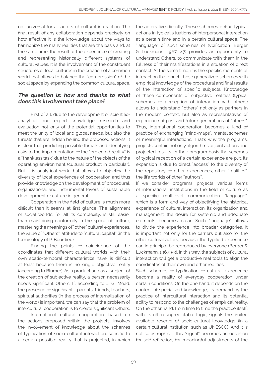not universal for all actors of cultural interaction. The final result of any collaboration depends precisely on how effective it is the knowledge about the ways to harmonize the many realities that are the basis and, at the same time, the result of the experience of creating and representing historically different systems of cultural values. It is the involvement of the constituent structures of local cultures in the creation of a common world that allows to balance the "compression" of the social space by expanding the common cultural space.

### The question is: how and thanks to what does this involvement take place?

First of all, due to the development of scientificanalytical and expert knowledge, research and evaluation not only of the potential opportunities to meet the unity of local and global needs, but also the threats that are hidden behind the proposed actions. It is clear that predicting possible threats and identifying risks to the implementation of the "projected reality" is a "thankless task" due to the nature of the objects of the operating environment (cultural product in particular). But it is analytical work that allows to objectify the diversity of local experiences of cooperation and thus provide knowledge on the development of procedural, organizational and instrumental levers of sustainable development of culture in general.

Cooperation in the field of culture is much more difficult than it seems at first glance. The alignment of social worlds, for all its complexity, is still easier than maintaining conformity in the space of culture, mastering the meanings of "other" cultural experiences, the value of "Others'" attitude to "cultural capital" (in the terminology of P. Bourdieu).

Finding the points of coincidence of the coordinates that different cultural worlds with their own spatio-temporal characteristics have, is difficult at least because there is no single objective reality (according to Blumer). As a product and as a subject of the creation of subjective reality, a person necessarily needs significant Others. If, according to J. G. Mead, the presence of significant - parents, friends, teachers, spiritual authorities (in the process of internalization of the world) is important, we can say that the problem of intercultural cooperation is to create significant Others.

International cultural cooperation, based on the actions proposed within the projects, involves the involvement of knowledge about the schemes of typification of socio-cultural interaction, specific to a certain possible reality that is projected, in which the actors live directly. These schemes define typical actions in typical situations of interpersonal interaction at a certain time and in a certain cultural space. The "language" of such schemes of typification (Berger & Luckmann, 1967: 47) provides an opportunity to understand Others, to communicate with them in the fullness of their manifestations in a situation of direct contact. At the same time, it is the specific moments of interaction that enrich these generalized schemes with empirical knowledge of the procedural and final results of the interaction of specific subjects. Knowledge of these components of subjective realities (typical schemes of perception of interaction with others) allows to understand "others" not only as partners in the modern context, but also as representatives of experience of past and future generations of "others". Thus, international cooperation becomes a kind of practice of exchanging "mind-maps", mental schemes of meaningful interactions. That's why the programs, projects contain not only algorithms of joint actions and projected results. In their program basis the schemes of typical reception of a certain experience are put. Its expansion is due to direct "access" to the diversity of the repository of other experiences, other "realities", the life worlds of other "authors".

If we consider programs, projects, various forms of international institutions in the field of culture as a specific multilevel communication "language", which is a form and way of objectifying the historical experience of cultural interaction, its organization and management, the desire for systemic and adequate elements becomes clear. Such "language" allows to divide the experience into broader categories. It is important not only for the carriers but also for the other cultural actors, because the typified experience can in principle be reproduced by everyone (Berger & Luckmann, 1967: 53). In this way, the subjects of cultural interaction will get a productive real tools to align the coordinates of their own and other realities.

Such schemes of typification of cultural experience become a reality of everyday cooperation under certain conditions. On the one hand, it depends on the content of specialized knowledge, its demand by the practice of intercultural interaction and its potential ability to respond to the challenges of empirical reality. On the other hand, from time to time the practice itself, with its often unpredictable logic, signals the limited available reserve of socio-cultural knowledge (in a certain cultural institution, such as UNESCO). And it is not catastrophic if this "signal" becomes an occasion for self-reflection, for meaningful adjustments of the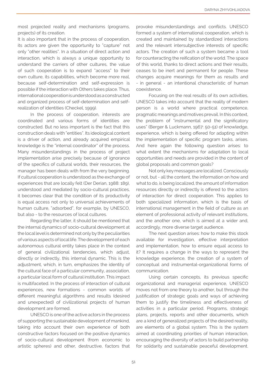most projected reality and mechanisms (programs, projects) of its creation.

It is also important that in the process of cooperation, its actors are given the opportunity to "capture" not only "other realities". In a situation of direct action and interaction, which is always a unique opportunity to understand the carriers of other cultures, the value of such cooperation is to expand "access" to their own culture, its capabilities, which become more real, because self-determination and self-expression is possible if the interaction with Others takes place. Thus, international cooperation is understood as a constructed and organized process of self-determination and selfrealization of identities (Checkel, 1999).

In the process of cooperation, interests are coordinated and various forms of identities are constructed. But no less important is the fact that this construction deals with "entities". Its ideological content is a driver of action, and already acquired empirical knowledge is the "internal coordinator" of the process. Many misunderstandings in the process of project implementation arise precisely because of ignorance of the specifics of cultural worlds, their resources, the manager has been deals with from the very beginning. If cultural cooperation is understood as the exchange of experiences that are locally felt (Der Derian, 1988: 189), understood and mediated by socio-cultural practices, it becomes clear that the condition of its productivity is equal access not only to universal achievements of human culture, "adsorbed", for example, by UNESCO, but also - to the resources of local cultures.

Regarding the latter, it should be mentioned that the internal dynamics of socio-cultural development at the local level is determined not only by the peculiarities of various aspects of local life. The development of each autonomous cultural entity takes place in the context of general civilizational tendencies, which adjust, directly or indirectly, this internal dynamic. This is the adjustment, which, in turn, emphasizes the identity of the cultural face of a particular community, association, a particular local form of cultural institution. This impact is multifaceted. In the process of interaction of cultural experiences, new formations - common worlds of different meaningful algorithms and results (desired and unexpected) of civilizational projects of human development are formed.

UNESCO is one of the active actors in the process of supporting the sustainable development of mankind, taking into account their own experience of both constructive factors focused on the positive dynamics of socio-cultural development (from economic to artistic spheres) and other, destructive, factors that

provoke misunderstandings and conflicts. UNESCO formed a system of international cooperation, which is created and maintained by standardized interactions and the relevant intersubjective interests of specific actors. The creation of such a system became a tool for counteracting the reification of the world. The space of this world, thanks to direct actions and their results, ceases to be inert and permanent for people. These changes acquire meanings for them as results and - in general - an intentional characteristic of human coexistence.

Focusing on the real results of its own activities, UNESCO takes into account that the reality of modern person is a world where practical competence, pragmatic meanings and motives prevail. In this context, the problem of "instrumental and the significatory uses" (Berger & Luckmann, 1967: 50-51) of knowledge, experience, which is being offered for adapting within the implementation of specific program tasks, arises. And here again the following question arises: to what extent the mechanisms for adaptation to local opportunities and needs are provided in the content of global proposals and common goals?

Not only key messages are localized. Consciously or not, but - all the content, the information on how and what to do, is being localized, the amount of information resources directly or indirectly is offered to the actors of interaction for direct cooperation. This applies to both specialized information, which is the basis of international management in the field of culture as an element of professional activity of relevant institutions, and the another one, which is aimed at a wider and, accordingly, more diverse target audience.

The next question arises: how to make this stock available for investigation, effective interpretation and implementation, how to ensure equal access to it? It requires a change in the ways to represent the knowledge experience, the creation of a system of conceptual and instrumental-organizational forms of communication.

Using certain concepts, its previous specific organizational and managerial experience, UNESCO moves not from one theory to another, but through the justification of strategic goals and ways of achieving them to justify the timeliness and effectiveness of activities in a particular period. Programs, strategic plans, projects, reports and other documents, which are a kind of generalized projects of the desired reality, are elements of a global system. This is the system aimed at coordinating priorities of human interaction, encouraging the diversity of actors to build partnership for solidarity and sustainable peaceful development.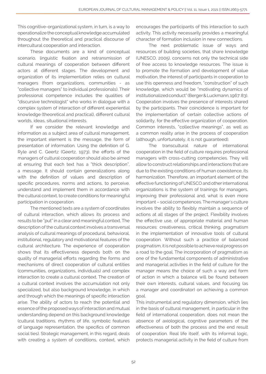This cognitive-organizational system, in turn, is a way to operationalize the conceptual knowledge accumulated throughout the theoretical and practical discourse of intercultural cooperation and interaction.

These documents are a kind of conceptual scenario, linguistic fixation and retransmission of cultural meanings of cooperation between different actors at different stages. The development and organization of its implementation relies on cultural managers (from organizations, communities - as "collective managers" to individual professionals). Their professional competence includes the qualities of "discursive technologist" who works in dialogue with a complex system of interaction of different experiential knowledge (theoretical and practical), different cultural worlds, ideas, situational interests.

If we consider the relevant knowledge and information as a subject area of cultural management, the important element is the message, the form of presentation of information. Using the definition of G. Ryle and C. Geertz (Geertz, 1973), the efforts of the managers of cultural cooperation should also be aimed at ensuring that each text has a "thick description", a message. It should contain generalizations along with the definition of values and description of specific procedures, norms and actions, to perceive, understand and implement them in accordance with the cultural context, to create conditions for meaningful participation in cooperation.

The mentioned texts are a system of coordinates of cultural interaction, which allows its process and results to be "put" in a clear and meaningful context. The description of the cultural context involves a transversal analysis of cultural meanings of procedural, behavioral, institutional, regulatory and motivational features of the cultural architecture. The experience of cooperation shows that its effectiveness depends both on the quality of managerial efforts regarding the forms and mechanisms of direct cooperation of cultural entities (communities, organizations, individuals) and complex interaction to create a cultural context. The creation of a cultural context involves the accumulation not only specialized, but also background knowledge, in which and through which the meanings of specific interaction arise. The ability of actors to reach the potential and essence of the proposed ways of interaction and mutual understanding depend on this background knowledge (cultural traditions, rhythms of life, symbolic features of language representation, the specifics of common social ties). Strategic management, in this regard, deals with creating a system of conditions, context, which

encourages the participants of this interaction to such activity. This activity necessarily provides a meaningful character of formation inclusion in new connections.

The next problematic issue of ways and resources of building societies, that share knowledge (UNESCO, 2005), concerns not only the technical side of free access to knowledge resources. The issue is to promote the formation and development of value motivation, the interest of participants in cooperation to use this openness and freedom, "construction" of such knowledge, which would be "motivating dynamics of institutionalized conduct" (Berger & Luckmann, 1967: 83). Cooperation involves the presence of interests shared by the participants. Their coincidence is important for the implementation of certain collective actions of solidarity, for the effective organization of cooperation. Common interests, "collective meanings", as well as a common reality arise in the process of cooperation (although, unfortunately, it is not guaranteed).

The transcultural nature of international cooperation in the field of culture requires professional managers with cross-cutting competencies. They will allow to construct relationships and interactions that are due to the existing conditions of human coexistence, its harmonization. Therefore, an important element of the effective functioning of UNESCO and other international organizations is the system of trainings for managers, improving their professional and, what is even more important – social competences. The manager's culture involves the ability to flexibly maintain a sequence of actions at all stages of the project. Flexibility involves the effective use, of appropriate material and human resources: creativeness, critical thinking, pragmatism in the implementation of innovative tools of cultural cooperation. Without such a practice of balanced pragmatism, it is not possible to achieve real progress on a road to the goal. The incorporation of pragmatism as one of the fundamental components of administrative and managerial activities in the field of culture for the manager means the choice of such a way and form of action in which a balance will be found between their own interests, cultural values, and focusing (as a manager and coordinator) on achieving a common goal.

This instrumental and regulatory dimension, which lies in the basis of cultural management, in particular in the field of international cooperation, does not mean the absence of axiological, cognitive parameters of the effectiveness of both the process and the end result of cooperation. Real life itself, with its informal logic, protects managerial activity in the field of culture from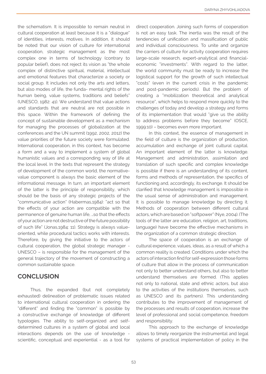the schematism. It is impossible to remain neutral in cultural cooperation at least because it is a "dialogue" of identities, interests, motives. In addition, it should be noted that our vision of culture for international cooperation, strategic management as the most complex one in terms of technology (contrary to popular belief), does not reject its vision as "the whole complex of distinctive spiritual, material, intellectual and emotional features that characterize a society or social group. It includes not only the arts and letters, but also modes of life, the funda- mental rights of the human being, value systems, traditions and beliefs" (UNESCO, 1982: 41). We understand that value actions and standards that are neutral are not possible in this space. Within the framework of defining the concept of sustainable development as a mechanism for managing the processes of globalization at the conferences and the UN summit (1992, 2002, 2012) the value priorities of the future society were formulated. International cooperation, in this context, has become a form and a way to implement a system of global humanistic values and a corresponding way of life at the local level. In the texts that represent the strategy of development of the common world, the normativevalue component is always the basic element of the informational message. In turn, an important element of the latter is the principle of responsibility, which should be the basis of any strategic projects of the "communicative action" (Habermas,1984): "act so that the effects of your action are compatible with the permanence of genuine human life, …so that the effects of your action are not destructive of the future possibility of such life" (Jonas,1984: 11). Strategy is always valueoriented, while procedural tactics works with interests. Therefore, by giving the initiative to the actors of cultural cooperation, the global strategic manager - UNESCO – is responsible for the management of the general trajectory of the movement of constructing a common sustainable space.

## **CONCLUSION**

Thus, the expanded (but not completely exhausted) delineation of problematic issues related to international cultural cooperation in ordering the "different" and finding the "common" is possible by a constructive exchange of knowledge of different typologies. The ability to self-organized and selfdetermined cultures in a system of global and local interactions depends on the use of knowledge scientific, conceptual and experiential - as a tool for

direct cooperation. Joining such forms of cooperation is not an easy task. The inertia was the result of the tendencies of unification and massification of public and individual consciousness. To unite and organize the carriers of culture for activity cooperation requires large-scale research, expert-analytical and financialeconomic "investments". With regard to the latter, the world community must be ready to increase the logistical support for the growth of such intellectual "costs" (even in the current crisis in the pandemic and post-pandemic periods). But the problem of creating a "mobilization theoretical and analytical resource", which helps to respond more quickly to the challenges of today and develop a strategy and forms of its implementation that would "give us the ability to address problems before they become" (OSCE, 1999:10) – becomes even more important.

In this context, the essence of management in the field of culture is the organization of production, accumulation and exchange of joint cultural capital. An important element of the latter is knowledge. Management and administration, assimilation and translation of such specific and complex knowledge is possible if there is an understanding of its content, forms and methods of representation, the specifics of functioning and, accordingly, its exchange. It should be clarified that knowledge management is impossible in the usual sense of administration and management. It is possible to manage knowledge by directing it. Methods of cooperation between different cultural actors, which are based on "softpower" (Nye, 2004). (The tools of the latter are education, religion, art, traditions, language) have become the effective mechanisms in the organization of a common strategic direction.

The space of cooperation is an exchange of cultural experience, values, ideas, as a result of which a common reality is created. Conditions under which the actors of interaction find for self-expression those forms of culture that allow in the process of communication not only to better understand others, but also to better understand themselves are formed. (This applies not only to national, state and ethnic actors, but also to the activities of the institutions themselves, such as UNESCO and its partners). This understanding contributes to the improvement of management of the processes and results of cooperation, increase the level of professional and social competence, freedom and responsibility.

This approach to the exchange of knowledge allows to timely reorganize the instrumental and legal systems of practical implementation of policy in the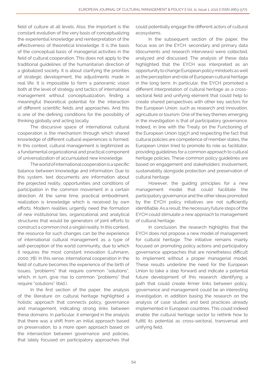field of culture at all levels. Also, the important is the constant evolution of the very basis of conceptualizing the experiential knowledge and reinterpretation of the effectiveness of theoretical knowledge. It is the basis of the conceptual basis of managerial activities in the field of cultural cooperation. This does not apply to the traditional guidelines of the humanitarian direction of a globalized society. It is about clarifying the priorities of strategic development, the adjustments made in real life. It is impossible to form a panoramic vision both at the level of strategy and tactics of international management without conceptualization, finding a meaningful theoretical potential for the interaction of different scientific fields and approaches. And this is one of the defining conditions for the possibility of thinking globally and acting locally.

The discursive space of international cultural cooperation is the mechanism through which shared knowledge of different cultural experiences is formed. In this context, cultural management is legitimized as a fundamental organizational and practical component of universalization of accumulated new knowledge.

The world of international cooperation is a specific balance between knowledge and information. Due to this system, text documents are information about the projected reality, opportunities and conditions of participation in the common movement in a certain direction. At the same time, practical embodiment, realization is knowledge which is received by own efforts. Modern realities urgently need the formation of new institutional ties, organizational and analytical structures that would be generators of joint efforts to construct a common (not a single) reality. In this context, the resource for such changes can be the experience of international cultural management as a type of self-perception of the world community, due to which it requires the most constant innovation (Luhmann, 2000: 78). In this sense, international cooperation in the field of culture becomes the experience of the birth of issues, "problems" that require common "solutions", which, in turn, give rise to common "problems" that require "solutions" (ibid.).

In the first section of the paper, the analysis of the literature on cultural heritage highlighted a holistic approach that connects policy, governance and management, indicating strong links between these domains. In particular, it emerged in the analysis that there was a shift from an initial approach based on preservation, to a more open approach based on the intersection between governance and policies, that lately focused on participatory approaches that could potentially engage the different actors of cultural ecosystems.

In the subsequent section of the paper, the focus was on the EYCH: secondary and primary data (documents and research interviews) were collected, analyzed and discussed. The analysis of these data highlighted that the EYCH was interpreted as an opportunity to change European policy mindsets as well as the perception and role of European cultural heritage in the long term. In particular, the EYCH promoted a different interpretation of cultural heritage as a crosssectoral field and unifying element that could help to create shared perspectives with other key sectors for the European Union, such as research and innovation, agriculture or tourism. One of the key themes emerging in the investigation is that of participatory governance. Indeed, in line with the Treaty on the Functioning of the European Union (1957) and respecting the fact that cultural policies are competence of member states, the European Union tried to promote its role as facilitator, providing guidelines for a common approach to cultural heritage policies. These common policy guidelines are based on engagement and stakeholders' involvement, sustainability alongside protection and preservation of cultural heritage.

However, the guiding principles for a new management model that could facilitate the participatory governance and the other ideas promoted by the EYCH policy initiatives are not sufficiently identifiable. As a result, the necessary future steps of the EYCH could stimulate a new approach to management of cultural heritage.

In conclusion, the research highlights that the EYCH does not propose a new model of management for cultural heritage. The initiative remains mainly focused on promoting policy actions and participatory governance approaches that are nonetheless difficult to implement without a proper managerial model. These results underline the need for the European Union to take a step forward and indicate a potential future development of this research: identifying a path that could create firmer links between policy, governance and management could be an interesting investigation, in addition basing the research on the analysis of case studies and best practices already implemented in European countries. This could indeed enable the cultural heritage sector to rethink how to fulfill its potential as cross-sectoral, transversal and unifying field.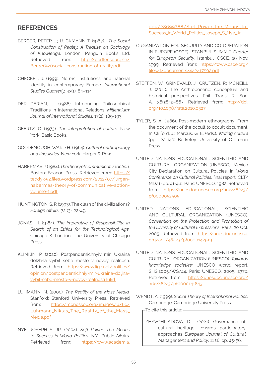## **REFERENCES**

- BERGER, PETER L.; LUCKMANN T. (1967). *The Social Construction of Reality. A Treatise on Sociology of Knowledge.* London: Penguin Books Ltd. Retrieved from: http://perflensburg.se/ Berger%20social-construction-of-reality.pdf
- CHECKEL, J. (1999). Norms, institutions, and national identity in contemporary Europe. *International Studies Quarterly,* 43(1), 84–114.
- DER DERIAN, J. (1988). Introducing Philosophical Traditions in International Relations. *Millennium: Journal of International Studies.* 17(2), 189-193.
- GEERTZ, C. (1973). *The interpretation of culture.* New York: Basic Books.
- GOODENOUGH, WARD H. (1964). *Cultural anthropology and linguistics.* New York: Harper & Row.
- HABERMAS, J. (1984). *The theory of communicative action.* Boston: Beacon Press. Retrieved from: https:// teddykw2.files.wordpress.com/2012/07/jurgenhabermas-theory-of-communicative-actionvolume-1.pdf
- HUNTINGTON, S. P. (1993). The clash of the civilizations? *Foreign affairs,* 72 (3), 22-49.
- JONAS, H. (1984). *The Imperative of Responsibility: In Search of an Ethics for the Technological Age.*  Chicago & London: The University of Chicago Press.
- KLIMKIN, P. (2020). Postpandemichnyiy mir: Ukraina dolzhna vyibit sebe mesto v novoy realnosti. Retrieved from: https://www.liga.net/politics/ opinion/postpandemichniy-mir-ukraina-doljnavybit-sebe-mesto-v-novoy-realnosti [ukr]
- LUHMANN, N. (2000). *The Reality of the Mass Media.*  Stanford: Stanford University Press. Retrieved from: https://monoskop.org/images/6/6c/ Luhmann\_Niklas\_The\_Reality\_of\_the\_Mass\_ Media.pdf
- NYE, JOSEPH S. JR. (2004). *Soft Power: The Means to Success in World Politics.* N.Y.: Public Affairs. Retrieved from: https://www.academia.

edu/28699788/Soft\_Power\_the\_Means\_to\_ Success\_in\_World \_Politics\_Joseph\_S\_Nye\_Jr

- ORGANIZATION FOR SECURITY AND CO-OPERATION IN EUROPE (OSCE). ISTANBUL SUMMIT. *Charter for European Security,* Istanbul: OSCE, 19 Nov. 1999. Retrieved from: https://www.osce.org/ files/f/documents/4/2/17502.pdf
- STEFFEN, W.; GRINEVALD, J.; CRUTZEN, P.; MCNEILL J. (2011). The Anthropocene: conceptual and historical perspectives. Phil. Trans. R. Soc. A. 369:842-867 Retrieved from: http://doi. org/10.1098/rsta.2010.0327
- TYLER, S. A. (I986). Post-modern ethnography: From the document of the occult to occult document. In Clifford, J.; Marcus, G. E. (eds.). *Writing culture*  (pp. 122-140) Berkeley: University of California Press.
- UNITED NATIONS EDUCATIONAL, SCIENTIFIC AND CULTURAL ORGANIZATION (UNESCO). Mexico City Declaration on Cultural Policies. In *World Conference on Cultural Policies:* final report, CLT/ MD/1 (pp. 41-46). Paris: UNESCO, 1982. Retrieved from: https://unesdoc.unesco.org/ark:/48223/ pf0000052505
- UNITED NATIONS EDUCATIONAL, SCIENTIFIC AND CULTURAL ORGANIZATION (UNESCO). *Convention on the Protection and Promotion of the Diversity of Cultural Expressions,* Paris, 20 Oct. 2005. Retrieved from: https://unesdoc.unesco. org/ark:/48223/pf0000142919
- UNITED NATIONS EDUCATIONAL, SCIENTIFIC AND CULTURAL ORGANIZATION (UNESCO). *Towards knowledge societies:* UNESCO world report, SHS.2005/WS/44, Paris: UNESCO, 2005, 237p. Retrieved from: https://unesdoc.unesco.org/ ark:/48223/pf0000141843
- WENDT, A. (1999). *Social Theory of International Politics.*  Cambridge: Cambridge University Press.

 $\overline{\phantom{a}}$ To cite this article:  $\overline{\phantom{a}}$ 

ZHYVOHLIADOVA, D. (2021). Governance of cultural heritage: towards participatory approaches European Journal of Cultural Management and Policy, 11 (1), pp. 45-56.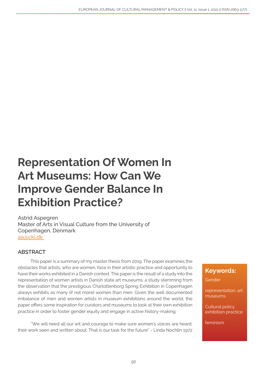## Representation Of Women In Art Museums: How Can We Improve Gender Balance In Exhibition Practice?

Astrid Aspegren Master of Arts in Visual Culture from the University of Copenhagen, Denmark [aa@cki.dk](mailto:aa%40cki.dk%20?subject=) 

## ABSTRACT

This paper is a summary of my master thesis from 2019. The paper examines the obstacles that artists, who are women, face in their artistic practice and opportunity to have their works exhibited in a Danish context. The paper is the result of a study into the representation of women artists in Danish state art museums; a study stemming from the observation that the prestigious Charlottenborg Spring Exhibition in Copenhagen always exhibits as many (if not more) women than men. Given the well documented imbalance of men and women artists in museum exhibitions around the world, the paper offers some inspiration for curators and museums to look at their own exhibition practice in order to foster gender equity and engage in active history-making.

''We will need all our wit and courage to make sure women's voices are heard, their work seen and written about. That is our task for the future'' - Linda Nochlin 1972

## Keywords:

Gender

representation, art museums

Cultural policy exhibition practice

feminism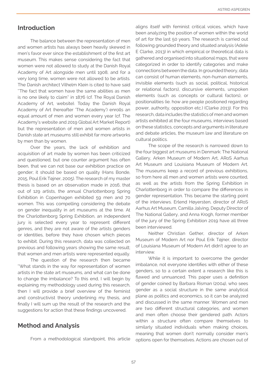### Introduction

The balance between the representation of men and women artists has always been heavily skewed in men's favor ever since the establishment of the first art museum. This makes sense considering the fact that women were not allowed to study at the Danish Royal Academy of Art alongside men until 1908, and for a very long time, women were not allowed to be artists. The Danish architect Vilhelm Klein is cited to have said ''The fact that women have the same abilities as men is no one likely to claim'' in 1876 (cf. The Royal Danish Academy of Art, website). Today the Danish Royal Academy of Art (hereafter 'The Academy') enrolls an equal amount of men and women every year (cf. The Academy's website and 2019 Global Art Market Report) but the representation of men and women artists in Danish state art museums still exhibit far more artworks by men than by women.

Over the years, the lack of exhibition and acquisition of art made by women has been criticized and questioned, but one counter argument has often been, that we can not base our exhibition practice on gender; it should be based on quality (Hans Bonde, 2015, Poul Erik Tøjner, 2005). The research of my master thesis is based on an observation made in 2016, that out of 129 artists, the annual Charlottenborg Spring Exhibition in Copenhagen exhibited 59 men and 70 women. This was compelling considering the debate on gender inequality in art museums at the time. At the Charlottenborg Spring Exhibition, an independent jury is selected every year to represent different genres, and they are not aware of the artists genders or identities, before they have chosen which pieces to exhibit. During this research, data was collected on previous and following years showing the same result; that women and men artists were represented equally.

The question of the research then became ''What stands in the way for representation of women artists in the state art museums, and what can be done to change the imbalance? To this end, I will begin by explaining my methodology used during this research, then I will provide a brief overview of the feminist and constructivist theory underlining my thesis, and finally I will sum up the result of the research and the suggestions for action that these findings uncovered.

#### Method and Analysis

From a methodological standpoint, this article

aligns itself with feminist critical voices, which have been analyzing the position of women within the world of art for the last 50 years. The research is carried out following grounded theory and situated analysis (Adele E Clarke, 2013) in which empirical or theoretical data is gathered and organised into situational maps, that were categorized in order to identify categories and make connections between the data. In grounded theory, data can consist of human elements, non-human elements, invisible elements (such as social, political, historical or relational factors), discursive elements, unspoken elements (such as concepts or cultural factors), or positionalities (ie. how are people positioned regarding power, authority, opposition etc.) (Clarke 2013). For this research, data includes the statistics of men and women artists exhibited at the four museums, interviews based on these statistics, concepts and arguments in literature and debate articles, the museum law and literature on cultural politics.

The scope of the research is narrowed down to the four biggest art museums in Denmark: The National Gallery, Arken Museum of Modern Art, ARoS Aarhus Art Museum and Louisiana Museum of Modern Art. The museums keep a record of previous exhibitions, so from here all men and women artists were counted, as well as the artists from the Spring Exhibition in Charlottenborg in order to compare the differences in gender representation. This became the starting point of the interviews. Erlend Høyersten, director of ARoS Aarhus Art Museum, Camilla Jalving, Deputy Director of The National Gallery, and Anna Krogh, former member of the jury of the Spring Exhibition 2019 have all three been interviewed.

Neither Christian Gether, director of Arken Museum of Modern Art nor Poul Erik Tøjner, director of Louisiana Museum of Modern Art didn't agree to an interview.

While it is important to overcome the gender imbalance, not everyone identifies with either of these genders, so to a certain extent a research like this is flawed and unnuanced. This paper uses a definition of gender coined by Barbara Risman (2004), who sees gender as a social structure in the same analytical plane as politics and economics, so it can be analyzed and discussed in the same manner. Women and men are two different structural categories, and women and men often choose their gendered path. Actors within a structure often compare themselves to similarly situated individuals when making choices, meaning that women don't normally consider men's options open for themselves. Actions are chosen out of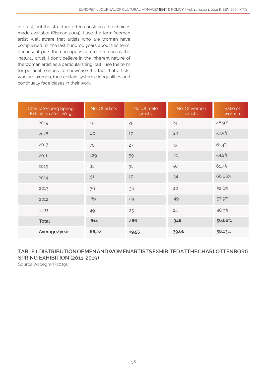interest, but the structure often constrains the choices made available (Risman 2004). I use the term 'woman artist' well aware that artists who are women have complained for the last hundred years about this term, because it puts them in opposition to the man as the 'natural' artist. I don't believe in the inherent nature of the woman artist as a particular thing, but I use the term for political reasons, to showcase the fact that artists, who are women, face certain systemic inequalities and continually face biases in their work.

| <b>Charlottenborg Spring</b><br>Exhibition 2011-2019 | No. Of artists | No. Of male<br>artists | No. Of women<br>artists | Ratio of<br>women |
|------------------------------------------------------|----------------|------------------------|-------------------------|-------------------|
| 2019                                                 | 49             | 25                     | 24                      | 48,9%             |
| 2018                                                 | 40             | 17                     | 23                      | 57.5%             |
| 2017                                                 | 70             | 27                     | 43                      | 61,4%             |
| 2016                                                 | 129            | 59                     | 70                      | 54,2%             |
| 2015                                                 | 81             | 31                     | 50                      | 61,7%             |
| 2014                                                 | 51             | $17$                   | 34                      | 66,66%            |
| 2013                                                 | 76             | 36                     | 40                      | 52,6%             |
| 2012                                                 | 69             | 29                     | 49                      | 57.9%             |
| 2011                                                 | 49             | 25                     | 24                      | 48,9%             |
| <b>Total</b>                                         | 614            | 266                    | 348                     | 56,66%            |
| Average/year                                         | 68,22          | 19,55                  | 39,66                   | 58,13%            |

## TABLE 1. DISTRIBUTION OF MEN AND WOMEN ARTISTS EXHIBITED AT THE CHARLOTTENBORG SPRING EXHIBITION (2011-2019)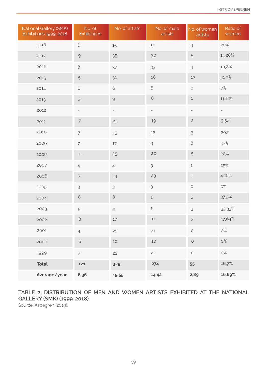| National Gallery (SMK)<br>Exhibitions 1999-2018 | No. of<br><b>Exhibitions</b> | No. of artists           | No. of male<br>artists                                    | No. of women<br>artists  | Ratio of<br>women        |
|-------------------------------------------------|------------------------------|--------------------------|-----------------------------------------------------------|--------------------------|--------------------------|
| 2018                                            | $\mathbf 6$                  | 15                       | 12                                                        | $\mathsf 3$              | 20%                      |
| 2017                                            | $\Theta$                     | 35                       | 30                                                        | $\sqrt{5}$               | 14,28%                   |
| 2016                                            | $\,8\,$                      | 37                       | 33                                                        | $\overline{4}$           | 10,8%                    |
| 2015                                            | $\mathbf 5$                  | $31$                     | 18                                                        | 13                       | 41,9%                    |
| 2014                                            | $\mathbf 6$                  | $\mathbf 6$              | $\mathbf 6$                                               | $\bigcirc$               | O%                       |
| 2013                                            | $\mathsf 3$                  | $\Theta$                 | $\,8\,$                                                   | $\,1$                    | $11,11\%$                |
| 2012                                            | $\overline{\phantom{a}}$     | $\overline{\phantom{a}}$ | $\overline{\phantom{a}}$                                  | $\overline{\phantom{a}}$ | $\overline{\phantom{a}}$ |
| 2011                                            | $\overline{7}$               | 21                       | 19                                                        | $\overline{c}$           | 9.5%                     |
| 2010                                            | $\overline{7}$               | $15\,$                   | 12                                                        | $\mathfrak{Z}$           | 20%                      |
| 2009                                            | $\overline{7}$               | $17\,$                   | $\mathcal{G}% _{M_{1},M_{2}}^{\alpha,\beta}(\mathcal{A})$ | $\,8\,$                  | 47%                      |
| 2008                                            | $11\,$                       | 25                       | 20                                                        | 5                        | 20%                      |
| 2007                                            | $\overline{4}$               | $\overline{4}$           | 3                                                         | $\mathbf 1$              | 25%                      |
| 2006                                            | $\overline{7}$               | 24                       | 23                                                        | $\,1\,$                  | 4,16%                    |
| 2005                                            | $\mathfrak{Z}$               | $\mathfrak{Z}$           | $\mathsf 3$                                               | $\bigcirc$               | $\rm O\%$                |
| 2004                                            | $\,8\,$                      | $\,8\,$                  | 5                                                         | $\mathfrak{Z}$           | 37.5%                    |
| 2003                                            | $\mathbf 5$                  | $\Theta$                 | $\mathsf{\mathfrak{S}}$                                   | $\mathsf 3$              | 33,33%                   |
| 2002                                            | $\,8\,$                      | 17                       | 14                                                        | $\mathsf 3$              | 17,64%                   |
| 2001                                            | $\overline{4}$               | 21                       | 21                                                        | $\bigcirc$               | $\rm O\%$                |
| 2000                                            | $\mathsf{\mathfrak{S}}$      | $10$                     | $10$                                                      | $\bigcirc$               | O%                       |
| 1999                                            | $\overline{7}$               | 22                       | 22                                                        | $\bigcirc$               | $\rm O\%$                |
| <b>Total</b>                                    | 121                          | 329                      | 274                                                       | 55                       | 16,7%                    |
| Average/year                                    | 6,36                         | 19,55                    | 14,42                                                     | 2,89                     | 16,69%                   |

## TABLE 2. DISTRIBUTION OF MEN AND WOMEN ARTISTS EXHIBITED AT THE NATIONAL GALLERY (SMK) (1999-2018)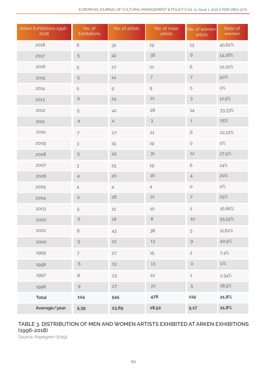| Arken Exhibitions 1996-<br>2018 | No. of<br><b>Exhibitions</b>                              | No. of artists                                            | No. of male<br>artists                                                                                          | No. of women<br>artists  | Ratio of<br>women |
|---------------------------------|-----------------------------------------------------------|-----------------------------------------------------------|-----------------------------------------------------------------------------------------------------------------|--------------------------|-------------------|
| 2018                            | 6                                                         | 32                                                        | 19                                                                                                              | 13                       | 40,62%            |
| 2017                            | $\sqrt{5}$                                                | 42                                                        | 36                                                                                                              | $\mathsf{\mathfrak{S}}$  | 14,28%            |
| 2016                            | 5                                                         | 27                                                        | 21                                                                                                              | $\mathbf 6$              | 22,22%            |
| 2015                            | $\sqrt{5}$                                                | $14\,$                                                    | $\overline{\mathcal{I}}$                                                                                        | $\overline{7}$           | 50%               |
| 2014                            | 5                                                         | $\mathcal{G}% _{M_{1},M_{2}}^{\alpha,\beta}(\mathcal{A})$ | $\mathcal{G}% _{0}^{\prime}=\mathcal{G}_{\mathrm{C}}^{\prime}\!\left( \mathcal{G}_{\mathrm{C}}^{\prime}\right)$ | $\bigcirc$               | O%                |
| 2013                            | $\,$ 6 $\,$                                               | 24                                                        | 21                                                                                                              | 3                        | 12,5%             |
| 2012                            | 5                                                         | 42                                                        | 28                                                                                                              | $14\,$                   | 33,33%            |
| 2011                            | $\overline{4}$                                            | $\overline{4}$                                            | $\mathfrak{Z}$                                                                                                  | $\mathbf 1$              | 25%               |
| 2010                            | $\overline{7}$                                            | 27                                                        | 21                                                                                                              | $\mathsf{\mathfrak{S}}$  | 22,22%            |
| 2009                            | $\mathfrak{S}$                                            | 19                                                        | 19                                                                                                              | $\bigcirc$               | O%                |
| 2008                            | $\mathbf 5$                                               | 43                                                        | $31$                                                                                                            | $12$                     | 27,9%             |
| 2007                            | 3                                                         | 25                                                        | 19                                                                                                              | $\mathsf{\mathfrak{S}}$  | 24%               |
| 2006                            | $\overline{4}$                                            | 20                                                        | $16$                                                                                                            | $\overline{4}$           | 20%               |
| 2005                            | $\overline{4}$                                            | $\overline{4}$                                            | $\overline{4}$                                                                                                  | $\bigcirc$               | $\rm O\%$         |
| 2004                            | $\sqrt{5}$                                                | 28                                                        | 21                                                                                                              | $\overline{\phantom{a}}$ | 25%               |
| 2003                            | 5                                                         | 12                                                        | $10$                                                                                                            | $\mathbf{2}$             | 16,66%            |
| 2002                            | $\mathsf{\mathfrak{S}}$                                   | $18\,$                                                    | $\,8\,$                                                                                                         | 10                       | 55.55%            |
| 2001                            | $\mathbf 6$                                               | 43                                                        | 38                                                                                                              | 5                        | 11,62%            |
| 2000                            | 5                                                         | 22                                                        | 13                                                                                                              | $\mathcal{G}% _{0}$      | 40,9%             |
| 1999                            | $\overline{7}$                                            | 27                                                        | 15                                                                                                              | $\mathbf{2}$             | 7.4%              |
| 1998                            | $\mathbf 6$                                               | 13                                                        | 13                                                                                                              | $\bigcirc$               | O%                |
| 1997                            | $\,8\,$                                                   | 23                                                        | 22                                                                                                              | $\mathbf 1$              | 2.34%             |
| 1996                            | $\mathcal{G}% _{M_{1},M_{2}}^{\alpha,\beta}(\mathcal{A})$ | 27                                                        | 22                                                                                                              | $\mathbf 5$              | 18,5%             |
| <b>Total</b>                    | 124                                                       | 545                                                       | 476                                                                                                             | 119                      | 21,8%             |
| Average/year                    | 5,39                                                      | 23,69                                                     | 18,52                                                                                                           | 5,17                     | 21,8%             |

## TABLE 3. DISTRIBUTION OF MEN AND WOMEN ARTISTS EXHIBITED AT ARKEN EXHIBITIONS (1996-2018)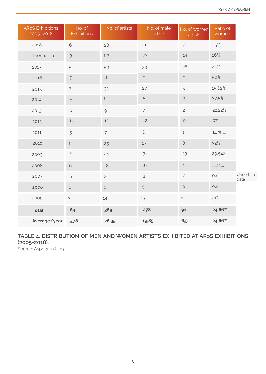| <b>ARoS Exhibitions</b><br>2005-2018 | No. of<br><b>Exhibitions</b>                              | No. of artists                                                                                                  | No. of male<br>artists                                    | No. of women<br>artists                                   | Ratio of<br>women |                   |
|--------------------------------------|-----------------------------------------------------------|-----------------------------------------------------------------------------------------------------------------|-----------------------------------------------------------|-----------------------------------------------------------|-------------------|-------------------|
| 2018                                 | $\mathbf 6$                                               | 28                                                                                                              | 21                                                        | $\overline{7}$                                            | 25%               |                   |
| Triennalen                           | $\mathfrak{Z}$                                            | 87                                                                                                              | 73                                                        | 14                                                        | 16%               |                   |
| 2017                                 | $\sqrt{5}$                                                | 59                                                                                                              | 33                                                        | 26                                                        | 44%               |                   |
| 2016                                 | $\mathcal{G}% _{M_{1},M_{2}}^{\alpha,\beta}(\mathcal{A})$ | 18                                                                                                              | $\mathcal{G}% _{M_{1},M_{2}}^{\alpha,\beta}(\mathcal{A})$ | $\mathcal{G}% _{M_{1},M_{2}}^{\alpha,\beta}(\mathcal{A})$ | 50%               |                   |
| 2015                                 | $\overline{7}$                                            | 32                                                                                                              | 27                                                        | $\mathbf 5$                                               | 15,62%            |                   |
| 2014                                 | $\mathbf 6$                                               | $\,8\,$                                                                                                         | 5                                                         | $\mathfrak{Z}$                                            | 37.5%             |                   |
| 2013                                 | $\mathsf{\mathfrak{S}}$                                   | $\mathcal{G}% _{0}^{\prime}=\mathcal{G}_{\mathrm{C}}^{\prime}\!\left( \mathcal{G}_{\mathrm{C}}^{\prime}\right)$ | $\overline{7}$                                            | $\overline{c}$                                            | 22,22%            |                   |
| 2012                                 | $\mathbf 6$                                               | $12$                                                                                                            | 12                                                        | $\bigcirc$                                                | O%                |                   |
| 2011                                 | 5                                                         | $\overline{7}$                                                                                                  | 6                                                         | $\,1\,$                                                   | 14,28%            |                   |
| 2010                                 | $\,8\,$                                                   | 25                                                                                                              | $17\,$                                                    | $\,8\,$                                                   | 32%               |                   |
| 2009                                 | $\mathbf 6$                                               | 44                                                                                                              | 31                                                        | 13                                                        | 29,54%            |                   |
| 2008                                 | $\mathbf 6$                                               | 18                                                                                                              | 16                                                        | $\overline{c}$                                            | $11,11\%$         |                   |
| 2007                                 | 5                                                         | 3                                                                                                               | 3                                                         | $\circ$                                                   | $\rm O\%$         | Uncertain<br>data |
| 2006                                 | $\mathfrak{Z}$                                            | $\sqrt{5}$                                                                                                      | 5                                                         | $\bigcirc$                                                | $O\%$             |                   |
| 2005                                 | $\mathsf 3$                                               | 14                                                                                                              | 13                                                        | $\,1$                                                     | 7.1%              |                   |
| <b>Total</b>                         | 84                                                        | 369                                                                                                             | 278                                                       | 91                                                        | 24,66%            |                   |
| Average/year                         | 5,78                                                      | 26,35                                                                                                           | 19,85                                                     | 6,5                                                       | 24,66%            |                   |

## TABLE 4. DISTRIBUTION OF MEN AND WOMEN ARTISTS EXHIBITED AT ARoS EXHIBITIONS (2005-2018).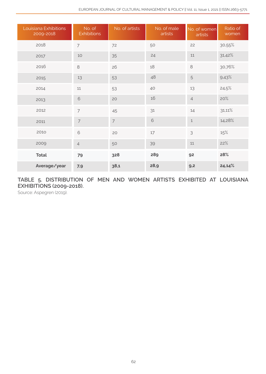| Louisiana Exhibitions<br>2009-2018 | No. of<br><b>Exhibitions</b> | No. of artists | No. of male<br>artists | No. of women<br>artists | Ratio of<br>women |
|------------------------------------|------------------------------|----------------|------------------------|-------------------------|-------------------|
| 2018                               | $\overline{7}$               | 72             | 50                     | 22                      | 30,55%            |
| 2017                               | 10                           | 35             | 24                     | 11                      | 31,42%            |
| 2016                               | 8                            | 26             | 18                     | $\,8\,$                 | 30,76%            |
| 2015                               | 13                           | 53             | 48                     | 5                       | 9.43%             |
| 2014                               | 11                           | 53             | 40                     | 13                      | 24,5%             |
| 2013                               | $\mathbf 6$                  | 20             | 16                     | $\overline{4}$          | 20%               |
| 2012                               | $\overline{7}$               | 45             | 31                     | 14                      | 31,11%            |
| 2011                               | $\overline{7}$               | $\overline{7}$ | $\mathbf 6$            | $\mathbf 1$             | 14,28%            |
| 2010                               | $\,$ $\,$ $\,$               | 20             | 17                     | 3                       | 15%               |
| 2009                               | $\overline{4}$               | 50             | 39                     | 11                      | 22%               |
| <b>Total</b>                       | 79                           | 328            | 289                    | 92                      | 28%               |
| Average/year                       | 7,9                          | 38,1           | 28,9                   | 9,2                     | 24,14%            |

TABLE 5. DISTRIBUTION OF MEN AND WOMEN ARTISTS EXHIBITED AT LOUISIANA EXHIBITIONS (2009-2018).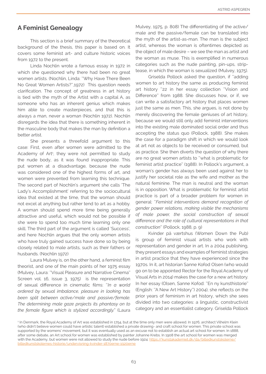## A Feminist Genealogy

This section is a brief summary of the theoretical background of the thesis, this paper is based on. It covers some feminist art- and culture historic voices from 1972 to the present.

Linda Nochlin wrote a famous essay in 1972 in which she questioned why there had been no great women artists. (Nochlin, Linda: ''Why Have There Been No Great Women Artists?'',1972) This question needs clarification. The concept of greatness in art history is tied with the myth of the Artist with a capital A, as someone who has an inherent genius which makes him able to create masterpieces, and that this is always a man, never a woman (Nochlin 1972). Nochlin disregards the idea that there is something inherent in the masculine body that makes the man by definition a better artist.

She presents a threefold argument to this case: First, even after women were admitted to the Academy of Art<sup>1</sup>, they were not permitted to study the nude body, as it was found inappropriate. This put women at a disadvantage, because the nude was considered one of the highest forms of art, and women were prevented from learning this technique. The second part of Nochlin's argument she calls 'The Lady's Accomplishment' referring to the sociocultural idea that existed at the time, that the woman should not excel at anything but rather tend to art as a hobby. A woman should spend more time being generally attractive and useful, which would not be possible if she were to spend too much time learning only one skill. The third part of the argument is called 'Success', and here Nochlin argues that the only women artists who have truly gained success have done so by being closely related to male artists, such as their fathers or husbands. (Nochlin 1972)

Laura Mulvey is, on the other hand, a feminist film theorist, and one of the main points of her 1975 essay (Mulvey, Laura: ''Visual Pleasure and Narrative Cinema'' Screen vol. 16, issue 3, 1975) is the representation of sexual difference in cinematic films: ''*In a world ordered by sexual imbalance, pleasure in looking has been split between active/male and passive/female. The determining male gaze projects its phantasy on to the female figure which is stylized accordingly.'*' (Laura Mulvey, 1975, p. 808) The differentiating of the active/ male and the passive/female can be translated into the myth of the artist-as-man. The man is the subject artist, whereas the woman is oftentimes depicted as the object of male desire – we see the man as artist and the woman as muse. This is exemplified in numerous categories such as the nude painting, pin-ups, striptease, in which the woman is sexualized (Mulvey, 1975).

Griselda Pollock asked the question, if ''adding women to art history the same as producing feminist art history "22 in her essay collection "Vision and Difference'' from 1988. She discusses how, or if, we can write a satisfactory art history that places women just the same as men. This, she argues, is not done by merely discovering the female geniuses of art history, because we would still only add feminist interventions into the existing male dominated social order and thus accepting the status quo (Pollock, 1988). She makes the case for a paradigm shift in which we would look at art not as objects to be received or consumed, but as practice. She then diverts the question of why there are no great women artists to ''what is problematic for feminist artist practice'' (1988). In Pollock's argument, a woman's gender has always been used against her to justify her societal role as the wife and mother as the natural feminine. The man is neutral and the woman is in opposition. What is problematic for feminist artist practice is part of a broader problem for women in general: ''*Feminist interventions demand recognition of gender power relations, making visible the mechanisms of male power, the social construction of sexual difference and the role of cultural representations in that construction*'' (Pollock, 1988, p. 9)

Kvinder på værtshus (Women Down the Pub) is group of feminist visual artists who work with representation and gender in art. In a 2004 publishing, they present essays and examples of feminist strategies in artist practice that they have experienced since the 1970s. In it, art historian Sanne Kofod Olsen (who would go on to be appointed Rector for the Royal Academy of Visual Arts in 2014) makes the case for a new art history. In her essay (Olsen, Sanne Kofod: ''En ny kunsthistorie'' (English: ''A New Art History'') 2004), she reflects on the prior years of feminism in art history, which she sees divided into two categories: a linguistic, constructivist category and an essentialist category. Griselda Pollock

<sup>1</sup> In Denmark, the Royal Academy of Art was established in 1754, but at the time only men were allowed. In 1976, architect Vilhelm Klein (who didn't believe women could have artistic talent) established a private drawing- and craft school for women. This private school was supported by the womens' movement, but it was eventually used as an excuse not to establish an actual art school for women. In 1888, after some debate, an Art school for women was established by painter Johanne Krebs. In 1908 the art school for women was merged with the Academy, but women were not allowed to study the nude before 1924: [https://kunstakademiet.dk/da/billedkunstskolerne/](mailto:/da/billedkunstskolerne/billedkunstskolernes-historie/undervisning-kvinder-?subject=) historie/undervisning-kvinder-1870erne-192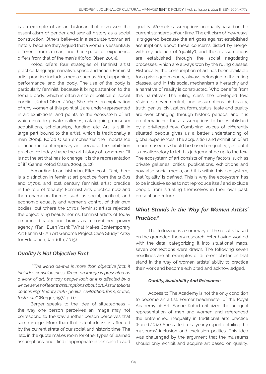is an example of an art historian that dismissed the essentialism of gender and saw all history as a social construction. Others believed in a separate woman art history, because they argued that a woman is essentially different from a man, and her space of experience differs from that of the man's (Kofod Olsen 2004).

Kofod offers four strategies of feminist artist practice: language, narrative, space and action. Feminist artist practice includes media such as film, happening, performance, and the body. The use of the body is particularly feminist, because it brings attention to the female body, which is often a site of political or social conflict (Kofod Olsen 2004). She offers an explanation of why women at this point still are under-represented in art exhibitions, and points to the ecosystem of art which include private galleries, cataloguing, museum acquisitions, scholarships, funding etc. Art is still in large part bound to the artist, which is traditionally a man (2004). Kofod Olsen emphasizes the importance of action in contemporary art, because the exhibition practice of today shape the art history of tomorrow: ''It is not the art that has to change, it is the representation of it'' (Sanne Kofod Olsen, 2004, p. 12)

According to art historian, Ellen Yoshi Tani, there is a distinction in feminist art practice from the 1960s and 1970s, and 21st century feminist artist practice in the role of 'beauty'. Feminist arts practice now and then champion themes such as social, political, and economic equality and women's control of their own bodies, but where the 1970s feminist artists rejected the objectifying beauty norms, feminist artists of today embrace beauty and brains as a combined power agency. (Tani, Ellen Yoshi: ''What Makes Contemporary Art Feminist? An Art Genome Project Case Study'' Artsy for Education, Jan 16th, 2015).

## *Quality Is Not Objective Fact*

 ''*The world as-it-is is more than objective fact, it includes consciousness. When an image is presented as a work of art, the way people look at it is affected by a whole series of learnt assumptions about art. Assumptions concerning: Beauty, truth, genius, civilization, form, status, taste, etc*.'' (Berger, 1972 p 11)

Berger speaks to the idea of situatedness – the way one person perceives an image may not correspond to the way another person perceives that same image. More than that, situatedness is affected by the current strata of our social and historic time. The 'etc.' in the quote makes room for other types of learned assumptions, and I find it appropriate in this case to add

'quality'. We make assumptions on quality based on the current standards of our time. The criticism of 'new ways' is triggered because the art goes against established assumptions about these concerns (listed by Berger with my addition of 'quality'), and these assumptions are established through the social negotiating processes, which are always won by the ruling classes. Historically, the consumption of art has been available for a privileged minority, always belonging to the ruling classes, and in this social mechanism a hierarchy and a narrative of reality is constructed. Who benefits from this narrative? The ruling class, the privileged few. Vision is never neutral, and assumptions of beauty, truth, genius, civilization, form, status, taste and quality are ever changing through historic periods, and it is problematic for these assumptions to be established by a privileged few. Combining voices of differently situated people gives us a better understanding of global experiences. The acquisition and exhibition of art in our museums should be based on quality, yes, but it is unsatisfactory to let this judgement be up to the few. The ecosystem of art consists of many factors, such as private galleries, critics, publications, exhibitions and now also social media, and it is within this ecosystem, that 'quality' is defined. This is why the ecosystem has to be inclusive so as to not reproduce itself and exclude people from situating themselves in their own past, present and future.

## *What Stands in the Way for Women Artists' Practice?*

The following is a summary of the results based on the grounded theory research. After having worked with the data, categorizing it into situational maps, seven connections were drawn. The following seven headlines are all examples of different obstacles that stand in the way of women artists' ability to practice their work and become exhibited and acknowledged.

#### *Quality, Availability And Relevance*

Access to The Academy is not the only condition to become an artist. Former headmaster of the Royal Academy of Art, Sanne Kofod criticized the unequal representation of men and women and referenced the entrenched inequality in traditional arts practice (Kofod 2014). She called for a yearly report detailing the museums' inclusion and exclusion politics. This idea was challenged by the argument that the museums should only exhibit and acquire art based on quality,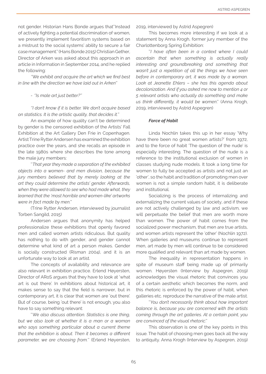not gender. Historian Hans Bonde argues that''Instead of actively fighting a potential discrimination of women, we presently implement favoritism systems based on a mistrust to the social systems' ability to secure a fair case management.'' (Hans Bonde 2015) Christian Gether, Director of Arken was asked about this approach in an article in Information in September 2014, and he replied the following:

*''We exhibit and acquire the art which we find best in line with the direction we have laid out in Arken''*

*- ''Is male art just better?''*

*''I don't know if it is better. We don't acquire based on statistics. It is the artistic quality, that decides it.''* 

An example of how quality can't be determined by gender is the censored exhibition of the Artists' Fall Exhibition at the Art Gallery Den Frie in Copenhagen. Artist Trine Rytter Andersen has examined the exhibition practice over the years, and she recalls an episode in the late 1980s where she describes the tone among the male jury members:

''*That year they made a separation of the exhibited objects into a women- and men division, because the jury members believed that by merely looking at the art they could determine the artists' gender. Afterwards, when they were allowed to see who had made what, they learned that the 'most horrible and women-like' artworks were in fact made by men.'*'

(Trine Rytter Andersen, interviewed by journalist Torben Sangild, 2015)

Andersen argues that anonymity has helped professionalize these exhibitions that openly favored men and called women artists ridiculous. But quality has nothing to do with gender, and gender cannot determine what kind of art a person makes. Gender is socially constructed (Risman 2004), and it is an unfortunate way to look at an artist.

The concepts of availability and relevance are also relevant in exhibition practice. Erlend Høyersten, Director of ARoS argues that they have to look at 'what art is out there'. In exhibitions about historical art, it makes sense to say that the field is narrower, but in contemporary art, it is clear that women are 'out there'. But of course, being 'out there' is not enough, you also have to say something relevant:

''*We also discuss attention. Statistics is one thing, but we also look at whether it is a man or a woman who says something particular about a current theme that the exhibition is about. Then it becomes a different parameter, we are choosing from.*'' (Erlend Høyersten, 2019, interviewed by Astrid Aspegren)

This becomes more interesting if we look at a statement by Anna Krogh, former jury member of the Charlottenborg Spring Exhibition:

''*I have often been in a context where I could ascertain that when something is actually really interesting and groundbreaking and something that wasn't just a repetition of all the things we have seen before in contemporary art, it was made by a woman. Look at Jeanette Ehlers – she has this agenda about decolonization. And if you asked me now to mention 4 or 5 relevant artists who actually do something and make us think differently, it would be women*.'' (Anna Krogh, 2019, interviewed by Astrid Aspegren)

#### *Force of Habit*

Linda Nochlin takes this up in her essay 'Why have there been no great women artists?' from 1972, and to the force of habit 'The question of the nude' is especially interesting. The question of the nude is a reference to the institutional exclusion of women in classes studying nude models. It took a long time for women to fully be accepted as artists and not just an 'other', so the habit and tradition of promoting men over women is not a simple random habit, it is deliberate and institutional.

Socializing is the process of internalizing and externalizing the current values of society, and if these are not actively challenged by law and activism, we will perpetuate the belief that men are worth more than women. The power of habit comes from the socialized power mechanism, that men are true artists, and women artists represent the 'other' (Nochlin 1972). When galleries and museums continue to represent men, art made by men will continue to be considered more qualified and relevant than art made by women.

The inequality in representation happens in spite of museum staff being made up of primarily women. Høyersten (Interview by Aspegren, 2019) acknowledges the visual rhetoric that convinces you of a certain aesthetic which becomes the norm, and this rhetoric is enforced by the power of habit, when galleries etc. reproduce the narrative of the male artist.

''*You don't necessarily think about how important balance is, because you are concerned with the artists coming through the art galleries. At a certain point, you are convinced of the visual rhetoric*.''

This observation is one of the key points in this issue. The habit of choosing men goes back all the way to antiquity. Anna Krogh (Interview by Aspegren, 2019)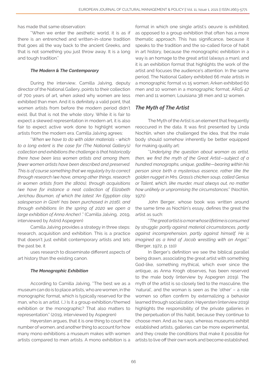has made that same observation:

''When we enter the aesthetic world, it is as if there is an entrenched and written-in-stone tradition that goes all the way back to the ancient Greeks, and that is not something you just throw away. It is a long and tough tradition.''

#### *The Modern & The Contemporary*

During the interview, Camilla Jalving, deputy director of the National Gallery, points to their collection of 700 years of art, when asked why women are less exhibited than men. And it is definitely a valid point, that women artists from before the modern period didn't exist. But that is not the whole story. While it is fair to expect a skewed representation in modern art, it is also fair to expect active work done to highlight women artists from the modern era. Camilla Jalving agrees:

''*When we have to do with older materials - which to a long extent is the case for (The National Gallery's) collection and exhibitions the challenge is that historically there have been less women artists and among them, fewer women artists have been described and preserved. This is of course something that we regularly try to correct through research (we have, among other things, research in women artists from the 1800s), through acquisitions (we have for instance a neat collection of Elizabeth Jerichau Bauman, of which the latest 'An Egyptian clay salesperson in Gizeh' has been purchased in 2016), and through exhibitions (in the spring of 2020 we open a large exhibition of Anna Ancher)* .'' (Camilla Jalving, 2019, interviewed by Astrid Aspegren)

Camilla Jalving provides a strategy in three steps: research, acquisition and exhibition. This is a practice that doesn't just exhibit contemporary artists and lets the past be, it

uses research to disseminate different aspects of art history than the existing canon.

#### *The Monographic Exhibition*

According to Camilla Jalving, ''The best we as a museum can do is to place artists, who are women, in the monographic format, which is typically reserved for the man, who is an artist. (…) Is it a group exhibition/themed exhibition or the monographic? That also matters to representation.'' (2019, interviewed by Aspegren)

Høyersten argues, that it is one thing to count the number of women, and another thing to account for how many mono exhibitions a museum makes with women artists compared to men artists. A mono exhibition is a

format in which one single artist's oeuvre is exhibited, as opposed to a group exhibition that often has a more thematic approach. This has significance, because it speaks to the tradition and the so-called force of habit in art history, because the monographic exhibition in a way is an homage to the great artist (always a man), and it is an exhibition format that highlights the work of the artist and focuses the audience's attention. In the same period, The National Gallery exhibited 66 male artists in a monographic format vs 15 women; Arken exhibited 60 men and 10 women in a monographic format; ARoS 47 men and 11 women; Louisiana 38 men and 12 women.

## *The Myth of The Artist*

The Myth of the Artist is an element that frequently reoccured in the data. It was first presented by Linda Nochlin, when she challenged the idea, that the male body should somehow inherently be better equipped for making quality art:

''*Underlying the question about woman as artist, then, we find the myth of the Great Artist—subject of a hundred monographs, unique, godlike—bearing within his person since birth a mysterious essence, rather like the golden nugget in Mrs. Grass's chicken soup, called Genius or Talent, which, like murder, must always out, no matter how unlikely or unpromising the circumstances*.'' (Nochlin, 1971)

John Berger, whose book was written around the same time as Nochlin's essay, defines the great the artist as such:

''*The great artist is a man whose lifetime is consumed by struggle: partly against material circumstances, partly against incomprehension, partly against himself. He is imagined as a kind of Jacob wrestling with an Angel.*'' (Berger, 1972, p. 110)

In Berger's definition we see the biblical parallel being drawn, associating the great artist with something God-like, something mythical, which ever since the antique, as Anna Krogh observes, has been reserved to the male body (interview by Aspegren 2019). The myth of the artist is so closely tied to the masculine, the 'natural', and the woman is seen as the 'other' – a role women so often confirm by externalizing a behavior learned through socialization. Høyersten (interview 2019) highlights the responsibility of the private galleries in the perpetuation of this habit, because they continue to choose men. And as he says, whereas museums exhibit established artists, galleries can be more experimental, and they create the conditions that make it possible for artists to live off their own work and become established.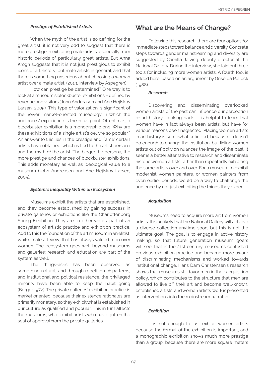#### *Prestige of Established Artists*

When the myth of the artist is so defining for the great artist, it is not very odd to suggest that there is more prestige in exhibiting male artists, especially from historic periods of particularly great artists. But Anna Krogh suggests that it is not just prestigious to exhibit icons of art history, but male artists in general, and that there is something unserious about choosing a woman artist over a male artist. (2019, Interview by Aspegren)

How can prestige be determined? One way is to look at a museum's blockbuster exhibitions – defined by revenue and visitors (John Andreasen and Ane Hejlskov Larsen, 2005). This type of valorization is significant of the newer, market-oriented museology in which the audiences' experience is the focal point. Oftentimes, a blockbuster exhibition is a monographic one. Why are these exhibitions of a single artist's oeuvre so popular? An answer to this lies in the prestige and 'fame' certain artists have obtained, which is tied to the artist persona and the myth of the artist. The bigger the persona, the more prestige and chances of blockbuster exhibitions. This adds monetary as well as ideological value to a museum (John Andreasen and Ane Hejlskov Larsen, 2005).

#### *Systemic Inequality Within an Ecosystem*

Museums exhibit the artists that are established, and they become established by gaining success in private galleries or exhibitions like the Charlottenborg Spring Exhibition. They are, in other words, part of an ecosystem of artistic practice and exhibition practice. Add to this the foundation of the art museum in an elitist, white, male art view, that has always valued men over women. The ecosystem goes well beyond museums and galleries; research and education are part of the system as well.

The things-as-is has been observed as something natural, and through repetition of patterns, and institutional and political resistance, the privileged minority have been able to keep the habit going (Berger 1972). The private galleries' exhibition practice is market oriented, because their existence rationales are primarily monetary, so they exhibit what is established in our culture as qualified and popular. This in turn affects the museums, who exhibit artists who have gotten the seal of approval from the private galleries.

#### What are the Means of Change?

Following this research, there are four options for immediate steps toward balance and diversity. Concrete steps towards gender mainstreaming and diversity are suggested by Camilla Jalving, deputy director at the National Gallery. During the interview, she laid out three tools for including more women artists. A fourth tool is added here, based on an argument by Griselda Pollock (1988).

#### *Research*

Discovering and disseminating overlooked women artists of the past can influence our perception of art history. Looking back, it is helpful to learn that women have in fact always been artists, but have for various reasons been neglected. Placing women artists in art history is somewhat criticized, because it doesn't do enough to change the institution, but lifting women artists out of oblivion nuances the image of the past. It seems a better alternative to research and disseminate historic women artists rather than repeatedly exhibiting the same artists over and over. For a museum to exhibit modernist women painters, or women painters from even earlier periods, would be a way to challenge the audience by not just exhibiting the things they expect.

#### *Acquisition*

Museums need to acquire more art from women artists. It is unlikely that the National Gallery will achieve a diverse collection anytime soon, but this is not the ultimate goal. The goal is to engage in active history making, so that future generation museum goers will see, that in the 21st century, museums contested previous exhibition practice and became more aware of discriminating mechanisms and worked towards institutional change. Hans Dam Christensen's research shows that museums still favor men in their acquisition policy, which contributes to the structure that men are allowed to live off their art and become well-known, established artists, and women artists' work is presented as interventions into the mainstream narrative.

#### *Exhibition*

It is not enough to just exhibit women artists because the format of the exhibition is important, and a monographic exhibition shows much more prestige than a group, because there are more square meters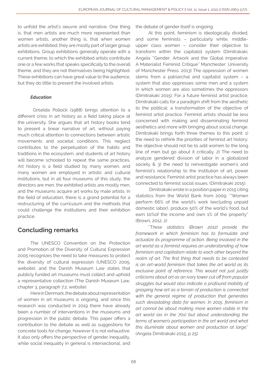to unfold the artist's oeuvre and narrative. One thing is, that men artists are much more represented than women artists, another thing is, that when women artists are exhibited, they are mostly part of larger group exhibitions. Group exhibitions generally operate with a current theme, to which the exhibited artists contribute one or a few works that speaks specifically to the overall theme, and they are not themselves being highlighted. These exhibitions can have great value to the audience, but they do little to present the involved artists.

#### *Education*

 Griselda Pollock (1988) brings attention to a different crisis in art history as a field taking place at the university. She argues that art history books tend to present a linear narrative of art, without paying much critical attention to connections between artistic movements and societal conditions. This neglect contributes to the perpetuation of the habits and traditions in the ecosystem, and students of art history will become schooled to repeat the same practices. Art history is a field studied by many women, and many women are employed in artistic and cultural institutions, but in all four museums of this study, the directors are men, the exhibited artists are mostly men, and the museums acquire art works by male artists. In the field of education, there is a grand potential for a restructuring of the curriculum and the methods that could challenge the institutions and their exhibition practice.

## Concluding remarks

The UNESCO Convention on the Protection and Promotion of the Diversity of Cultural Expression 2005 recognizes the need to take measures to protect the diversity of cultural expression (UNESCO 2005, website), and the Danish Museum Law states that publicly funded art museums must collect and uphold a representative collection (The Danish Museum Law, chapter 3, paragraph 7.2, website).

Here in Denmark, the debate about representation of women in art museums is ongoing, and since this research was conducted in 2019 there have already been a number of interventions in the museums and progression in the public debate. This paper offers a contribution to the debate as well as suggestions for concrete tools for change, however it is not exhaustive. It also only offers the perspective of gender inequality, while social inequality in general is intersectional, and

the debate of gender itself is ongoing.

At this point, feminism is ideologically divided, and some feminists – particularly white, middleupper class women – consider their objective to transform within the capitalist system (Dimitrakaki, Angela ''Gender, Artwork and the Global Imperative: A Materialist Feminist Critique'' Manchester: University of Manchester Press. 2013) The oppression of women stems from a patriarchal and capitalist system – a system that also oppresses some men and a system in which women are also sometimes the oppressors (Dimitrakaki 2015). For a future feminist artist practice, Dimitrakaki calls for a paradigm shift from the aesthetic to the political; a transformation of the objective of feminist artist practice. Feminist artists should be less concerned with making and disseminating feminist aesthetics and more with bringing about social change. Dimitrakaki brings forth three themes to this point: 1) the need to rethink the priorities of feminist art history; the objective should not be to add women to the long line of men but go about it critically. 2) The need to analyze gendered division of labor in a globalized society & 3) the need to reinvestigate women's and feminist's relationship to the institution of art, power and resistance. Feminist artist practice has always been connected to feminist social issues. (Dimitrakaki 2015).

 Dimitrakaki wrote in a position paper in 2015 citing statistics from the World Bank from 2009: '''Women perform 66% of the world's work (excluding unpaid domestic labor), produce 50% of the world's food, but earn 10%of the income and own 1% of the property'' (Brown, 2012, 2)

''T*hese statistics (Brown 2012) provide the framework in which feminism has to formulate and actualize its programme of action. Being involved in the art world as a feminist requires an understanding of how feminism and capitalism relate to each other beyond the realm of art. The first thing that needs to be contested is an art-world feminism that takes the art world as its exclusive point of reference. This would not just justify criticisms about art as an ivory tower cut off from popular struggles but would also indicate a profound inability of grasping how art as a terrain of production is connected with the general regime of production that generates such devastating data for women. In 2015, feminism in art cannot be about making more women visible in the art world (as in the 70s) but about understanding the terms of women's participation in the art world and what this illuminate about women and production at large*.'' (Angela Dimitrakaki 2015, p 25)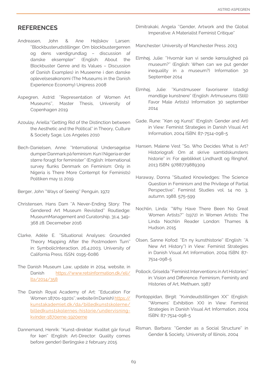## **REFERENCES**

- Andreasen, John & Ane Hejlskov Larsen: ''Blockbusterudstillinger. Om blockbustergenren og dens værdigrundlag – discussion af danske eksempler'' (English: About the Blockbuster Genre and its Values – Discussion of Danish Examples) in Museerne i den danske oplevelsesøkonomi (The Museums in the Danish Experience Economy) Unipress 2008
- Aspegren, Astrid: ''Representation of Women Art Museums'', Master Thesis, University of Copenhagen 2019
- Azoulay, Ariella:''Getting Rid of the Distinction between the Aesthetic and the Political'' in Theory, Culture & Society Sage, Los Angeles 2010
- Bech-Danielsen, Anne: ''International Undersøgelse dumper Danmark på feminism: Kun I Nigeria er der større foragt for feminister'' (English: International survey flunks Denmark on Feminism: Only in Nigeria is There More Contempt for Feminists) Politiken may 11 2019

Berger, John ''Ways of Seeing'' Penguin, 1972

- Christensen, Hans Dam ''A Never-Ending Story: The Gendered Art Museum Revisited'' Routledge: MuseumManagement and Curatorship, 31:4, 349- 368 28. Decemeber 2016
- Clarke, Adèle E. ''Situational Analyses: Grounded Theory Mapping After the Postmodern Turn'' in: SymbolicInteraction, 26.4.2003, University of California Press. ISSN: 0195-6086
- The Danish Museum Law, update in 2014, website, in Danish [https://www.retsinformation.dk/eli/](https://www.retsinformation.dk/eli/lta/2014/358) [lta/2014/358](https://www.retsinformation.dk/eli/lta/2014/358)
- The Danish Royal Academy of Art: ''Education For Women: 1870s-1920s'', website (In Danish) [https://](https://kunstakademiet.dk/da/billedkunstskolerne/billedkunstskolernes-historie/undervisning-kvinder-) [kunstakademiet.dk/da/billedkunstskolerne/](https://kunstakademiet.dk/da/billedkunstskolerne/billedkunstskolernes-historie/undervisning-kvinder-) [billedkunstskolernes-historie/undervisning](https://kunstakademiet.dk/da/billedkunstskolerne/billedkunstskolernes-historie/undervisning-kvinder-)[kvinder-1870erne-1920erne](https://kunstakademiet.dk/da/billedkunstskolerne/billedkunstskolernes-historie/undervisning-kvinder-)
- Dannemand, Henrik: ''Kunst-direktør: Kvalitet går forud for køn'' (English: Art-Director: Quality comes before gender) Berlingske 2 february 2015

Dimitrakaki, Angela ''Gender, Artwork and the Global Imperative: A Materialist Feminist Critique''

Manchester: University of Manchester Press. 2013

- Elmhøj, Julie: ''Hvornår kan vi sende kønsulighed på museum?'' (English: When can we put gender inequality in a museum?) Information 30 September 2014
- Elmhøj, Julie: ''Kunstmuseer favoriserer (stadig) mandlige kunstnere'' (English: Artmuseums (Still) Favor Male Artists) Information 30 september 2014
- Gade, Rune: ''Køn og Kunst'' (English: Gender and Art) in View: Feminist Strategies in Danish Visual Art Information, 2004 ISBN: 87-7514-098-5
- Hansen, Malene Vest ''So, Who Decides What is Art? Historiografi: Om at skrive samtidskunstens historie'' in: For øjeblikket Lindhardt og Ringhof, 2013 ISBN: 9788779889309
- Haraway, Donna ''Situated Knowledges: The Science Question in Feminism and the Privilege of Partial Perspective". Feminist Studies vol. 14 no. 3, autumn, 1988. 575-599
- Nochlin, Linda: ''Why Have There Been No Great Women Artists?'' (1972) in Women Artists: The Linda Nochlin Reader London: Thames & Hudson, 2015
- Olsen, Sanne Kofod: ''En ny kunsthistorie'' (English: ''A New Art History'') in View: Feminist Strategies in Danish Visual Art Information, 2004 ISBN: 87- 7514-098-5
- Pollock, Griselda ''Feminist Interventions in Art Histories'' in: Vision and Difference. Feminism, Feminity and Histories of Art, Methuen, 1987
- Pontoppidan, Birgit: ''Kvindeudstillingen XX'' (English: ''Womens' Exhibition XX) in View: Feminist Strategies in Danish Visual Art Information, 2004 ISBN: 87-7514-098-5
- Risman, Barbara: ''Gender as a Social Structure'' in Gender & Society, University of Illinois, 2004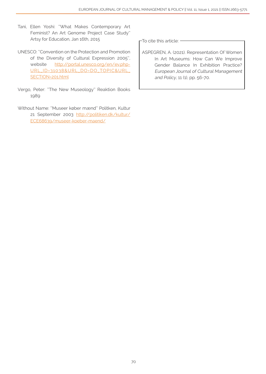- Tani, Ellen Yoshi: ''What Makes Contemporary Art Feminist? An Art Genome Project Case Study'' Artsy for Education, Jan 16th, 2015
- UNESCO: ''Convention on the Protection and Promotion of the Diversity of Cultural Expression 2005'', website [http://portal.unesco.org/en/ev.php-](http://portal.unesco.org/en/ev.php-URL_ID=31038&URL_DO=DO_TOPIC&URL_SECTION=201.html)[URL\\_ID=31038&URL\\_DO=DO\\_TOPIC&URL\\_](http://portal.unesco.org/en/ev.php-URL_ID=31038&URL_DO=DO_TOPIC&URL_SECTION=201.html) [SECTION=201.html](http://portal.unesco.org/en/ev.php-URL_ID=31038&URL_DO=DO_TOPIC&URL_SECTION=201.html)
- Vergo, Peter: ''The New Museology'' Reaktion Books 1989
- Without Name: ''Museer køber mænd'' Politken, Kultur 21 September 2003 [http://politiken.dk/kultur/](http://politiken.dk/kultur/ECE68639/museer-koeber-maend/) [ECE68639/museer-koeber-maend/](http://politiken.dk/kultur/ECE68639/museer-koeber-maend/)

To cite this article: -

ASPEGREN, A. (2021). Representation Of Women In Art Museums: How Can We Improve Gender Balance In Exhibition Practice? European Journal of Cultural Management and Policy, 11 (1), pp. 56-70.